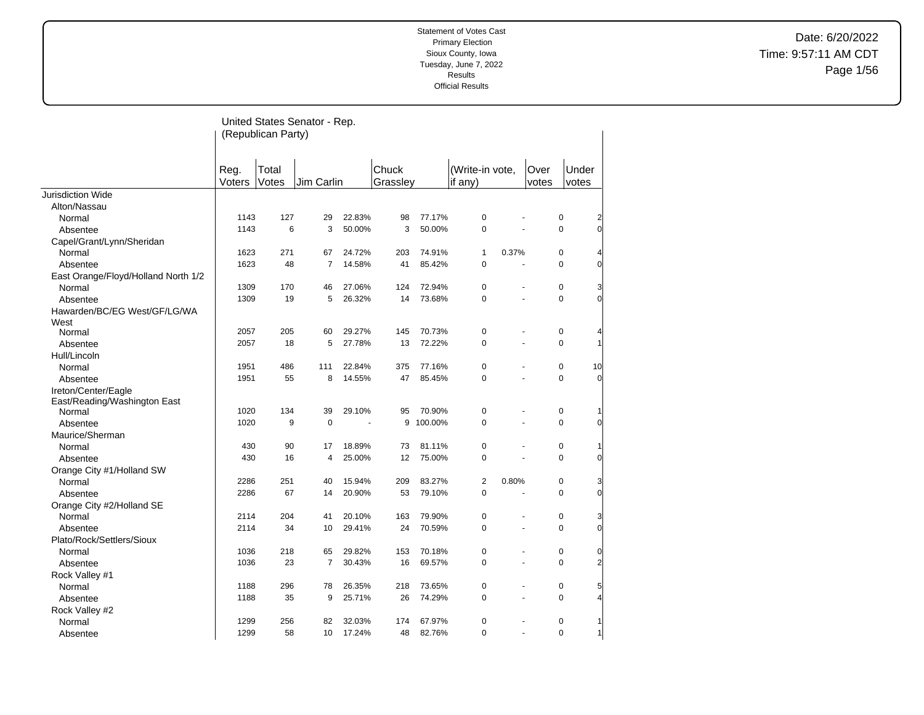Date: 6/20/2022 Time: 9:57:11 AM CDT Page 1/56

|                                      |                | (Republican Party) | United States Senator - Rep. |        |                   |         |                              |                      |               |                |                |
|--------------------------------------|----------------|--------------------|------------------------------|--------|-------------------|---------|------------------------------|----------------------|---------------|----------------|----------------|
|                                      | Reg.<br>Voters | Total<br>Votes     | Jim Carlin                   |        | Chuck<br>Grasslev |         | (Write-in vote,<br>if $any)$ |                      | Over<br>votes | Under<br>votes |                |
| Jurisdiction Wide                    |                |                    |                              |        |                   |         |                              |                      |               |                |                |
| Alton/Nassau                         |                |                    |                              |        |                   |         |                              |                      |               |                |                |
| Normal                               | 1143           | 127                | 29                           | 22.83% | 98                | 77.17%  | $\pmb{0}$                    |                      |               | $\pmb{0}$      | 2              |
| Absentee                             | 1143           | 6                  | 3                            | 50.00% | 3                 | 50.00%  | 0                            | $\overline{a}$       |               | $\pmb{0}$      | 0              |
| Capel/Grant/Lynn/Sheridan            |                |                    |                              |        |                   |         |                              |                      |               |                |                |
| Normal                               | 1623           | 271                | 67                           | 24.72% | 203               | 74.91%  | $\mathbf{1}$                 | 0.37%                |               | $\pmb{0}$      |                |
| Absentee                             | 1623           | 48                 | $\overline{7}$               | 14.58% | 41                | 85.42%  | 0                            | ä,                   |               | 0              | $\Omega$       |
| East Orange/Floyd/Holland North 1/2  |                |                    |                              |        |                   |         |                              |                      |               |                |                |
| Normal                               | 1309           | 170                | 46                           | 27.06% | 124               | 72.94%  | 0                            | $\ddot{\phantom{1}}$ |               | $\pmb{0}$      | 3              |
| Absentee                             | 1309           | 19                 | 5                            | 26.32% | 14                | 73.68%  | 0                            | L.                   |               | $\mathbf 0$    | $\Omega$       |
| Hawarden/BC/EG West/GF/LG/WA<br>West |                |                    |                              |        |                   |         |                              |                      |               |                |                |
| Normal                               | 2057           | 205                | 60                           | 29.27% | 145               | 70.73%  | 0                            | $\blacksquare$       |               | $\pmb{0}$      | 4              |
| Absentee                             | 2057           | 18                 | 5                            | 27.78% | 13                | 72.22%  | 0                            |                      |               | $\mathbf 0$    | 1              |
| Hull/Lincoln                         |                |                    |                              |        |                   |         |                              |                      |               |                |                |
| Normal                               | 1951           | 486                | 111                          | 22.84% | 375               | 77.16%  | 0                            | L.                   |               | $\pmb{0}$      | 10             |
| Absentee                             | 1951           | 55                 | 8                            | 14.55% | 47                | 85.45%  | 0                            |                      |               | $\mathbf 0$    | 0              |
| Ireton/Center/Eagle                  |                |                    |                              |        |                   |         |                              |                      |               |                |                |
| East/Reading/Washington East         |                |                    |                              |        |                   |         |                              |                      |               |                |                |
| Normal                               | 1020           | 134                | 39                           | 29.10% | 95                | 70.90%  | 0                            | $\blacksquare$       |               | $\pmb{0}$      | 1              |
| Absentee                             | 1020           | 9                  | $\mathbf 0$                  |        | 9                 | 100.00% | $\mathbf 0$                  |                      |               | $\mathbf 0$    | 0              |
| Maurice/Sherman                      |                |                    |                              |        |                   |         |                              |                      |               |                |                |
| Normal                               | 430            | 90                 | 17                           | 18.89% | 73                | 81.11%  | 0                            | $\blacksquare$       |               | $\pmb{0}$      | 1              |
| Absentee                             | 430            | 16                 | 4                            | 25.00% | 12                | 75.00%  | 0                            |                      |               | $\mathbf 0$    | $\Omega$       |
| Orange City #1/Holland SW            |                |                    |                              |        |                   |         |                              |                      |               |                |                |
| Normal                               | 2286           | 251                | 40                           | 15.94% | 209               | 83.27%  | 2                            | 0.80%                |               | 0              | 3              |
| Absentee                             | 2286           | 67                 | 14                           | 20.90% | 53                | 79.10%  | 0                            |                      |               | $\mathbf 0$    | 0              |
| Orange City #2/Holland SE            |                |                    |                              |        |                   |         |                              |                      |               |                |                |
| Normal                               | 2114           | 204                | 41                           | 20.10% | 163               | 79.90%  | 0                            |                      |               | $\mathbf 0$    | 3              |
| Absentee                             | 2114           | 34                 | 10                           | 29.41% | 24                | 70.59%  | 0                            |                      |               | $\mathbf 0$    | $\Omega$       |
| Plato/Rock/Settlers/Sioux            |                |                    |                              |        |                   |         |                              |                      |               |                |                |
| Normal                               | 1036           | 218                | 65                           | 29.82% | 153               | 70.18%  | 0                            | ä,                   |               | $\mathbf 0$    | 0              |
| Absentee                             | 1036           | 23                 | 7                            | 30.43% | 16                | 69.57%  | 0                            |                      |               | $\mathbf 0$    | $\overline{a}$ |
| Rock Valley #1                       |                |                    |                              |        |                   |         |                              |                      |               |                |                |
| Normal                               | 1188           | 296                | 78                           | 26.35% | 218               | 73.65%  | 0                            | ÷.                   |               | $\pmb{0}$      | 5              |
| Absentee                             | 1188           | 35                 | 9                            | 25.71% | 26                | 74.29%  | 0                            |                      |               | $\mathbf 0$    | 4              |
| Rock Valley #2                       |                |                    |                              |        |                   |         |                              |                      |               |                |                |
| Normal                               | 1299           | 256                | 82                           | 32.03% | 174               | 67.97%  | 0                            |                      |               | 0              | 1              |
| Absentee                             | 1299           | 58                 | 10                           | 17.24% | 48                | 82.76%  | $\Omega$                     | $\overline{a}$       |               | $\mathbf 0$    | 1              |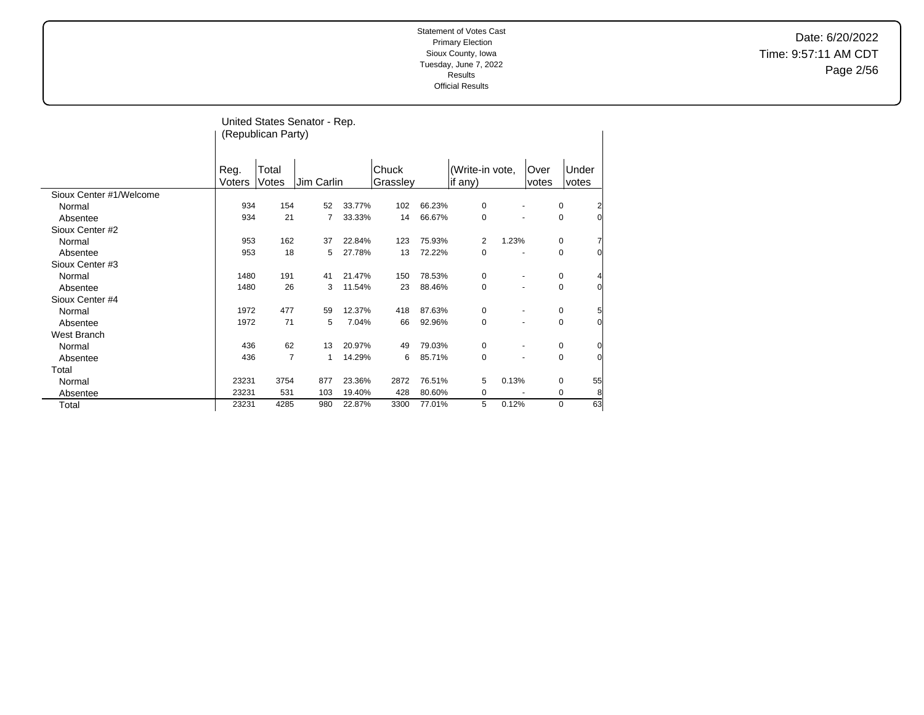Date: 6/20/2022 Time: 9:57:11 AM CDT Page 2/56

|                         |        |                    | United States Senator - Rep. |        |          |        |                 |       |       |       |                |
|-------------------------|--------|--------------------|------------------------------|--------|----------|--------|-----------------|-------|-------|-------|----------------|
|                         |        | (Republican Party) |                              |        |          |        |                 |       |       |       |                |
|                         |        |                    |                              |        |          |        |                 |       |       |       |                |
|                         |        |                    |                              |        |          |        |                 |       |       |       |                |
|                         | Reg.   | Total              |                              |        | Chuck    |        | (Write-in vote, |       | Over  | Under |                |
|                         | Voters | Votes              | Jim Carlin                   |        | Grassley |        | if any)         |       | votes | votes |                |
| Sioux Center #1/Welcome |        |                    |                              |        |          |        |                 |       |       |       |                |
| Normal                  | 934    | 154                | 52                           | 33.77% | 102      | 66.23% | 0               |       |       | 0     | $\overline{2}$ |
| Absentee                | 934    | 21                 | 7                            | 33.33% | 14       | 66.67% | 0               |       |       | 0     | $\Omega$       |
| Sioux Center #2         |        |                    |                              |        |          |        |                 |       |       |       |                |
| Normal                  | 953    | 162                | 37                           | 22.84% | 123      | 75.93% | 2               | 1.23% |       | 0     |                |
| Absentee                | 953    | 18                 | 5                            | 27.78% | 13       | 72.22% | 0               | ٠     |       | 0     | 0              |
| Sioux Center #3         |        |                    |                              |        |          |        |                 |       |       |       |                |
| Normal                  | 1480   | 191                | 41                           | 21.47% | 150      | 78.53% | 0               |       |       | 0     |                |
| Absentee                | 1480   | 26                 | 3                            | 11.54% | 23       | 88.46% | 0               |       |       | 0     | $\Omega$       |
| Sioux Center #4         |        |                    |                              |        |          |        |                 |       |       |       |                |
| Normal                  | 1972   | 477                | 59                           | 12.37% | 418      | 87.63% | 0               |       |       | 0     | 5              |
| Absentee                | 1972   | 71                 | 5                            | 7.04%  | 66       | 92.96% | 0               |       |       | 0     | 0              |
| West Branch             |        |                    |                              |        |          |        |                 |       |       |       |                |
| Normal                  | 436    | 62                 | 13                           | 20.97% | 49       | 79.03% | $\mathbf 0$     |       |       | 0     | Ω              |
| Absentee                | 436    | $\overline{7}$     | $\mathbf{1}$                 | 14.29% | 6        | 85.71% | $\mathbf 0$     |       |       | 0     | 0              |
| Total                   |        |                    |                              |        |          |        |                 |       |       |       |                |
| Normal                  | 23231  | 3754               | 877                          | 23.36% | 2872     | 76.51% | 5               | 0.13% |       | 0     | 55             |
| Absentee                | 23231  | 531                | 103                          | 19.40% | 428      | 80.60% | 0               |       |       | 0     | 8              |
| Total                   | 23231  | 4285               | 980                          | 22.87% | 3300     | 77.01% | 5               | 0.12% |       | 0     | 63             |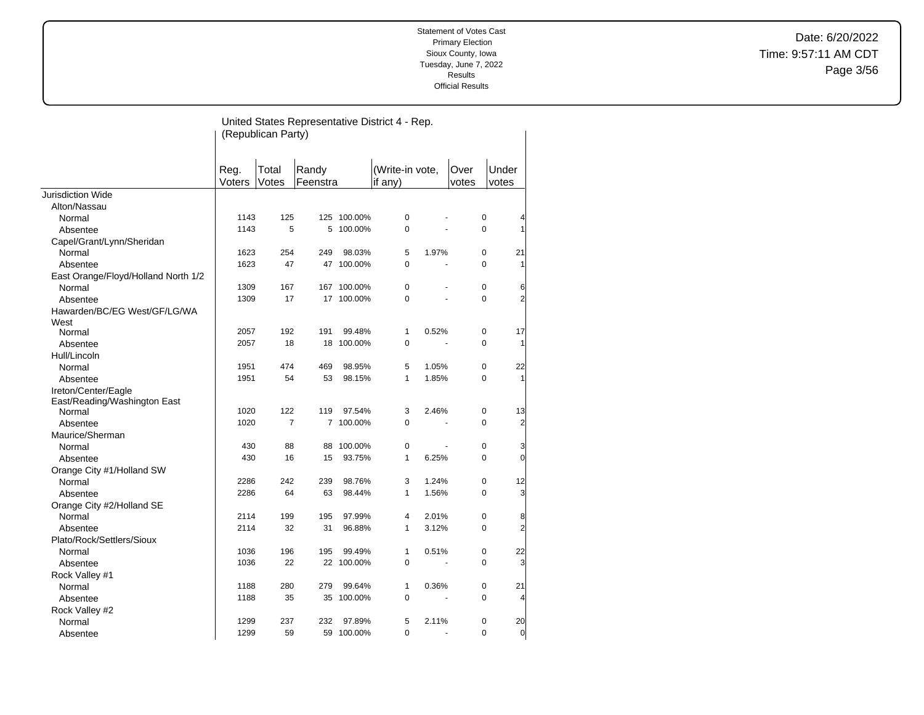Date: 6/20/2022 Time: 9:57:11 AM CDT Page 3/56

#### United States Representative District 4 - Rep. (Republican Party) Reg. Voters Total Votes Randy **Feenstra** (Write-in vote, if any) Over votes Under votes Jurisdiction Wide Alton/Nassau Normal 1143 125 125 100.00% 0 - 0 4 Absentee 1143 5 5 100.00% 0 - 0 1 Capel/Grant/Lynn/Sheridan Normal 1623 254 249 98.03% 5 1.97% 0 21 Absentee 1623 47 47 100.00% 0 - 0 1 East Orange/Floyd/Holland North 1/2 Normal 1309 167 167 100.00% 0 - 0 6 Absentee 1309 17 17 100.00% 0 - 0 2 Hawarden/BC/EG West/GF/LG/WA West<br>Normal Normal 2057 192 191 99.48% 1 0.52% 0 17 Absentee 2057 18 18 100.00% 0 - 0 1 Hull/Lincoln Normal 1951 474 469 98.95% 5 1.05% 0 22 Absentee 1951 54 53 98.15% 1 1.85% 0 1 Ireton/Center/Eagle East/Reading/Washington East Normal 1020 122 119 97.54% 3 2.46% 0 13 Absentee 1020 7 7 100.00% 0 - 0 2 Maurice/Sherman Normal 430 88 88 100.00% 0 - 0 3 Absentee 430 16 15 93.75% 1 6.25% 0 0 Orange City #1/Holland SW Normal 2286 242 239 98.76% 3 1.24% 0 12 Absentee 2008 2286 64 63 98.44% 1 1.56% 0 3 Orange City #2/Holland SE Normal 2114 199 195 97.99% 4 2.01% 0 8 Absentee 2014 2114 32 31 96.88% 1 3.12% 0 2 Plato/Rock/Settlers/Sioux Normal 1036 196 195 99.49% 1 0.51% 0 22 Absentee 1036 22 22 100.00% 0 - 0 3 Rock Valley #1 Normal 1188 280 279 99.64% 1 0.36% 0 21 Absentee 1188 35 35 100.00% 0 - 0 4 Rock Valley #2 Normal 1299 237 232 97.89% 5 2.11% 0 20 Absentee 1299 59 59 100.00% 0 - 0 0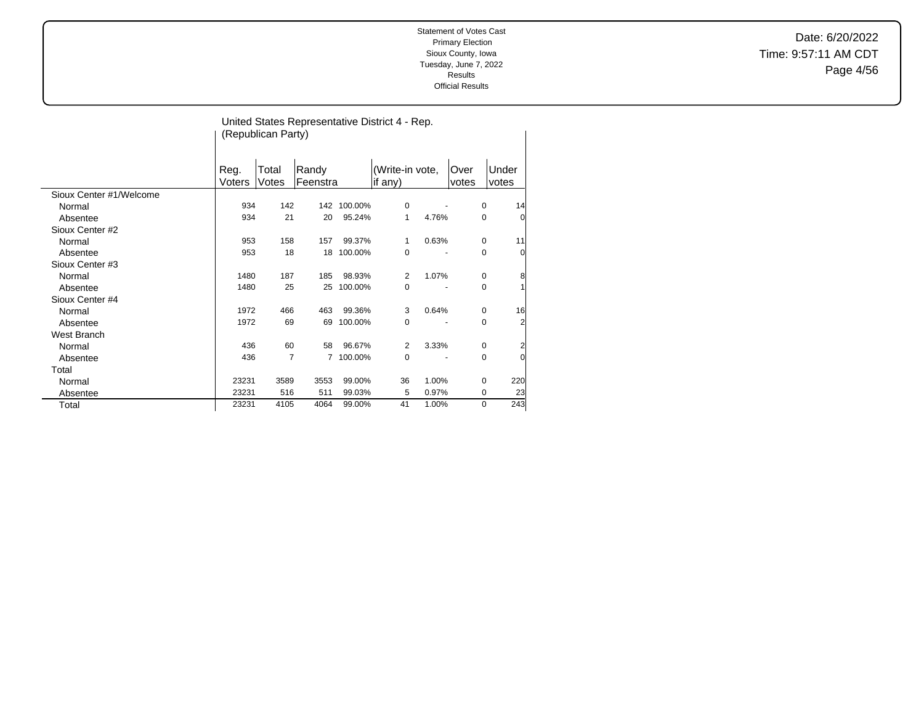Date: 6/20/2022 Time: 9:57:11 AM CDT Page 4/56

| United States Representative District 4 - Rep. |        |                    |          |         |                 |       |       |                |
|------------------------------------------------|--------|--------------------|----------|---------|-----------------|-------|-------|----------------|
|                                                |        | (Republican Party) |          |         |                 |       |       |                |
|                                                |        |                    |          |         |                 |       |       |                |
|                                                |        |                    |          |         |                 |       |       |                |
|                                                | Reg.   | Total              | Randy    |         | (Write-in vote, |       | Over  | Under          |
|                                                | Voters | Votes              | Feenstra |         | if any)         |       | votes | votes          |
| Sioux Center #1/Welcome                        |        |                    |          |         |                 |       |       |                |
| Normal                                         | 934    | 142                | 142      | 100.00% | $\mathbf 0$     |       | 0     | 14             |
| Absentee                                       | 934    | 21                 | 20       | 95.24%  | 1               | 4.76% | 0     | $\overline{0}$ |
| Sioux Center #2                                |        |                    |          |         |                 |       |       |                |
| Normal                                         | 953    | 158                | 157      | 99.37%  | 1               | 0.63% | 0     | 11             |
| Absentee                                       | 953    | 18                 | 18       | 100.00% | 0               |       | 0     | $\overline{0}$ |
| Sioux Center #3                                |        |                    |          |         |                 |       |       |                |
| Normal                                         | 1480   | 187                | 185      | 98.93%  | 2               | 1.07% | 0     | 8              |
| Absentee                                       | 1480   | 25                 | 25       | 100.00% | 0               |       | 0     | 1              |
| Sioux Center #4                                |        |                    |          |         |                 |       |       |                |
| Normal                                         | 1972   | 466                | 463      | 99.36%  | 3               | 0.64% | 0     | 16             |
| Absentee                                       | 1972   | 69                 | 69       | 100.00% | 0               |       | 0     | $\overline{a}$ |
| West Branch                                    |        |                    |          |         |                 |       |       |                |
| Normal                                         | 436    | 60                 | 58       | 96.67%  | 2               | 3.33% | 0     | $\overline{c}$ |
| Absentee                                       | 436    | 7                  | 7        | 100.00% | 0               |       | 0     | $\overline{0}$ |
| Total                                          |        |                    |          |         |                 |       |       |                |
| Normal                                         | 23231  | 3589               | 3553     | 99.00%  | 36              | 1.00% | 0     | 220            |
| Absentee                                       | 23231  | 516                | 511      | 99.03%  | 5               | 0.97% | 0     | 23             |
| Total                                          | 23231  | 4105               | 4064     | 99.00%  | 41              | 1.00% | 0     | 243            |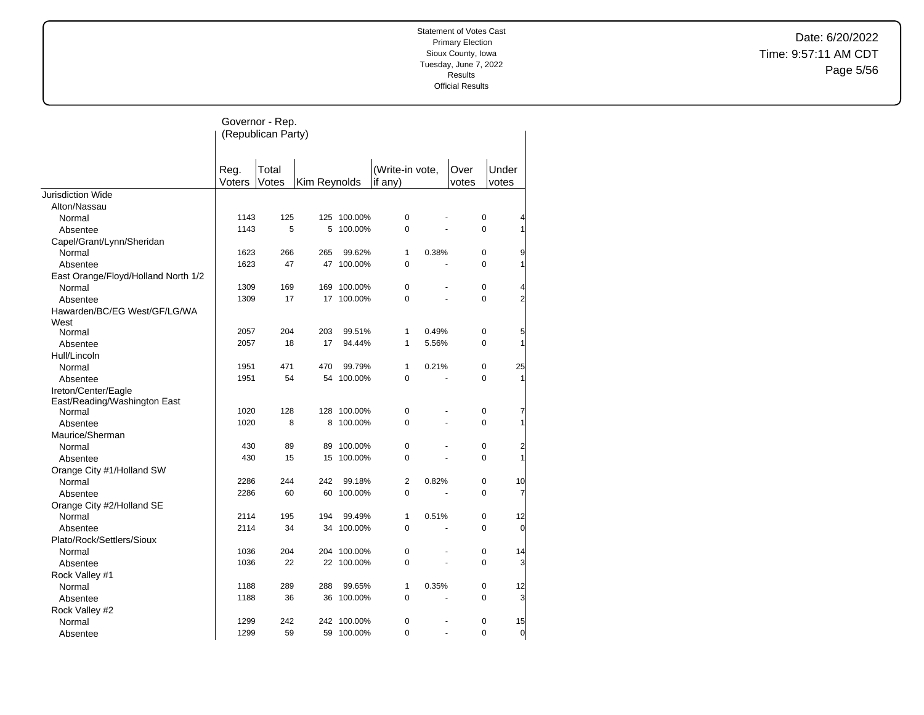Date: 6/20/2022 Time: 9:57:11 AM CDT Page 5/56

|                                     |        | Governor - Rep.    |              |             |                 |                      |             |                |
|-------------------------------------|--------|--------------------|--------------|-------------|-----------------|----------------------|-------------|----------------|
|                                     |        | (Republican Party) |              |             |                 |                      |             |                |
|                                     |        |                    |              |             |                 |                      |             |                |
|                                     | Reg.   | Total              |              |             | (Write-in vote, |                      | Over        | Under          |
|                                     | Voters | Votes              | Kim Reynolds |             | if any)         |                      | votes       | votes          |
| <b>Jurisdiction Wide</b>            |        |                    |              |             |                 |                      |             |                |
| Alton/Nassau                        |        |                    |              |             |                 |                      |             |                |
| Normal                              | 1143   | 125                |              | 125 100.00% | $\mathbf 0$     |                      | 0           | 4              |
| Absentee                            | 1143   | 5                  | 5            | 100.00%     | $\mathbf 0$     | ä,                   | $\Omega$    | 1              |
| Capel/Grant/Lynn/Sheridan           |        |                    |              |             |                 |                      |             |                |
| Normal                              | 1623   | 266                | 265          | 99.62%      | $\mathbf{1}$    | 0.38%                | 0           | 9              |
| Absentee                            | 1623   | 47                 |              | 47 100.00%  | $\mathbf 0$     | $\overline{a}$       | $\Omega$    | 1              |
| East Orange/Floyd/Holland North 1/2 |        |                    |              |             |                 |                      |             |                |
| Normal                              | 1309   | 169                | 169          | 100.00%     | $\pmb{0}$       |                      | 0           | 4              |
| Absentee                            | 1309   | 17                 |              | 17 100.00%  | $\mathbf 0$     |                      | 0           | $\overline{2}$ |
| Hawarden/BC/EG West/GF/LG/WA        |        |                    |              |             |                 |                      |             |                |
| West                                |        |                    |              |             |                 |                      |             |                |
| Normal                              | 2057   | 204                | 203          | 99.51%      | 1               | 0.49%                | 0           | 5              |
| Absentee                            | 2057   | 18                 | 17           | 94.44%      | 1               | 5.56%                | 0           | 1              |
| Hull/Lincoln                        |        |                    |              |             |                 |                      |             |                |
| Normal                              | 1951   | 471                | 470          | 99.79%      | $\mathbf{1}$    | 0.21%                | 0           | 25             |
| Absentee                            | 1951   | 54                 |              | 54 100.00%  | $\mathbf 0$     |                      | 0           | 1              |
| Ireton/Center/Eagle                 |        |                    |              |             |                 |                      |             |                |
| East/Reading/Washington East        |        |                    |              |             |                 |                      |             |                |
| Normal                              | 1020   | 128                |              | 128 100.00% | $\pmb{0}$       |                      | 0           | 7              |
| Absentee                            | 1020   | 8                  | 8            | 100.00%     | $\mathbf 0$     |                      | $\mathbf 0$ | 1              |
| Maurice/Sherman                     |        |                    |              |             |                 |                      |             |                |
| Normal                              | 430    | 89                 | 89           | 100.00%     | $\mathbf 0$     |                      | 0           | $\overline{c}$ |
| Absentee                            | 430    | 15                 |              | 15 100.00%  | $\Omega$        |                      | $\Omega$    | 1              |
| Orange City #1/Holland SW           |        |                    |              |             |                 |                      |             |                |
| Normal                              | 2286   | 244                | 242          | 99.18%      | $\overline{2}$  | 0.82%                | 0           | 10             |
| Absentee                            | 2286   | 60                 | 60           | 100.00%     | 0               |                      | 0           | 7              |
| Orange City #2/Holland SE           |        |                    |              |             |                 |                      |             |                |
| Normal                              | 2114   | 195                | 194          | 99.49%      | $\mathbf{1}$    | 0.51%                | 0           | 12             |
| Absentee                            | 2114   | 34                 |              | 34 100.00%  | $\mathbf 0$     | $\ddot{\phantom{1}}$ | 0           | 0              |
| Plato/Rock/Settlers/Sioux           |        |                    |              |             |                 |                      |             |                |
| Normal                              | 1036   | 204                |              | 204 100.00% | $\mathbf 0$     | $\overline{a}$       | 0           | 14             |
| Absentee                            | 1036   | 22                 |              | 22 100.00%  | $\mathbf 0$     |                      | $\mathbf 0$ | 3              |
| Rock Valley #1                      |        |                    |              |             |                 |                      |             |                |
| Normal                              | 1188   | 289                | 288          | 99.65%      | $\mathbf{1}$    | 0.35%                | 0           | 12             |
| Absentee                            | 1188   | 36                 |              | 36 100.00%  | $\mathbf 0$     |                      | 0           | 3              |
|                                     |        |                    |              |             |                 |                      |             |                |
| Rock Valley #2                      | 1299   | 242                | 242          | 100.00%     | $\mathbf 0$     |                      | 0           | 15             |
| Normal                              | 1299   | 59                 |              | 59 100.00%  | $\Omega$        | $\ddot{\phantom{1}}$ | $\Omega$    | $\overline{0}$ |
| Absentee                            |        |                    |              |             |                 |                      |             |                |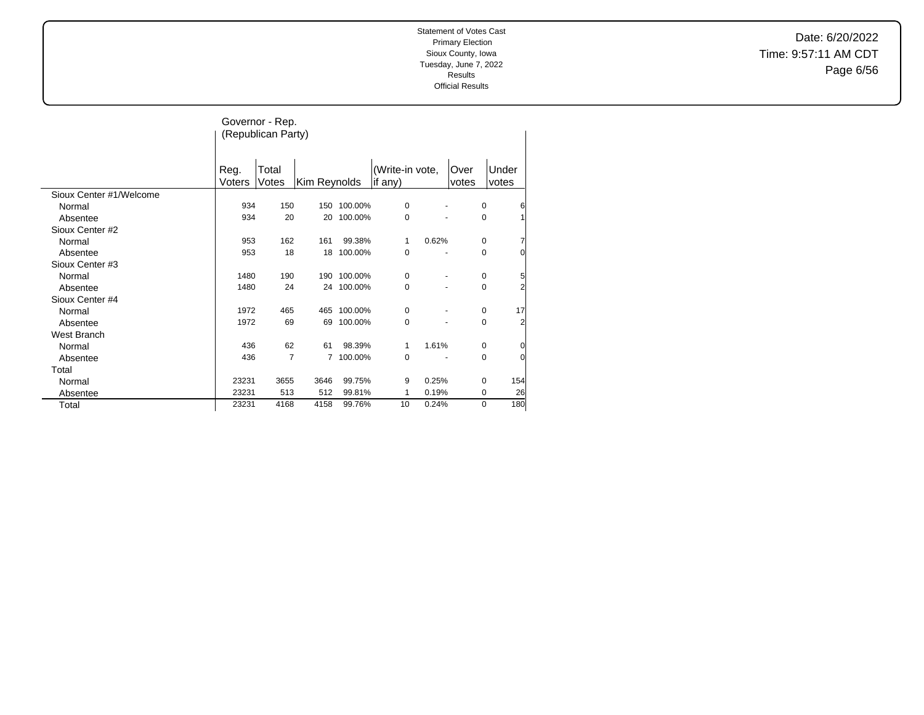Date: 6/20/2022 Time: 9:57:11 AM CDT Page 6/56

|                         |                | Governor - Rep.    |              |    |            |                            |       |               |             |                |
|-------------------------|----------------|--------------------|--------------|----|------------|----------------------------|-------|---------------|-------------|----------------|
|                         |                | (Republican Party) |              |    |            |                            |       |               |             |                |
|                         |                |                    |              |    |            |                            |       |               |             |                |
|                         | Reg.<br>Voters | Total<br>Votes     | Kim Reynolds |    |            | (Write-in vote,<br>if any) |       | Over<br>votes |             | Under<br>votes |
| Sioux Center #1/Welcome |                |                    |              |    |            |                            |       |               |             |                |
| Normal                  | 934            | 150                | 150          |    | 100.00%    | $\mathbf 0$                |       |               | 0           | 6              |
| Absentee                | 934            | 20                 |              | 20 | 100.00%    | 0                          |       |               | $\pmb{0}$   |                |
| Sioux Center #2         |                |                    |              |    |            |                            |       |               |             |                |
| Normal                  | 953            | 162                | 161          |    | 99.38%     | 1                          | 0.62% |               | 0           | 7              |
| Absentee                | 953            | 18                 |              | 18 | 100.00%    | 0                          |       |               | $\mathbf 0$ | 0              |
| Sioux Center #3         |                |                    |              |    |            |                            |       |               |             |                |
| Normal                  | 1480           | 190                | 190          |    | 100.00%    | 0                          |       |               | 0           | 5              |
| Absentee                | 1480           | 24                 |              |    | 24 100.00% | 0                          |       |               | 0           | 2              |
| Sioux Center #4         |                |                    |              |    |            |                            |       |               |             |                |
| Normal                  | 1972           | 465                | 465          |    | 100.00%    | 0                          |       |               | 0           | 17             |
| Absentee                | 1972           | 69                 |              | 69 | 100.00%    | 0                          |       |               | 0           | $\overline{c}$ |
| West Branch             |                |                    |              |    |            |                            |       |               |             |                |
| Normal                  | 436            | 62                 | 61           |    | 98.39%     | 1                          | 1.61% |               | 0           | $\Omega$       |
| Absentee                | 436            | $\overline{7}$     |              | 7  | 100.00%    | 0                          |       |               | 0           | $\Omega$       |
| Total                   |                |                    |              |    |            |                            |       |               |             |                |
| Normal                  | 23231          | 3655               | 3646         |    | 99.75%     | 9                          | 0.25% |               | 0           | 154            |
| Absentee                | 23231          | 513                | 512          |    | 99.81%     | 1                          | 0.19% |               | 0           | 26             |
| Total                   | 23231          | 4168               | 4158         |    | 99.76%     | 10                         | 0.24% |               | 0           | 180            |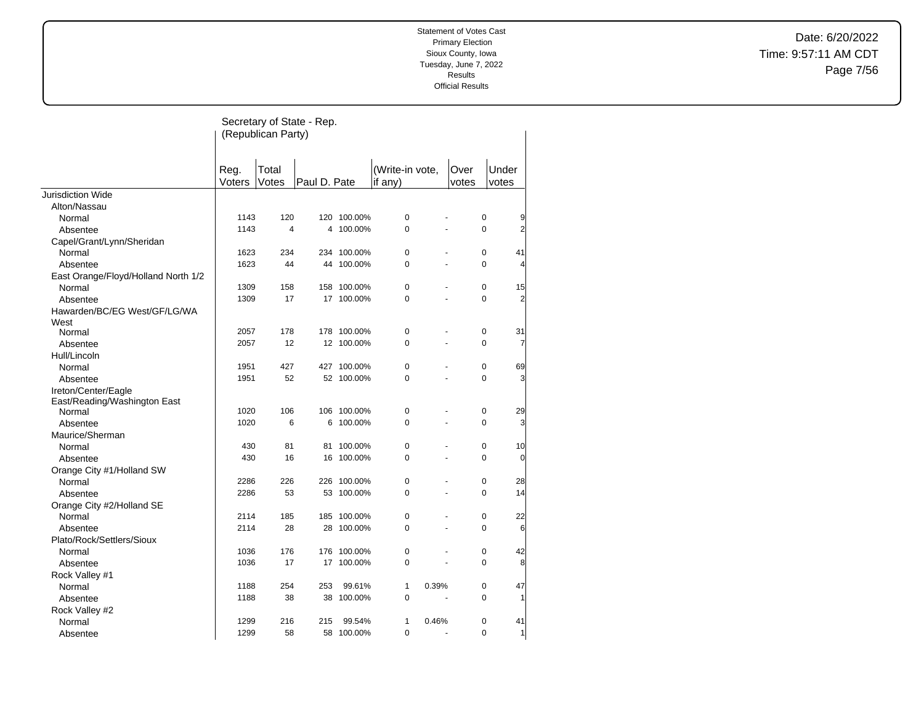Date: 6/20/2022 Time: 9:57:11 AM CDT Page 7/56

|                                     |        |                    | Secretary of State - Rep. |             |                 |                          |          |                |
|-------------------------------------|--------|--------------------|---------------------------|-------------|-----------------|--------------------------|----------|----------------|
|                                     |        | (Republican Party) |                           |             |                 |                          |          |                |
|                                     |        |                    |                           |             |                 |                          |          |                |
|                                     |        |                    |                           |             |                 |                          |          |                |
|                                     | Reg.   | Total              |                           |             | (Write-in vote, | Over                     |          | Under          |
|                                     | Voters | Votes              | Paul D. Pate              |             | if $any)$       | votes                    |          | votes          |
| Jurisdiction Wide                   |        |                    |                           |             |                 |                          |          |                |
| Alton/Nassau                        |        |                    |                           |             |                 |                          |          |                |
| Normal                              | 1143   | 120                |                           | 120 100.00% | 0               |                          | 0        | 9              |
| Absentee                            | 1143   | 4                  | 4                         | 100.00%     | $\mathbf 0$     |                          | 0        | $\overline{2}$ |
| Capel/Grant/Lynn/Sheridan           |        |                    |                           |             |                 |                          |          |                |
| Normal                              | 1623   | 234                |                           | 234 100.00% | 0               |                          | 0        | 41             |
| Absentee                            | 1623   | 44                 |                           | 44 100.00%  | 0               |                          | 0        | 4              |
| East Orange/Floyd/Holland North 1/2 |        |                    |                           |             |                 |                          |          |                |
| Normal                              | 1309   | 158                |                           | 158 100.00% | $\Omega$        |                          | 0        | 15             |
| Absentee                            | 1309   | 17                 |                           | 17 100.00%  | 0               |                          | 0        | $\overline{2}$ |
| Hawarden/BC/EG West/GF/LG/WA        |        |                    |                           |             |                 |                          |          |                |
| West                                |        |                    |                           |             |                 |                          |          |                |
| Normal                              | 2057   | 178                |                           | 178 100.00% | 0               | ä,                       | 0        | 31             |
| Absentee                            | 2057   | 12                 |                           | 12 100.00%  | 0               |                          | 0        | 7              |
| Hull/Lincoln                        |        |                    |                           |             |                 |                          |          |                |
| Normal                              | 1951   | 427                |                           | 427 100.00% | $\mathbf 0$     |                          | 0        | 69             |
| Absentee                            | 1951   | 52                 |                           | 52 100.00%  | 0               |                          | 0        | 3              |
| Ireton/Center/Eagle                 |        |                    |                           |             |                 |                          |          |                |
| East/Reading/Washington East        |        |                    |                           |             |                 |                          |          |                |
| Normal                              | 1020   | 106                |                           | 106 100.00% | $\mathbf 0$     |                          | 0        | 29             |
| Absentee                            | 1020   | 6                  | 6                         | 100.00%     | $\Omega$        | ÷,                       | $\Omega$ | 3              |
| Maurice/Sherman                     |        |                    |                           |             |                 |                          |          |                |
| Normal                              | 430    | 81                 | 81                        | 100.00%     | 0               |                          | 0        | 10             |
| Absentee                            | 430    | 16                 |                           | 16 100.00%  | 0               | $\overline{\phantom{a}}$ | 0        | $\overline{0}$ |
| Orange City #1/Holland SW           |        |                    |                           |             |                 |                          |          |                |
| Normal                              | 2286   | 226                |                           | 226 100.00% | 0               |                          | 0        | 28             |
| Absentee                            | 2286   | 53                 | 53                        | 100.00%     | 0               | ÷,                       | 0        | 14             |
| Orange City #2/Holland SE           |        |                    |                           |             |                 |                          |          |                |
| Normal                              | 2114   | 185                |                           | 185 100.00% | 0               |                          | 0        | 22             |
| Absentee                            | 2114   | 28                 |                           | 28 100.00%  | $\Omega$        | $\overline{a}$           | 0        | 6              |
| Plato/Rock/Settlers/Sioux           |        |                    |                           |             |                 |                          |          |                |
| Normal                              | 1036   | 176                | 176                       | 100.00%     | 0               |                          | 0        | 42             |
| Absentee                            | 1036   | 17                 |                           | 17 100.00%  | 0               | $\overline{\phantom{a}}$ | 0        | 8              |
| Rock Valley #1                      |        |                    |                           |             |                 |                          |          |                |
| Normal                              | 1188   | 254                | 253                       | 99.61%      | 1               | 0.39%                    | 0        | 47             |
| Absentee                            | 1188   | 38                 | 38                        | 100.00%     | 0               | $\sim$                   | 0        |                |
| Rock Valley #2                      |        |                    |                           |             |                 |                          |          |                |
| Normal                              | 1299   | 216                | 215                       | 99.54%      | 1               | 0.46%                    | 0        | 41             |
| Absentee                            | 1299   | 58                 |                           | 58 100.00%  | 0               | $\overline{a}$           | 0        | 1              |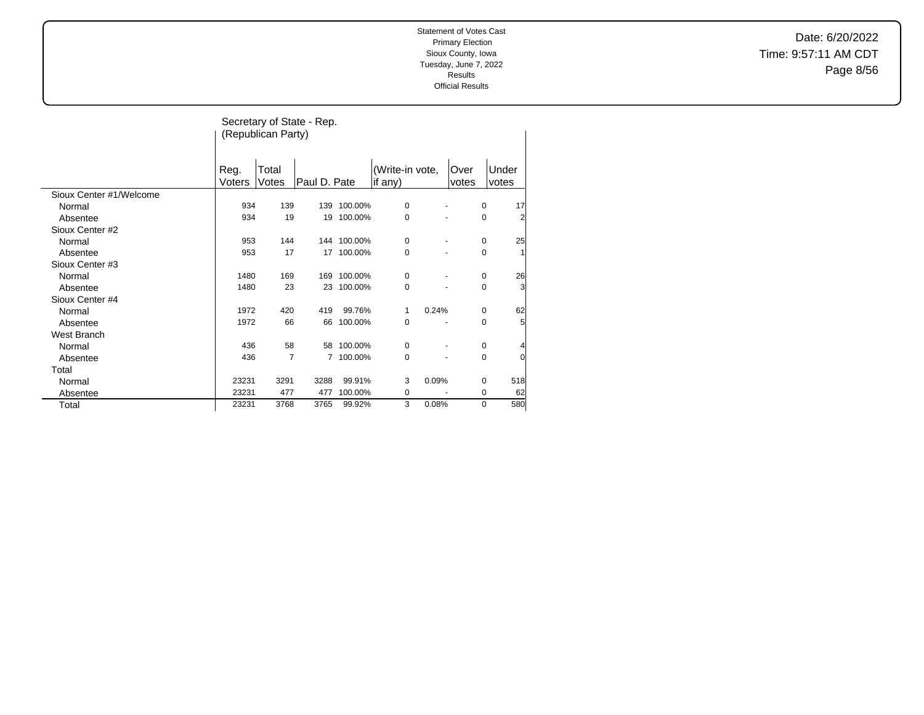Date: 6/20/2022 Time: 9:57:11 AM CDT Page 8/56

|                         |        |                    | Secretary of State - Rep. |             |                 |       |       |                     |
|-------------------------|--------|--------------------|---------------------------|-------------|-----------------|-------|-------|---------------------|
|                         |        | (Republican Party) |                           |             |                 |       |       |                     |
|                         |        |                    |                           |             |                 |       |       |                     |
|                         |        |                    |                           |             |                 |       |       |                     |
|                         | Reg.   | Total              |                           |             | (Write-in vote, |       | Over  | Under               |
|                         | Voters | Votes              | Paul D. Pate              |             | if any)         |       | votes | votes               |
| Sioux Center #1/Welcome |        |                    |                           |             |                 |       |       |                     |
| Normal                  | 934    | 139                | 139                       | 100.00%     | $\mathbf 0$     |       |       | 0<br>17             |
| Absentee                | 934    | 19                 | 19                        | 100.00%     | $\mathbf 0$     |       |       | 0<br>$\overline{2}$ |
| Sioux Center #2         |        |                    |                           |             |                 |       |       |                     |
| Normal                  | 953    | 144                |                           | 144 100.00% | 0               |       |       | 25<br>0             |
| Absentee                | 953    | 17                 | 17                        | 100.00%     | $\mathbf 0$     |       |       | 0<br>1              |
| Sioux Center #3         |        |                    |                           |             |                 |       |       |                     |
| Normal                  | 1480   | 169                | 169                       | 100.00%     | 0               |       |       | 26<br>0             |
| Absentee                | 1480   | 23                 | 23                        | 100.00%     | $\mathbf 0$     |       |       | 3<br>0              |
| Sioux Center #4         |        |                    |                           |             |                 |       |       |                     |
| Normal                  | 1972   | 420                | 419                       | 99.76%      | 1               | 0.24% |       | 62<br>0             |
| Absentee                | 1972   | 66                 | 66                        | 100.00%     | $\mathbf 0$     |       |       | 0<br>5              |
| <b>West Branch</b>      |        |                    |                           |             |                 |       |       |                     |
| Normal                  | 436    | 58                 | 58                        | 100.00%     | 0               |       |       | 0                   |
| Absentee                | 436    | 7                  | $\overline{7}$            | 100.00%     | 0               |       |       | $\overline{0}$<br>0 |
| Total                   |        |                    |                           |             |                 |       |       |                     |
| Normal                  | 23231  | 3291               | 3288                      | 99.91%      | 3               | 0.09% |       | 518<br>0            |
| Absentee                | 23231  | 477                | 477                       | 100.00%     | 0               |       |       | 0<br>62             |
| Total                   | 23231  | 3768               | 3765                      | 99.92%      | 3               | 0.08% |       | 580<br>0            |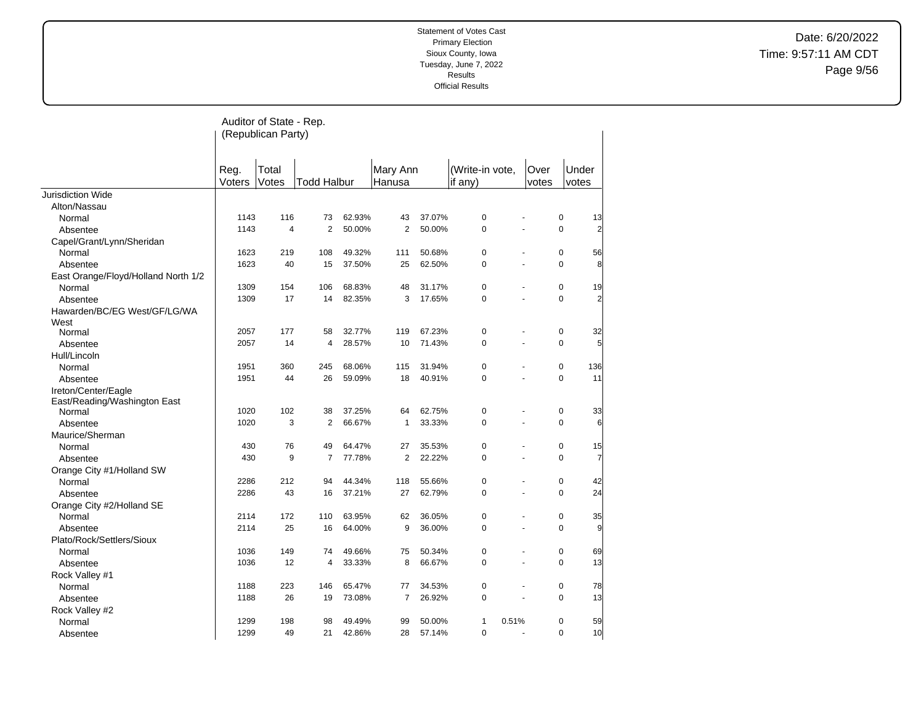Date: 6/20/2022 Time: 9:57:11 AM CDT Page 9/56

| (Republican Party)<br>Over<br>Under<br>Reg.<br>Total<br>Mary Ann<br>(Write-in vote,<br>Voters<br>Votes<br><b>Todd Halbur</b><br>Hanusa<br>if $any)$<br>votes<br>votes<br>Jurisdiction Wide<br>Alton/Nassau<br>37.07%<br>$\mathbf 0$<br>1143<br>116<br>62.93%<br>43<br>0<br>13<br>73<br>Normal<br>2<br>50.00%<br>2<br>50.00%<br>$\mathbf 0$<br>$\mathbf 0$<br>$\overline{\mathbf{c}}$<br>1143<br>4<br>Absentee<br>Capel/Grant/Lynn/Sheridan<br>$\pmb{0}$<br>$\pmb{0}$<br>1623<br>219<br>108<br>49.32%<br>111<br>50.68%<br>56<br>Normal<br>1623<br>37.50%<br>25<br>62.50%<br>$\mathbf 0$<br>8<br>40<br>15<br>0<br>Absentee<br>East Orange/Floyd/Holland North 1/2<br>$\pmb{0}$<br>$\pmb{0}$<br>1309<br>154<br>106<br>68.83%<br>48<br>31.17%<br>19<br>Normal<br>$\overline{\mathbf{c}}$<br>17<br>82.35%<br>3<br>17.65%<br>$\pmb{0}$<br>$\pmb{0}$<br>1309<br>14<br>Absentee<br>Hawarden/BC/EG West/GF/LG/WA<br>West<br>2057<br>177<br>58<br>32.77%<br>119<br>67.23%<br>0<br>0<br>32<br>Normal<br>5<br>0<br>$\mathbf 0$<br>2057<br>14<br>4<br>28.57%<br>10<br>71.43%<br>Absentee<br>Hull/Lincoln<br>1951<br>360<br>245<br>68.06%<br>31.94%<br>0<br>0<br>136<br>115<br>Normal<br>$\mathbf 0$<br>0<br>11<br>1951<br>44<br>26<br>59.09%<br>18<br>40.91%<br>Absentee<br>Ireton/Center/Eagle<br>East/Reading/Washington East<br>$\pmb{0}$<br>1020<br>102<br>38<br>37.25%<br>64<br>62.75%<br>0<br>33<br>Normal<br>1020<br>3<br>$\overline{2}$<br>33.33%<br>$\pmb{0}$<br>$\pmb{0}$<br>6<br>66.67%<br>1<br>÷,<br>Absentee<br>Maurice/Sherman<br>Normal<br>430<br>76<br>49<br>64.47%<br>27<br>35.53%<br>0<br>0<br>15<br>$\overline{7}$<br>$\overline{7}$<br>2<br>22.22%<br>$\mathbf 0$<br>430<br>9<br>77.78%<br>0<br>$\overline{a}$<br>Absentee<br>Orange City #1/Holland SW<br>Normal<br>2286<br>212<br>94<br>44.34%<br>55.66%<br>0<br>0<br>42<br>118<br>24<br>2286<br>$\pmb{0}$<br>$\pmb{0}$<br>43<br>16<br>37.21%<br>27<br>62.79%<br>÷,<br>Absentee<br>Orange City #2/Holland SE<br>172<br>110<br>63.95%<br>62<br>36.05%<br>0<br>0<br>35<br>Normal<br>2114<br>$\mathbf 0$<br>9<br>2114<br>25<br>16<br>64.00%<br>9<br>36.00%<br>0<br>$\overline{a}$<br>Absentee<br>Plato/Rock/Settlers/Sioux<br>1036<br>149<br>74<br>49.66%<br>0<br>0<br>69<br>Normal<br>75<br>50.34%<br>13<br>$\pmb{0}$<br>$\pmb{0}$<br>1036<br>12<br>4<br>33.33%<br>8<br>66.67%<br>÷,<br>Absentee<br>Rock Valley #1<br>223<br>146<br>65.47%<br>34.53%<br>0<br>0<br>78<br>Normal<br>1188<br>77<br>13<br>$\mathbf 0$<br>1188<br>26<br>19<br>73.08%<br>7<br>26.92%<br>0<br>$\overline{a}$<br>Absentee<br>Rock Valley #2<br>1299<br>98<br>0.51%<br>0<br>49.49%<br>99<br>1 |        |  | Auditor of State - Rep. |  |  |  |        |  |  |  |    |  |
|-----------------------------------------------------------------------------------------------------------------------------------------------------------------------------------------------------------------------------------------------------------------------------------------------------------------------------------------------------------------------------------------------------------------------------------------------------------------------------------------------------------------------------------------------------------------------------------------------------------------------------------------------------------------------------------------------------------------------------------------------------------------------------------------------------------------------------------------------------------------------------------------------------------------------------------------------------------------------------------------------------------------------------------------------------------------------------------------------------------------------------------------------------------------------------------------------------------------------------------------------------------------------------------------------------------------------------------------------------------------------------------------------------------------------------------------------------------------------------------------------------------------------------------------------------------------------------------------------------------------------------------------------------------------------------------------------------------------------------------------------------------------------------------------------------------------------------------------------------------------------------------------------------------------------------------------------------------------------------------------------------------------------------------------------------------------------------------------------------------------------------------------------------------------------------------------------------------------------------------------------------------------------------------------------------------------------------------------------------------------------------------------------------------------------------------------------------------------------------------------------------------------------------------------------------------------------------------------------------------------------------|--------|--|-------------------------|--|--|--|--------|--|--|--|----|--|
|                                                                                                                                                                                                                                                                                                                                                                                                                                                                                                                                                                                                                                                                                                                                                                                                                                                                                                                                                                                                                                                                                                                                                                                                                                                                                                                                                                                                                                                                                                                                                                                                                                                                                                                                                                                                                                                                                                                                                                                                                                                                                                                                                                                                                                                                                                                                                                                                                                                                                                                                                                                                                             |        |  |                         |  |  |  |        |  |  |  |    |  |
|                                                                                                                                                                                                                                                                                                                                                                                                                                                                                                                                                                                                                                                                                                                                                                                                                                                                                                                                                                                                                                                                                                                                                                                                                                                                                                                                                                                                                                                                                                                                                                                                                                                                                                                                                                                                                                                                                                                                                                                                                                                                                                                                                                                                                                                                                                                                                                                                                                                                                                                                                                                                                             |        |  |                         |  |  |  |        |  |  |  |    |  |
|                                                                                                                                                                                                                                                                                                                                                                                                                                                                                                                                                                                                                                                                                                                                                                                                                                                                                                                                                                                                                                                                                                                                                                                                                                                                                                                                                                                                                                                                                                                                                                                                                                                                                                                                                                                                                                                                                                                                                                                                                                                                                                                                                                                                                                                                                                                                                                                                                                                                                                                                                                                                                             |        |  |                         |  |  |  |        |  |  |  |    |  |
|                                                                                                                                                                                                                                                                                                                                                                                                                                                                                                                                                                                                                                                                                                                                                                                                                                                                                                                                                                                                                                                                                                                                                                                                                                                                                                                                                                                                                                                                                                                                                                                                                                                                                                                                                                                                                                                                                                                                                                                                                                                                                                                                                                                                                                                                                                                                                                                                                                                                                                                                                                                                                             |        |  |                         |  |  |  |        |  |  |  |    |  |
|                                                                                                                                                                                                                                                                                                                                                                                                                                                                                                                                                                                                                                                                                                                                                                                                                                                                                                                                                                                                                                                                                                                                                                                                                                                                                                                                                                                                                                                                                                                                                                                                                                                                                                                                                                                                                                                                                                                                                                                                                                                                                                                                                                                                                                                                                                                                                                                                                                                                                                                                                                                                                             |        |  |                         |  |  |  |        |  |  |  |    |  |
|                                                                                                                                                                                                                                                                                                                                                                                                                                                                                                                                                                                                                                                                                                                                                                                                                                                                                                                                                                                                                                                                                                                                                                                                                                                                                                                                                                                                                                                                                                                                                                                                                                                                                                                                                                                                                                                                                                                                                                                                                                                                                                                                                                                                                                                                                                                                                                                                                                                                                                                                                                                                                             |        |  |                         |  |  |  |        |  |  |  |    |  |
|                                                                                                                                                                                                                                                                                                                                                                                                                                                                                                                                                                                                                                                                                                                                                                                                                                                                                                                                                                                                                                                                                                                                                                                                                                                                                                                                                                                                                                                                                                                                                                                                                                                                                                                                                                                                                                                                                                                                                                                                                                                                                                                                                                                                                                                                                                                                                                                                                                                                                                                                                                                                                             |        |  |                         |  |  |  |        |  |  |  |    |  |
|                                                                                                                                                                                                                                                                                                                                                                                                                                                                                                                                                                                                                                                                                                                                                                                                                                                                                                                                                                                                                                                                                                                                                                                                                                                                                                                                                                                                                                                                                                                                                                                                                                                                                                                                                                                                                                                                                                                                                                                                                                                                                                                                                                                                                                                                                                                                                                                                                                                                                                                                                                                                                             |        |  |                         |  |  |  |        |  |  |  |    |  |
|                                                                                                                                                                                                                                                                                                                                                                                                                                                                                                                                                                                                                                                                                                                                                                                                                                                                                                                                                                                                                                                                                                                                                                                                                                                                                                                                                                                                                                                                                                                                                                                                                                                                                                                                                                                                                                                                                                                                                                                                                                                                                                                                                                                                                                                                                                                                                                                                                                                                                                                                                                                                                             |        |  |                         |  |  |  |        |  |  |  |    |  |
|                                                                                                                                                                                                                                                                                                                                                                                                                                                                                                                                                                                                                                                                                                                                                                                                                                                                                                                                                                                                                                                                                                                                                                                                                                                                                                                                                                                                                                                                                                                                                                                                                                                                                                                                                                                                                                                                                                                                                                                                                                                                                                                                                                                                                                                                                                                                                                                                                                                                                                                                                                                                                             |        |  |                         |  |  |  |        |  |  |  |    |  |
|                                                                                                                                                                                                                                                                                                                                                                                                                                                                                                                                                                                                                                                                                                                                                                                                                                                                                                                                                                                                                                                                                                                                                                                                                                                                                                                                                                                                                                                                                                                                                                                                                                                                                                                                                                                                                                                                                                                                                                                                                                                                                                                                                                                                                                                                                                                                                                                                                                                                                                                                                                                                                             |        |  |                         |  |  |  |        |  |  |  |    |  |
|                                                                                                                                                                                                                                                                                                                                                                                                                                                                                                                                                                                                                                                                                                                                                                                                                                                                                                                                                                                                                                                                                                                                                                                                                                                                                                                                                                                                                                                                                                                                                                                                                                                                                                                                                                                                                                                                                                                                                                                                                                                                                                                                                                                                                                                                                                                                                                                                                                                                                                                                                                                                                             |        |  |                         |  |  |  |        |  |  |  |    |  |
|                                                                                                                                                                                                                                                                                                                                                                                                                                                                                                                                                                                                                                                                                                                                                                                                                                                                                                                                                                                                                                                                                                                                                                                                                                                                                                                                                                                                                                                                                                                                                                                                                                                                                                                                                                                                                                                                                                                                                                                                                                                                                                                                                                                                                                                                                                                                                                                                                                                                                                                                                                                                                             |        |  |                         |  |  |  |        |  |  |  |    |  |
|                                                                                                                                                                                                                                                                                                                                                                                                                                                                                                                                                                                                                                                                                                                                                                                                                                                                                                                                                                                                                                                                                                                                                                                                                                                                                                                                                                                                                                                                                                                                                                                                                                                                                                                                                                                                                                                                                                                                                                                                                                                                                                                                                                                                                                                                                                                                                                                                                                                                                                                                                                                                                             |        |  |                         |  |  |  |        |  |  |  |    |  |
|                                                                                                                                                                                                                                                                                                                                                                                                                                                                                                                                                                                                                                                                                                                                                                                                                                                                                                                                                                                                                                                                                                                                                                                                                                                                                                                                                                                                                                                                                                                                                                                                                                                                                                                                                                                                                                                                                                                                                                                                                                                                                                                                                                                                                                                                                                                                                                                                                                                                                                                                                                                                                             |        |  |                         |  |  |  |        |  |  |  |    |  |
|                                                                                                                                                                                                                                                                                                                                                                                                                                                                                                                                                                                                                                                                                                                                                                                                                                                                                                                                                                                                                                                                                                                                                                                                                                                                                                                                                                                                                                                                                                                                                                                                                                                                                                                                                                                                                                                                                                                                                                                                                                                                                                                                                                                                                                                                                                                                                                                                                                                                                                                                                                                                                             |        |  |                         |  |  |  |        |  |  |  |    |  |
|                                                                                                                                                                                                                                                                                                                                                                                                                                                                                                                                                                                                                                                                                                                                                                                                                                                                                                                                                                                                                                                                                                                                                                                                                                                                                                                                                                                                                                                                                                                                                                                                                                                                                                                                                                                                                                                                                                                                                                                                                                                                                                                                                                                                                                                                                                                                                                                                                                                                                                                                                                                                                             |        |  |                         |  |  |  |        |  |  |  |    |  |
|                                                                                                                                                                                                                                                                                                                                                                                                                                                                                                                                                                                                                                                                                                                                                                                                                                                                                                                                                                                                                                                                                                                                                                                                                                                                                                                                                                                                                                                                                                                                                                                                                                                                                                                                                                                                                                                                                                                                                                                                                                                                                                                                                                                                                                                                                                                                                                                                                                                                                                                                                                                                                             |        |  |                         |  |  |  |        |  |  |  |    |  |
|                                                                                                                                                                                                                                                                                                                                                                                                                                                                                                                                                                                                                                                                                                                                                                                                                                                                                                                                                                                                                                                                                                                                                                                                                                                                                                                                                                                                                                                                                                                                                                                                                                                                                                                                                                                                                                                                                                                                                                                                                                                                                                                                                                                                                                                                                                                                                                                                                                                                                                                                                                                                                             |        |  |                         |  |  |  |        |  |  |  |    |  |
|                                                                                                                                                                                                                                                                                                                                                                                                                                                                                                                                                                                                                                                                                                                                                                                                                                                                                                                                                                                                                                                                                                                                                                                                                                                                                                                                                                                                                                                                                                                                                                                                                                                                                                                                                                                                                                                                                                                                                                                                                                                                                                                                                                                                                                                                                                                                                                                                                                                                                                                                                                                                                             |        |  |                         |  |  |  |        |  |  |  |    |  |
|                                                                                                                                                                                                                                                                                                                                                                                                                                                                                                                                                                                                                                                                                                                                                                                                                                                                                                                                                                                                                                                                                                                                                                                                                                                                                                                                                                                                                                                                                                                                                                                                                                                                                                                                                                                                                                                                                                                                                                                                                                                                                                                                                                                                                                                                                                                                                                                                                                                                                                                                                                                                                             |        |  |                         |  |  |  |        |  |  |  |    |  |
|                                                                                                                                                                                                                                                                                                                                                                                                                                                                                                                                                                                                                                                                                                                                                                                                                                                                                                                                                                                                                                                                                                                                                                                                                                                                                                                                                                                                                                                                                                                                                                                                                                                                                                                                                                                                                                                                                                                                                                                                                                                                                                                                                                                                                                                                                                                                                                                                                                                                                                                                                                                                                             |        |  |                         |  |  |  |        |  |  |  |    |  |
|                                                                                                                                                                                                                                                                                                                                                                                                                                                                                                                                                                                                                                                                                                                                                                                                                                                                                                                                                                                                                                                                                                                                                                                                                                                                                                                                                                                                                                                                                                                                                                                                                                                                                                                                                                                                                                                                                                                                                                                                                                                                                                                                                                                                                                                                                                                                                                                                                                                                                                                                                                                                                             |        |  |                         |  |  |  |        |  |  |  |    |  |
|                                                                                                                                                                                                                                                                                                                                                                                                                                                                                                                                                                                                                                                                                                                                                                                                                                                                                                                                                                                                                                                                                                                                                                                                                                                                                                                                                                                                                                                                                                                                                                                                                                                                                                                                                                                                                                                                                                                                                                                                                                                                                                                                                                                                                                                                                                                                                                                                                                                                                                                                                                                                                             |        |  |                         |  |  |  |        |  |  |  |    |  |
|                                                                                                                                                                                                                                                                                                                                                                                                                                                                                                                                                                                                                                                                                                                                                                                                                                                                                                                                                                                                                                                                                                                                                                                                                                                                                                                                                                                                                                                                                                                                                                                                                                                                                                                                                                                                                                                                                                                                                                                                                                                                                                                                                                                                                                                                                                                                                                                                                                                                                                                                                                                                                             |        |  |                         |  |  |  |        |  |  |  |    |  |
|                                                                                                                                                                                                                                                                                                                                                                                                                                                                                                                                                                                                                                                                                                                                                                                                                                                                                                                                                                                                                                                                                                                                                                                                                                                                                                                                                                                                                                                                                                                                                                                                                                                                                                                                                                                                                                                                                                                                                                                                                                                                                                                                                                                                                                                                                                                                                                                                                                                                                                                                                                                                                             |        |  |                         |  |  |  |        |  |  |  |    |  |
|                                                                                                                                                                                                                                                                                                                                                                                                                                                                                                                                                                                                                                                                                                                                                                                                                                                                                                                                                                                                                                                                                                                                                                                                                                                                                                                                                                                                                                                                                                                                                                                                                                                                                                                                                                                                                                                                                                                                                                                                                                                                                                                                                                                                                                                                                                                                                                                                                                                                                                                                                                                                                             |        |  |                         |  |  |  |        |  |  |  |    |  |
|                                                                                                                                                                                                                                                                                                                                                                                                                                                                                                                                                                                                                                                                                                                                                                                                                                                                                                                                                                                                                                                                                                                                                                                                                                                                                                                                                                                                                                                                                                                                                                                                                                                                                                                                                                                                                                                                                                                                                                                                                                                                                                                                                                                                                                                                                                                                                                                                                                                                                                                                                                                                                             |        |  |                         |  |  |  |        |  |  |  |    |  |
|                                                                                                                                                                                                                                                                                                                                                                                                                                                                                                                                                                                                                                                                                                                                                                                                                                                                                                                                                                                                                                                                                                                                                                                                                                                                                                                                                                                                                                                                                                                                                                                                                                                                                                                                                                                                                                                                                                                                                                                                                                                                                                                                                                                                                                                                                                                                                                                                                                                                                                                                                                                                                             |        |  |                         |  |  |  |        |  |  |  |    |  |
|                                                                                                                                                                                                                                                                                                                                                                                                                                                                                                                                                                                                                                                                                                                                                                                                                                                                                                                                                                                                                                                                                                                                                                                                                                                                                                                                                                                                                                                                                                                                                                                                                                                                                                                                                                                                                                                                                                                                                                                                                                                                                                                                                                                                                                                                                                                                                                                                                                                                                                                                                                                                                             |        |  |                         |  |  |  |        |  |  |  |    |  |
|                                                                                                                                                                                                                                                                                                                                                                                                                                                                                                                                                                                                                                                                                                                                                                                                                                                                                                                                                                                                                                                                                                                                                                                                                                                                                                                                                                                                                                                                                                                                                                                                                                                                                                                                                                                                                                                                                                                                                                                                                                                                                                                                                                                                                                                                                                                                                                                                                                                                                                                                                                                                                             |        |  |                         |  |  |  |        |  |  |  |    |  |
|                                                                                                                                                                                                                                                                                                                                                                                                                                                                                                                                                                                                                                                                                                                                                                                                                                                                                                                                                                                                                                                                                                                                                                                                                                                                                                                                                                                                                                                                                                                                                                                                                                                                                                                                                                                                                                                                                                                                                                                                                                                                                                                                                                                                                                                                                                                                                                                                                                                                                                                                                                                                                             |        |  |                         |  |  |  |        |  |  |  |    |  |
|                                                                                                                                                                                                                                                                                                                                                                                                                                                                                                                                                                                                                                                                                                                                                                                                                                                                                                                                                                                                                                                                                                                                                                                                                                                                                                                                                                                                                                                                                                                                                                                                                                                                                                                                                                                                                                                                                                                                                                                                                                                                                                                                                                                                                                                                                                                                                                                                                                                                                                                                                                                                                             |        |  |                         |  |  |  |        |  |  |  |    |  |
|                                                                                                                                                                                                                                                                                                                                                                                                                                                                                                                                                                                                                                                                                                                                                                                                                                                                                                                                                                                                                                                                                                                                                                                                                                                                                                                                                                                                                                                                                                                                                                                                                                                                                                                                                                                                                                                                                                                                                                                                                                                                                                                                                                                                                                                                                                                                                                                                                                                                                                                                                                                                                             |        |  |                         |  |  |  |        |  |  |  |    |  |
|                                                                                                                                                                                                                                                                                                                                                                                                                                                                                                                                                                                                                                                                                                                                                                                                                                                                                                                                                                                                                                                                                                                                                                                                                                                                                                                                                                                                                                                                                                                                                                                                                                                                                                                                                                                                                                                                                                                                                                                                                                                                                                                                                                                                                                                                                                                                                                                                                                                                                                                                                                                                                             |        |  |                         |  |  |  |        |  |  |  |    |  |
|                                                                                                                                                                                                                                                                                                                                                                                                                                                                                                                                                                                                                                                                                                                                                                                                                                                                                                                                                                                                                                                                                                                                                                                                                                                                                                                                                                                                                                                                                                                                                                                                                                                                                                                                                                                                                                                                                                                                                                                                                                                                                                                                                                                                                                                                                                                                                                                                                                                                                                                                                                                                                             |        |  |                         |  |  |  |        |  |  |  |    |  |
|                                                                                                                                                                                                                                                                                                                                                                                                                                                                                                                                                                                                                                                                                                                                                                                                                                                                                                                                                                                                                                                                                                                                                                                                                                                                                                                                                                                                                                                                                                                                                                                                                                                                                                                                                                                                                                                                                                                                                                                                                                                                                                                                                                                                                                                                                                                                                                                                                                                                                                                                                                                                                             |        |  |                         |  |  |  |        |  |  |  |    |  |
|                                                                                                                                                                                                                                                                                                                                                                                                                                                                                                                                                                                                                                                                                                                                                                                                                                                                                                                                                                                                                                                                                                                                                                                                                                                                                                                                                                                                                                                                                                                                                                                                                                                                                                                                                                                                                                                                                                                                                                                                                                                                                                                                                                                                                                                                                                                                                                                                                                                                                                                                                                                                                             |        |  |                         |  |  |  |        |  |  |  |    |  |
|                                                                                                                                                                                                                                                                                                                                                                                                                                                                                                                                                                                                                                                                                                                                                                                                                                                                                                                                                                                                                                                                                                                                                                                                                                                                                                                                                                                                                                                                                                                                                                                                                                                                                                                                                                                                                                                                                                                                                                                                                                                                                                                                                                                                                                                                                                                                                                                                                                                                                                                                                                                                                             |        |  |                         |  |  |  |        |  |  |  |    |  |
|                                                                                                                                                                                                                                                                                                                                                                                                                                                                                                                                                                                                                                                                                                                                                                                                                                                                                                                                                                                                                                                                                                                                                                                                                                                                                                                                                                                                                                                                                                                                                                                                                                                                                                                                                                                                                                                                                                                                                                                                                                                                                                                                                                                                                                                                                                                                                                                                                                                                                                                                                                                                                             |        |  |                         |  |  |  |        |  |  |  |    |  |
|                                                                                                                                                                                                                                                                                                                                                                                                                                                                                                                                                                                                                                                                                                                                                                                                                                                                                                                                                                                                                                                                                                                                                                                                                                                                                                                                                                                                                                                                                                                                                                                                                                                                                                                                                                                                                                                                                                                                                                                                                                                                                                                                                                                                                                                                                                                                                                                                                                                                                                                                                                                                                             |        |  |                         |  |  |  |        |  |  |  |    |  |
|                                                                                                                                                                                                                                                                                                                                                                                                                                                                                                                                                                                                                                                                                                                                                                                                                                                                                                                                                                                                                                                                                                                                                                                                                                                                                                                                                                                                                                                                                                                                                                                                                                                                                                                                                                                                                                                                                                                                                                                                                                                                                                                                                                                                                                                                                                                                                                                                                                                                                                                                                                                                                             |        |  |                         |  |  |  |        |  |  |  |    |  |
|                                                                                                                                                                                                                                                                                                                                                                                                                                                                                                                                                                                                                                                                                                                                                                                                                                                                                                                                                                                                                                                                                                                                                                                                                                                                                                                                                                                                                                                                                                                                                                                                                                                                                                                                                                                                                                                                                                                                                                                                                                                                                                                                                                                                                                                                                                                                                                                                                                                                                                                                                                                                                             | Normal |  | 198                     |  |  |  | 50.00% |  |  |  | 59 |  |
| $\mathbf 0$<br>10<br>1299<br>49<br>21<br>42.86%<br>28<br>57.14%<br>0<br>Absentee<br>$\ddot{\phantom{1}}$                                                                                                                                                                                                                                                                                                                                                                                                                                                                                                                                                                                                                                                                                                                                                                                                                                                                                                                                                                                                                                                                                                                                                                                                                                                                                                                                                                                                                                                                                                                                                                                                                                                                                                                                                                                                                                                                                                                                                                                                                                                                                                                                                                                                                                                                                                                                                                                                                                                                                                                    |        |  |                         |  |  |  |        |  |  |  |    |  |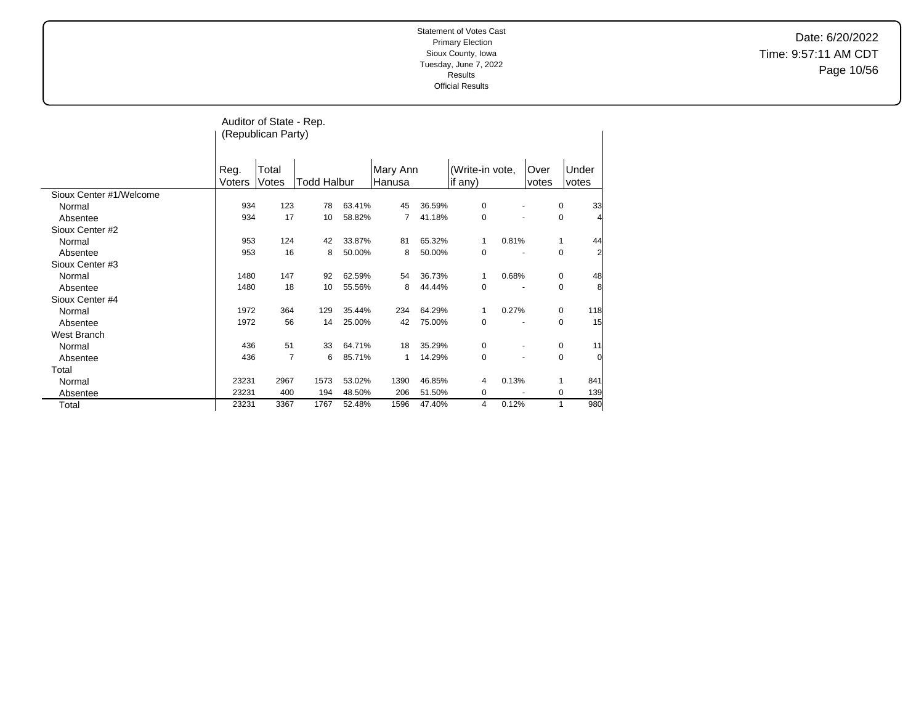Date: 6/20/2022 Time: 9:57:11 AM CDT Page 10/56

|                         |        | Auditor of State - Rep. |             |        |          |        |                 |       |       |                |                |
|-------------------------|--------|-------------------------|-------------|--------|----------|--------|-----------------|-------|-------|----------------|----------------|
|                         |        | (Republican Party)      |             |        |          |        |                 |       |       |                |                |
|                         |        |                         |             |        |          |        |                 |       |       |                |                |
|                         |        |                         |             |        |          |        |                 |       |       |                |                |
|                         | Reg.   | Total                   |             |        | Mary Ann |        | (Write-in vote, |       | Over  |                | Under          |
|                         | Voters | Votes                   | Todd Halbur |        | Hanusa   |        | if any)         |       | votes |                | votes          |
| Sioux Center #1/Welcome |        |                         |             |        |          |        |                 |       |       |                |                |
| Normal                  | 934    | 123                     | 78          | 63.41% | 45       | 36.59% | 0               |       |       | 0              | 33             |
| Absentee                | 934    | 17                      | 10          | 58.82% | 7        | 41.18% | 0               |       |       | 0              |                |
| Sioux Center #2         |        |                         |             |        |          |        |                 |       |       |                |                |
| Normal                  | 953    | 124                     | 42          | 33.87% | 81       | 65.32% | 1               | 0.81% |       | 1              | 44             |
| Absentee                | 953    | 16                      | 8           | 50.00% | 8        | 50.00% | 0               |       |       | $\mathbf 0$    | $\overline{a}$ |
| Sioux Center #3         |        |                         |             |        |          |        |                 |       |       |                |                |
| Normal                  | 1480   | 147                     | 92          | 62.59% | 54       | 36.73% | 1               | 0.68% |       | 0              | 48             |
| Absentee                | 1480   | 18                      | 10          | 55.56% | 8        | 44.44% | 0               |       |       | $\mathbf 0$    | 8              |
| Sioux Center #4         |        |                         |             |        |          |        |                 |       |       |                |                |
| Normal                  | 1972   | 364                     | 129         | 35.44% | 234      | 64.29% | 1               | 0.27% |       | 0              | 118            |
| Absentee                | 1972   | 56                      | 14          | 25.00% | 42       | 75.00% | $\mathbf 0$     |       |       | $\mathbf 0$    | 15             |
| West Branch             |        |                         |             |        |          |        |                 |       |       |                |                |
| Normal                  | 436    | 51                      | 33          | 64.71% | 18       | 35.29% | 0               |       |       | 0              | 11             |
| Absentee                | 436    | 7                       | 6           | 85.71% | 1        | 14.29% | $\mathbf 0$     |       |       | 0              | $\overline{0}$ |
| Total                   |        |                         |             |        |          |        |                 |       |       |                |                |
| Normal                  | 23231  | 2967                    | 1573        | 53.02% | 1390     | 46.85% | 4               | 0.13% |       | 1              | 841            |
| Absentee                | 23231  | 400                     | 194         | 48.50% | 206      | 51.50% | 0               |       |       | 0              | 139            |
| Total                   | 23231  | 3367                    | 1767        | 52.48% | 1596     | 47.40% | 4               | 0.12% |       | $\overline{1}$ | 980            |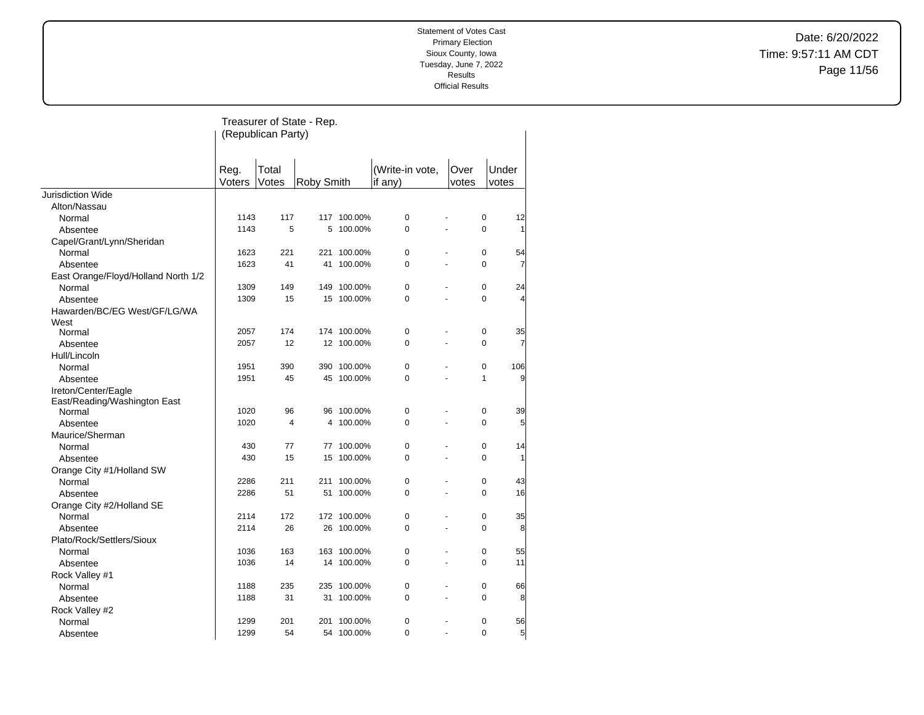Date: 6/20/2022 Time: 9:57:11 AM CDT Page 11/56

|                                     |                | (Republican Party) | Treasurer of State - Rep. |             |                            |                                  |                |
|-------------------------------------|----------------|--------------------|---------------------------|-------------|----------------------------|----------------------------------|----------------|
|                                     | Reg.<br>Voters | Total<br>Votes     | Roby Smith                |             | (Write-in vote,<br>if any) | Over<br>votes                    | Under<br>votes |
| <b>Jurisdiction Wide</b>            |                |                    |                           |             |                            |                                  |                |
| Alton/Nassau                        |                |                    |                           |             |                            |                                  |                |
| Normal                              | 1143           | 117                |                           | 117 100.00% | $\mathbf 0$                | 0                                | 12             |
| Absentee                            | 1143           | 5                  | 5                         | 100.00%     | $\Omega$                   | $\Omega$                         | $\mathbf{1}$   |
| Capel/Grant/Lynn/Sheridan           |                |                    |                           |             |                            |                                  |                |
| Normal                              | 1623           | 221                |                           | 221 100.00% | $\mathbf 0$                | 0                                | 54             |
| Absentee                            | 1623           | 41                 | 41                        | 100.00%     | $\Omega$                   | $\Omega$                         | 7              |
| East Orange/Floyd/Holland North 1/2 |                |                    |                           |             |                            |                                  |                |
| Normal                              | 1309           | 149                | 149                       | 100.00%     | $\mathbf 0$                | 0                                | 24             |
| Absentee                            | 1309           | 15                 | 15                        | 100.00%     | $\Omega$                   | $\Omega$                         | $\overline{4}$ |
| Hawarden/BC/EG West/GF/LG/WA        |                |                    |                           |             |                            |                                  |                |
| West                                |                |                    |                           |             |                            |                                  |                |
| Normal                              | 2057           | 174                |                           | 174 100.00% | $\mathbf 0$                | 0                                | 35             |
| Absentee                            | 2057           | 12                 |                           | 12 100.00%  | $\Omega$                   | $\Omega$                         | 7              |
| Hull/Lincoln                        |                |                    |                           |             |                            |                                  |                |
| Normal                              | 1951           | 390                |                           | 390 100.00% | $\mathbf 0$                | 0                                | 106            |
| Absentee                            | 1951           | 45                 | 45                        | 100.00%     | $\mathbf 0$                | $\mathbf{1}$<br>ä,               | 9              |
| Ireton/Center/Eagle                 |                |                    |                           |             |                            |                                  |                |
| East/Reading/Washington East        |                |                    |                           |             |                            |                                  |                |
| Normal                              | 1020           | 96                 | 96                        | 100.00%     | 0                          | 0                                | 39             |
| Absentee                            | 1020           | $\overline{4}$     | 4                         | 100.00%     | $\mathbf 0$                | 0<br>L.                          | 5              |
| Maurice/Sherman                     |                |                    |                           |             |                            |                                  |                |
| Normal                              | 430            | 77                 |                           | 77 100.00%  | 0                          | 0                                | 14             |
| Absentee                            | 430            | 15                 | 15                        | 100.00%     | $\mathbf 0$                | 0<br>ä,                          | $\mathbf{1}$   |
| Orange City #1/Holland SW           |                |                    |                           |             |                            |                                  |                |
| Normal                              | 2286           | 211                | 211                       | 100.00%     | $\mathbf 0$                | 0                                | 43             |
| Absentee                            | 2286           | 51                 | 51                        | 100.00%     | $\Omega$                   | $\Omega$<br>$\overline{a}$       | 16             |
| Orange City #2/Holland SE           |                |                    |                           |             |                            |                                  |                |
| Normal                              | 2114           | 172                |                           | 172 100.00% | $\mathbf 0$                | $\mathbf 0$                      | 35             |
| Absentee                            | 2114           | 26                 |                           | 26 100.00%  | $\Omega$                   | $\Omega$                         | 8              |
| Plato/Rock/Settlers/Sioux           |                |                    |                           |             |                            |                                  |                |
| Normal                              | 1036           | 163                |                           | 163 100.00% | 0                          | 0<br>ä,                          | 55             |
| Absentee                            | 1036           | 14                 | 14                        | 100.00%     | $\mathbf 0$                | $\Omega$<br>ä,                   | 11             |
| Rock Valley #1                      |                |                    |                           |             |                            |                                  |                |
| Normal                              | 1188           | 235                | 235                       | 100.00%     | $\mathbf 0$                | 0                                | 66             |
| Absentee                            | 1188           | 31                 | 31                        | 100.00%     | $\mathbf 0$                | 0<br>ä,                          | 8              |
| Rock Valley #2                      |                |                    |                           |             |                            |                                  |                |
| Normal                              | 1299           | 201                | 201                       | 100.00%     | $\mathbf 0$                | 0                                | 56             |
| Absentee                            | 1299           | 54                 |                           | 54 100.00%  | $\mathbf 0$                | $\overline{0}$<br>$\overline{a}$ | $\overline{5}$ |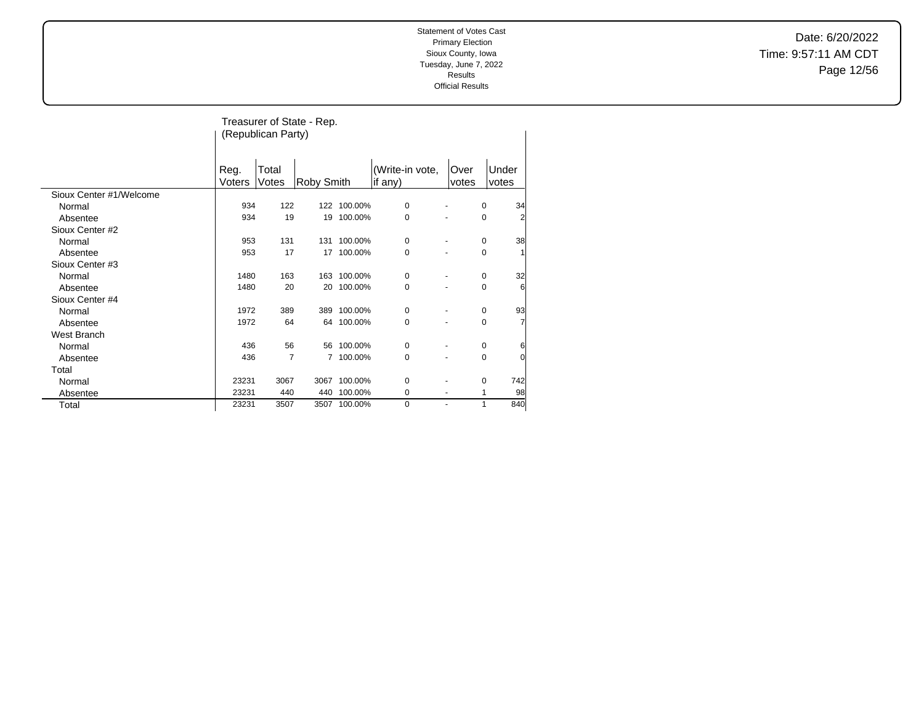Date: 6/20/2022 Time: 9:57:11 AM CDT Page 12/56

|                         |                | (Republican Party) | Treasurer of State - Rep. |             |                            |                          |                |
|-------------------------|----------------|--------------------|---------------------------|-------------|----------------------------|--------------------------|----------------|
|                         | Reg.<br>Voters | Total<br>Votes     | Roby Smith                |             | (Write-in vote,<br>if any) | Over<br>votes            | Under<br>votes |
| Sioux Center #1/Welcome |                |                    |                           |             |                            |                          |                |
| Normal                  | 934            | 122                |                           | 122 100.00% | 0                          | $\overline{\phantom{a}}$ | 34<br>0        |
| Absentee                | 934            | 19                 | 19                        | 100.00%     | 0                          |                          | 2<br>0         |
| Sioux Center #2         |                |                    |                           |             |                            |                          |                |
| Normal                  | 953            | 131                | 131                       | 100.00%     | 0                          |                          | 38<br>0        |
| Absentee                | 953            | 17                 | 17                        | 100.00%     | $\mathbf 0$                |                          | 0<br>1         |
| Sioux Center #3         |                |                    |                           |             |                            |                          |                |
| Normal                  | 1480           | 163                | 163                       | 100.00%     | 0                          |                          | 32<br>0        |
| Absentee                | 1480           | 20                 | 20                        | 100.00%     | 0                          |                          | 0<br>6         |
| Sioux Center #4         |                |                    |                           |             |                            |                          |                |
| Normal                  | 1972           | 389                | 389                       | 100.00%     | 0                          |                          | 93<br>0        |
| Absentee                | 1972           | 64                 | 64                        | 100.00%     | 0                          |                          | 7<br>0         |
| West Branch             |                |                    |                           |             |                            |                          |                |
| Normal                  | 436            | 56                 | 56                        | 100.00%     | 0                          |                          | 6<br>0         |
| Absentee                | 436            | 7                  |                           | 7 100.00%   | 0                          |                          | 0<br>0         |
| Total                   |                |                    |                           |             |                            |                          |                |
| Normal                  | 23231          | 3067               | 3067                      | 100.00%     | 0                          |                          | 742<br>0       |
| Absentee                | 23231          | 440                | 440                       | 100.00%     | 0                          |                          | 98<br>1        |
| Total                   | 23231          | 3507               | 3507                      | 100.00%     | 0                          | $\blacksquare$           | 1<br>840       |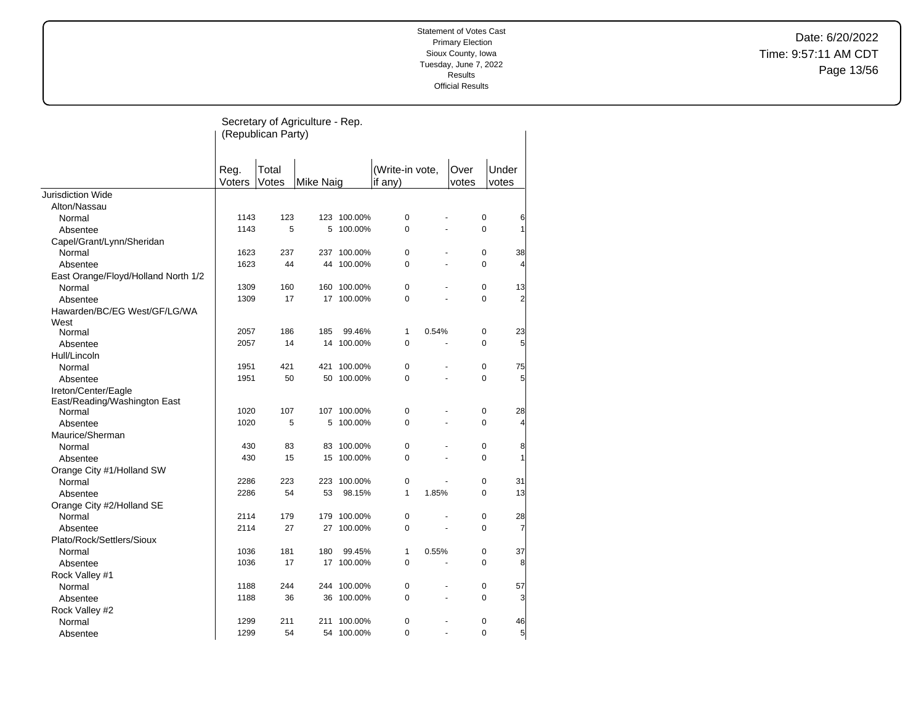Date: 6/20/2022 Time: 9:57:11 AM CDT Page 13/56

|                                     |        | (Republican Party) | Secretary of Agriculture - Rep. |             |                 |                |       |                               |
|-------------------------------------|--------|--------------------|---------------------------------|-------------|-----------------|----------------|-------|-------------------------------|
|                                     | Reg.   | Total              |                                 |             | (Write-in vote, |                | Over  | Under                         |
|                                     | Voters | Votes              | Mike Naig                       |             | if any)         |                | votes | votes                         |
| Jurisdiction Wide                   |        |                    |                                 |             |                 |                |       |                               |
| Alton/Nassau                        | 1143   | 123                |                                 | 123 100.00% | 0               |                |       | 0                             |
| Normal                              | 1143   | 5                  |                                 | 5 100.00%   | $\Omega$        |                |       | 6<br>$\Omega$<br>$\mathbf{1}$ |
| Absentee                            |        |                    |                                 |             |                 |                |       |                               |
| Capel/Grant/Lynn/Sheridan           | 1623   | 237                |                                 | 237 100.00% | 0               |                |       | $\mathbf 0$<br>38             |
| Normal                              | 1623   | 44                 | 44                              | 100.00%     | $\Omega$        | L,             |       | $\Omega$<br>$\overline{4}$    |
| Absentee                            |        |                    |                                 |             |                 |                |       |                               |
| East Orange/Floyd/Holland North 1/2 | 1309   | 160                | 160                             | 100.00%     | 0               |                |       | $\mathbf 0$<br>13             |
| Normal<br>Absentee                  | 1309   | 17                 |                                 | 17 100.00%  | 0               |                |       | $\overline{c}$<br>$\Omega$    |
| Hawarden/BC/EG West/GF/LG/WA        |        |                    |                                 |             |                 |                |       |                               |
| West                                |        |                    |                                 |             |                 |                |       |                               |
| Normal                              | 2057   | 186                | 185                             | 99.46%      | 1               | 0.54%          |       | $\mathbf 0$<br>23             |
| Absentee                            | 2057   | 14                 | 14                              | 100.00%     | 0               |                |       | 5<br>$\Omega$                 |
| Hull/Lincoln                        |        |                    |                                 |             |                 |                |       |                               |
| Normal                              | 1951   | 421                | 421                             | 100.00%     | 0               | ä,             |       | $\mathbf 0$<br>75             |
| Absentee                            | 1951   | 50                 | 50                              | 100.00%     | 0               | $\overline{a}$ |       | 5<br>0                        |
| Ireton/Center/Eagle                 |        |                    |                                 |             |                 |                |       |                               |
| East/Reading/Washington East        |        |                    |                                 |             |                 |                |       |                               |
| Normal                              | 1020   | 107                |                                 | 107 100.00% | 0               |                |       | $\mathbf 0$<br>28             |
| Absentee                            | 1020   | 5                  | 5                               | 100.00%     | 0               |                |       | 0<br>$\overline{4}$           |
| Maurice/Sherman                     |        |                    |                                 |             |                 |                |       |                               |
| Normal                              | 430    | 83                 | 83                              | 100.00%     | 0               |                |       | $\mathbf 0$<br>8              |
| Absentee                            | 430    | 15                 | 15                              | 100.00%     | 0               |                |       | $\mathbf{1}$<br>$\Omega$      |
| Orange City #1/Holland SW           |        |                    |                                 |             |                 |                |       |                               |
| Normal                              | 2286   | 223                | 223                             | 100.00%     | 0               |                |       | 0<br>31                       |
| Absentee                            | 2286   | 54                 | 53                              | 98.15%      | 1               | 1.85%          |       | 13<br>$\Omega$                |
| Orange City #2/Holland SE           |        |                    |                                 |             |                 |                |       |                               |
| Normal                              | 2114   | 179                | 179                             | 100.00%     | 0               |                |       | 0<br>28                       |
| Absentee                            | 2114   | 27                 | 27                              | 100.00%     | 0               |                |       | 0<br>7                        |
| Plato/Rock/Settlers/Sioux           |        |                    |                                 |             |                 |                |       |                               |
| Normal                              | 1036   | 181                | 180                             | 99.45%      | 1               | 0.55%          |       | $\mathbf 0$<br>37             |
| Absentee                            | 1036   | 17                 | 17                              | 100.00%     | 0               |                |       | 8<br>0                        |
| Rock Valley #1                      |        |                    |                                 |             |                 |                |       |                               |
| Normal                              | 1188   | 244                | 244                             | 100.00%     | 0               |                |       | $\mathbf 0$<br>57             |
| Absentee                            | 1188   | 36                 | 36                              | 100.00%     | 0               | $\overline{a}$ |       | 3<br>0                        |
| Rock Valley #2                      |        |                    |                                 |             |                 |                |       |                               |
| Normal                              | 1299   | 211                | 211                             | 100.00%     | 0               |                |       | $\mathbf 0$<br>46             |
| Absentee                            | 1299   | 54                 | 54                              | 100.00%     | $\Omega$        | $\overline{a}$ |       | $\Omega$<br>5                 |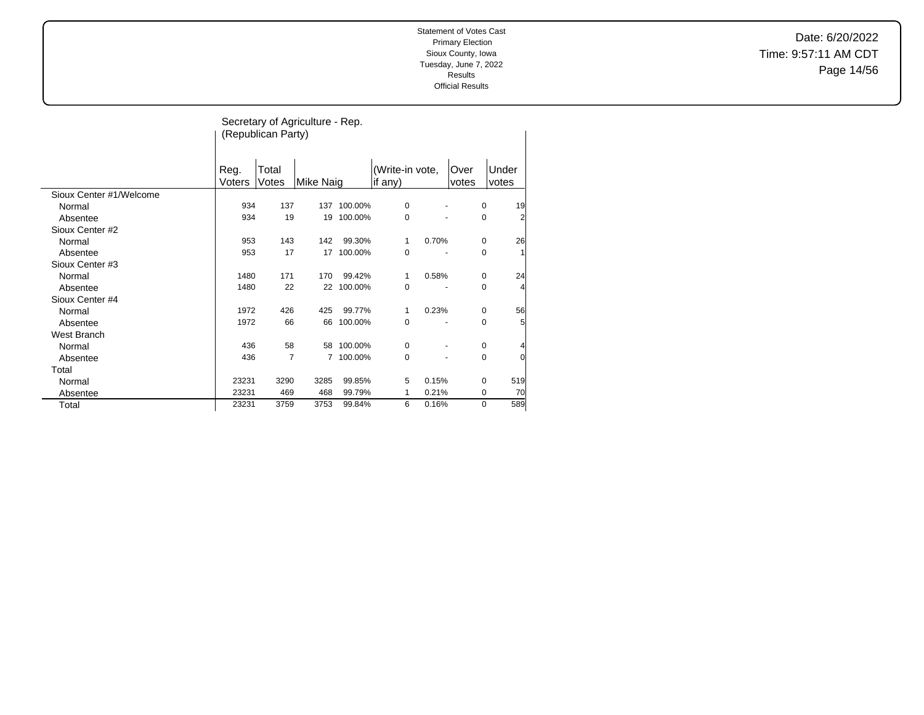Date: 6/20/2022 Time: 9:57:11 AM CDT Page 14/56

|                         |                | (Republican Party) | Secretary of Agriculture - Rep. |         |                            |       |               |                |                |
|-------------------------|----------------|--------------------|---------------------------------|---------|----------------------------|-------|---------------|----------------|----------------|
|                         | Reg.<br>Voters | Total<br>Votes     | <b>Mike Naig</b>                |         | (Write-in vote,<br>if any) |       | Over<br>votes | Under<br>votes |                |
| Sioux Center #1/Welcome |                |                    |                                 |         |                            |       |               |                |                |
| Normal                  | 934            | 137                | 137                             | 100.00% | 0                          |       |               | 0              | 19             |
| Absentee                | 934            | 19                 | 19                              | 100.00% | 0                          |       |               | 0              | $\overline{2}$ |
| Sioux Center #2         |                |                    |                                 |         |                            |       |               |                |                |
| Normal                  | 953            | 143                | 142                             | 99.30%  | 1                          | 0.70% |               | 0              | 26             |
| Absentee                | 953            | 17                 | 17                              | 100.00% | 0                          |       |               | 0              |                |
| Sioux Center #3         |                |                    |                                 |         |                            |       |               |                |                |
| Normal                  | 1480           | 171                | 170                             | 99.42%  | 1                          | 0.58% |               | 0              | 24             |
| Absentee                | 1480           | 22                 | 22                              | 100.00% | 0                          |       |               | 0              | $\overline{4}$ |
| Sioux Center #4         |                |                    |                                 |         |                            |       |               |                |                |
| Normal                  | 1972           | 426                | 425                             | 99.77%  | 1                          | 0.23% |               | 0              | 56             |
| Absentee                | 1972           | 66                 | 66                              | 100.00% | 0                          |       |               | 0              | 5              |
| West Branch             |                |                    |                                 |         |                            |       |               |                |                |
| Normal                  | 436            | 58                 | 58                              | 100.00% | 0                          |       |               | 0              |                |
| Absentee                | 436            | $\overline{7}$     | 7                               | 100.00% | 0                          |       |               | 0              | $\overline{0}$ |
| Total                   |                |                    |                                 |         |                            |       |               |                |                |
| Normal                  | 23231          | 3290               | 3285                            | 99.85%  | 5                          | 0.15% |               | 0              | 519            |
| Absentee                | 23231          | 469                | 468                             | 99.79%  | 1                          | 0.21% |               | 0              | 70             |
| Total                   | 23231          | 3759               | 3753                            | 99.84%  | 6                          | 0.16% |               | 0              | 589            |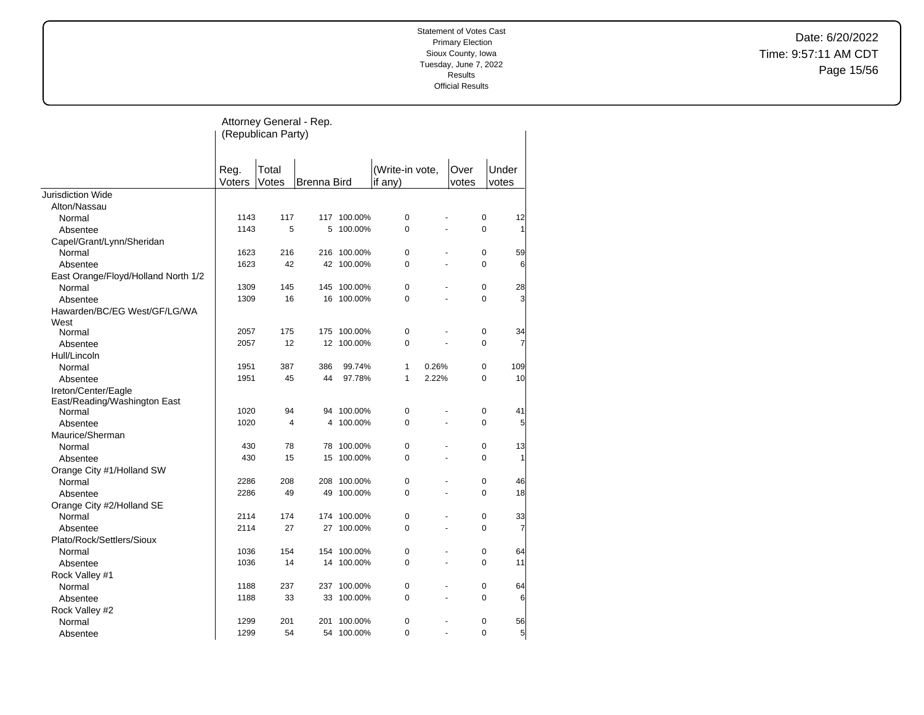Date: 6/20/2022 Time: 9:57:11 AM CDT Page 15/56

|                                     |        | Attorney General - Rep. |                    |             |                 |       |       |                            |
|-------------------------------------|--------|-------------------------|--------------------|-------------|-----------------|-------|-------|----------------------------|
|                                     |        | (Republican Party)      |                    |             |                 |       |       |                            |
|                                     |        |                         |                    |             |                 |       |       |                            |
|                                     |        |                         |                    |             |                 |       |       |                            |
|                                     | Reg.   | Total                   |                    |             | (Write-in vote, |       | Over  | Under                      |
|                                     | Voters | Votes                   | <b>Brenna Bird</b> |             | if any)         |       | votes | votes                      |
| <b>Jurisdiction Wide</b>            |        |                         |                    |             |                 |       |       |                            |
| Alton/Nassau                        |        |                         |                    |             |                 |       |       |                            |
| Normal                              | 1143   | 117                     |                    | 117 100.00% | $\mathbf 0$     |       |       | 0<br>12                    |
| Absentee                            | 1143   | 5                       | 5                  | 100.00%     | $\mathbf 0$     |       |       | $\mathbf 0$<br>1           |
| Capel/Grant/Lynn/Sheridan           |        |                         |                    |             |                 |       |       |                            |
| Normal                              | 1623   | 216                     |                    | 216 100.00% | $\mathbf 0$     |       |       | $\mathbf 0$<br>59          |
| Absentee                            | 1623   | 42                      |                    | 42 100.00%  | $\mathbf 0$     |       |       | $\Omega$<br>6              |
| East Orange/Floyd/Holland North 1/2 |        |                         |                    |             |                 |       |       |                            |
| Normal                              | 1309   | 145                     |                    | 145 100.00% | $\mathbf 0$     |       |       | $\mathbf 0$<br>28          |
| Absentee                            | 1309   | 16                      |                    | 16 100.00%  | $\mathbf 0$     |       |       | $\mathbf 0$<br>3           |
| Hawarden/BC/EG West/GF/LG/WA        |        |                         |                    |             |                 |       |       |                            |
| West                                |        |                         |                    |             |                 |       |       |                            |
| Normal                              | 2057   | 175                     |                    | 175 100.00% | 0               |       |       | 0<br>34                    |
| Absentee                            | 2057   | 12                      |                    | 12 100.00%  | $\Omega$        |       |       | $\Omega$<br>7              |
| Hull/Lincoln                        |        |                         |                    |             |                 |       |       |                            |
| Normal                              | 1951   | 387                     | 386                | 99.74%      | 1               | 0.26% |       | 0<br>109                   |
| Absentee                            | 1951   | 45                      | 44                 | 97.78%      | $\mathbf{1}$    | 2.22% |       | 10<br>$\Omega$             |
| Ireton/Center/Eagle                 |        |                         |                    |             |                 |       |       |                            |
| East/Reading/Washington East        |        |                         |                    |             |                 |       |       |                            |
| Normal                              | 1020   | 94                      |                    | 94 100.00%  | $\mathbf 0$     |       |       | $\pmb{0}$<br>41            |
| Absentee                            | 1020   | $\overline{4}$          | 4                  | 100.00%     | $\mathbf 0$     |       |       | 5<br>$\mathbf 0$           |
| Maurice/Sherman                     |        |                         |                    |             |                 |       |       |                            |
| Normal                              | 430    | 78                      |                    | 78 100.00%  | $\mathbf 0$     |       |       | $\mathbf 0$<br>13          |
| Absentee                            | 430    | 15                      |                    | 15 100.00%  | $\Omega$        |       |       | $\Omega$<br>1              |
| Orange City #1/Holland SW           |        |                         |                    |             |                 |       |       |                            |
| Normal                              | 2286   | 208                     |                    | 208 100.00% | $\mathbf 0$     |       |       | $\mathbf 0$<br>46          |
| Absentee                            | 2286   | 49                      | 49                 | 100.00%     | $\Omega$        |       |       | 18<br>$\Omega$             |
| Orange City #2/Holland SE           |        |                         |                    |             |                 |       |       |                            |
| Normal                              | 2114   | 174                     |                    | 174 100.00% | $\mathbf 0$     |       |       | $\mathbf 0$<br>33          |
| Absentee                            | 2114   | 27                      |                    | 27 100.00%  | $\Omega$        |       |       | $\Omega$<br>7              |
| Plato/Rock/Settlers/Sioux           |        |                         |                    |             |                 |       |       |                            |
| Normal                              | 1036   | 154                     |                    | 154 100.00% | $\mathbf 0$     |       |       | $\mathbf 0$<br>64          |
| Absentee                            | 1036   | 14                      | 14                 | 100.00%     | $\Omega$        |       |       | 11<br>$\Omega$             |
| Rock Valley #1                      |        |                         |                    |             |                 |       |       |                            |
| Normal                              | 1188   | 237                     |                    | 237 100.00% | $\mathbf 0$     |       |       | $\mathbf 0$<br>64          |
| Absentee                            | 1188   | 33                      |                    | 33 100.00%  | $\Omega$        |       |       | $\Omega$<br>6              |
| Rock Valley #2                      |        |                         |                    |             |                 |       |       |                            |
| Normal                              | 1299   | 201                     |                    | 201 100.00% | $\mathbf 0$     |       |       | $\mathbf 0$<br>56          |
| Absentee                            | 1299   | 54                      |                    | 54 100.00%  | $\Omega$        |       |       | 5 <sup>1</sup><br>$\Omega$ |
|                                     |        |                         |                    |             |                 |       |       |                            |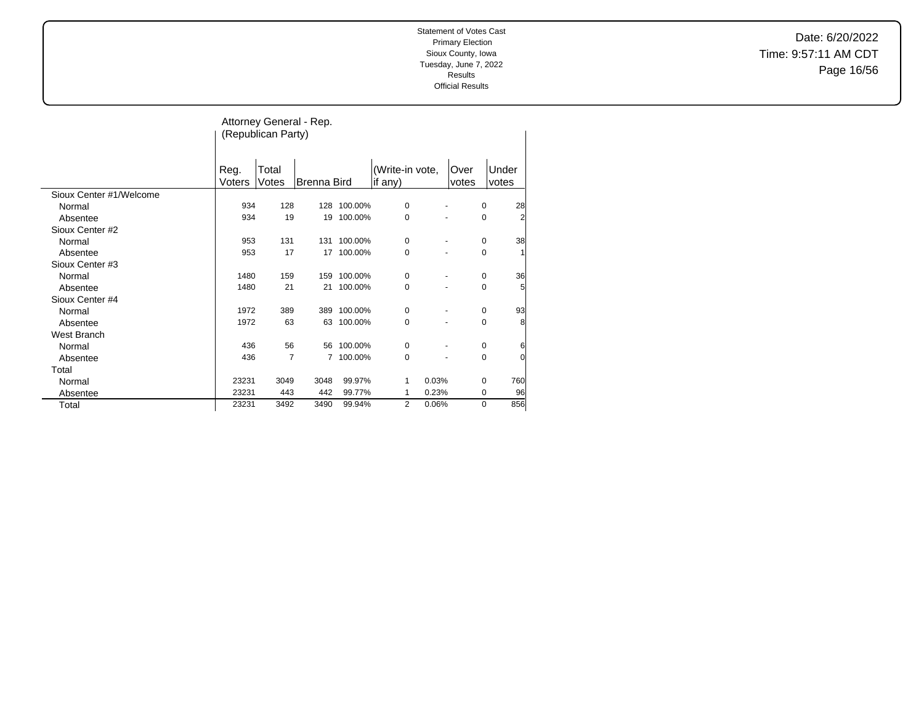Date: 6/20/2022 Time: 9:57:11 AM CDT Page 16/56

|                         |                | (Republican Party) | Attorney General - Rep. |         |                            |                |             |                |
|-------------------------|----------------|--------------------|-------------------------|---------|----------------------------|----------------|-------------|----------------|
|                         | Reg.<br>Voters | Total<br>Votes     | <b>Brenna Bird</b>      |         | (Write-in vote,<br>if any) | Over<br>votes  |             | Under<br>votes |
| Sioux Center #1/Welcome |                |                    |                         |         |                            |                |             |                |
| Normal                  | 934            | 128                | 128                     | 100.00% | 0                          |                | 0           | 28             |
| Absentee                | 934            | 19                 | 19                      | 100.00% | 0                          |                | $\mathbf 0$ | 2              |
| Sioux Center #2         |                |                    |                         |         |                            |                |             |                |
| Normal                  | 953            | 131                | 131                     | 100.00% | 0                          | $\overline{a}$ | 0           | 38             |
| Absentee                | 953            | 17                 | 17                      | 100.00% | 0                          |                | $\mathbf 0$ | $\mathbf{1}$   |
| Sioux Center #3         |                |                    |                         |         |                            |                |             |                |
| Normal                  | 1480           | 159                | 159                     | 100.00% | 0                          |                | 0           | 36             |
| Absentee                | 1480           | 21                 | 21                      | 100.00% | 0                          |                | $\mathbf 0$ | 5              |
| Sioux Center #4         |                |                    |                         |         |                            |                |             |                |
| Normal                  | 1972           | 389                | 389                     | 100.00% | 0                          | $\overline{a}$ | 0           | 93             |
| Absentee                | 1972           | 63                 | 63                      | 100.00% | 0                          |                | $\mathbf 0$ | 8              |
| West Branch             |                |                    |                         |         |                            |                |             |                |
| Normal                  | 436            | 56                 | 56                      | 100.00% | 0                          |                | 0           | 6              |
| Absentee                | 436            | 7                  | $\overline{7}$          | 100.00% | 0                          |                | $\mathbf 0$ | 0              |
| Total                   |                |                    |                         |         |                            |                |             |                |
| Normal                  | 23231          | 3049               | 3048                    | 99.97%  | 0.03%<br>1                 |                | $\mathbf 0$ | 760            |
| Absentee                | 23231          | 443                | 442                     | 99.77%  | 0.23%<br>1                 |                | 0           | 96             |
| Total                   | 23231          | 3492               | 3490                    | 99.94%  | 2<br>0.06%                 |                | 0           | 856            |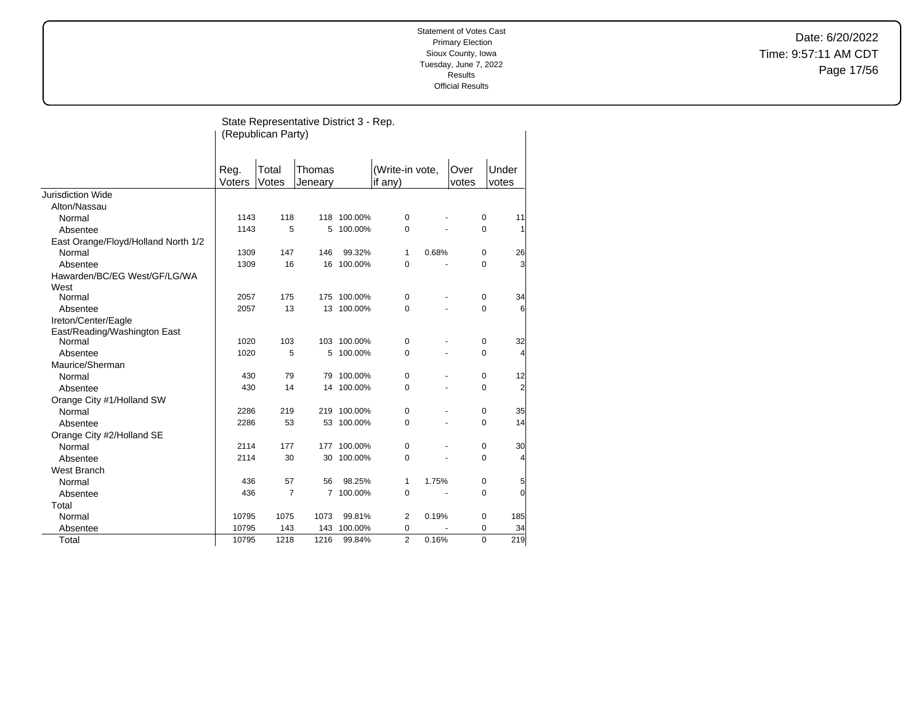Date: 6/20/2022 Time: 9:57:11 AM CDT Page 17/56

|                                                     |                | (Republican Party) | State Representative District 3 - Rep. |             |                            |       |               |                |
|-----------------------------------------------------|----------------|--------------------|----------------------------------------|-------------|----------------------------|-------|---------------|----------------|
|                                                     | Reg.<br>Voters | Total<br>Votes     | Thomas<br>Jeneary                      |             | (Write-in vote,<br>if any) |       | Over<br>votes | Under<br>votes |
| Jurisdiction Wide                                   |                |                    |                                        |             |                            |       |               |                |
| Alton/Nassau                                        |                |                    |                                        |             |                            |       |               |                |
| Normal                                              | 1143           | 118                |                                        | 118 100.00% | $\pmb{0}$                  |       | 0             | 11             |
| Absentee                                            | 1143           | 5                  | 5                                      | 100.00%     | 0                          |       | 0             | 1              |
| East Orange/Floyd/Holland North 1/2                 |                |                    |                                        |             |                            |       |               |                |
| Normal                                              | 1309           | 147                | 146                                    | 99.32%      | 1                          | 0.68% | 0             | 26             |
| Absentee                                            | 1309           | 16                 | 16                                     | 100.00%     | 0                          |       | 0             | 3              |
| Hawarden/BC/EG West/GF/LG/WA<br>West                |                |                    |                                        |             |                            |       |               |                |
| Normal                                              | 2057           | 175                |                                        | 175 100.00% | 0                          |       | 0             | 34             |
| Absentee                                            | 2057           | 13                 | 13                                     | 100.00%     | $\mathbf 0$                |       | $\Omega$      | 6              |
| Ireton/Center/Eagle<br>East/Reading/Washington East |                |                    |                                        |             |                            |       |               |                |
| Normal                                              | 1020           | 103                |                                        | 103 100.00% | $\mathbf 0$                |       | $\pmb{0}$     | 32             |
| Absentee                                            | 1020           | 5                  |                                        | 5 100.00%   | $\mathbf 0$                |       | 0             | 4              |
| Maurice/Sherman                                     |                |                    |                                        |             |                            |       |               |                |
| Normal                                              | 430            | 79                 |                                        | 79 100.00%  | $\mathbf 0$                |       | $\mathbf 0$   | 12             |
| Absentee                                            | 430            | 14                 |                                        | 14 100.00%  | $\mathbf 0$                |       | 0             | $\overline{2}$ |
| Orange City #1/Holland SW                           |                |                    |                                        |             |                            |       |               |                |
| Normal                                              | 2286           | 219                |                                        | 219 100.00% | $\mathbf 0$                |       | $\pmb{0}$     | 35             |
| Absentee                                            | 2286           | 53                 | 53                                     | 100.00%     | $\mathbf 0$                |       | 0             | 14             |
| Orange City #2/Holland SE                           |                |                    |                                        |             |                            |       |               |                |
| Normal                                              | 2114           | 177                | 177                                    | 100.00%     | $\mathbf 0$                |       | 0             | 30             |
| Absentee                                            | 2114           | 30                 | 30                                     | 100.00%     | $\mathbf 0$                |       | 0             | 4              |
| <b>West Branch</b>                                  |                |                    |                                        |             |                            |       |               |                |
| Normal                                              | 436            | 57                 | 56                                     | 98.25%      | $\mathbf{1}$               | 1.75% | 0             | 5              |
| Absentee                                            | 436            | $\overline{7}$     | $\overline{7}$                         | 100.00%     | $\mathbf 0$                |       | 0             | $\overline{0}$ |
| Total                                               |                |                    |                                        |             |                            |       |               |                |
| Normal                                              | 10795          | 1075               | 1073                                   | 99.81%      | 2                          | 0.19% | 0             | 185            |
| Absentee                                            | 10795          | 143                | 143                                    | 100.00%     | 0                          |       | 0             | 34             |
| Total                                               | 10795          | 1218               | 1216                                   | 99.84%      | $\overline{2}$             | 0.16% | $\Omega$      | 219            |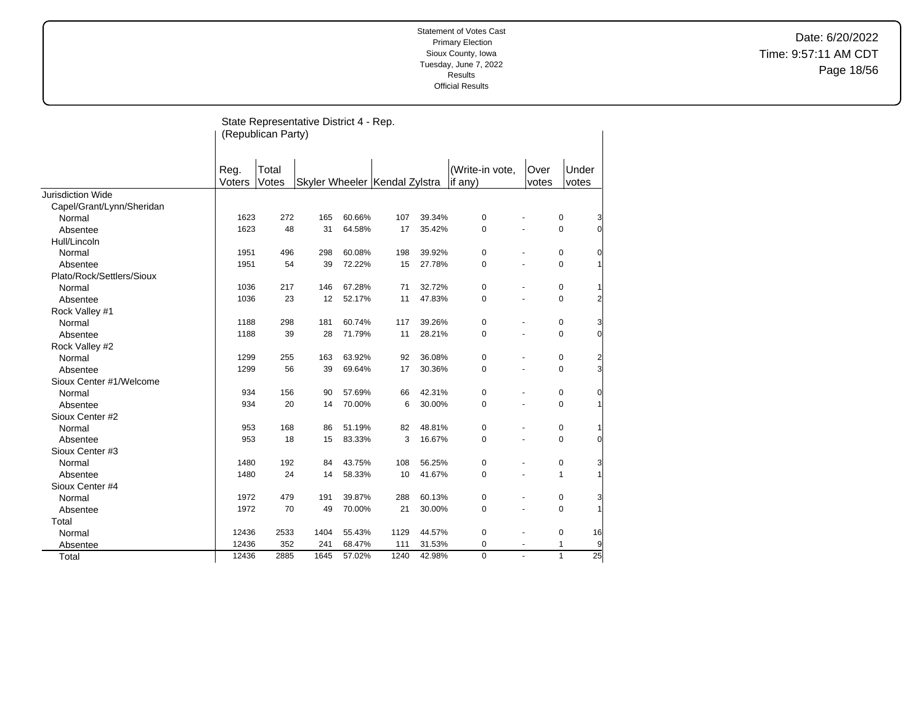Date: 6/20/2022 Time: 9:57:11 AM CDT Page 18/56

|                           |                | (Republican Party) | State Representative District 4 - Rep. |        |                                 |        |                             |                      |                |                 |
|---------------------------|----------------|--------------------|----------------------------------------|--------|---------------------------------|--------|-----------------------------|----------------------|----------------|-----------------|
|                           | Reg.<br>Voters | Total<br>Votes     |                                        |        | Skyler Wheeler   Kendal Zylstra |        | (Write-in vote,<br>lif any) | <b>Over</b><br>votes | Under<br>votes |                 |
| Jurisdiction Wide         |                |                    |                                        |        |                                 |        |                             |                      |                |                 |
| Capel/Grant/Lynn/Sheridan |                |                    |                                        |        |                                 |        |                             |                      |                |                 |
| Normal                    | 1623           | 272                | 165                                    | 60.66% | 107                             | 39.34% | $\pmb{0}$                   |                      | 0              | 3               |
| Absentee                  | 1623           | 48                 | 31                                     | 64.58% | 17                              | 35.42% | $\mathbf 0$                 |                      | $\mathbf 0$    | $\overline{0}$  |
| Hull/Lincoln              |                |                    |                                        |        |                                 |        |                             |                      |                |                 |
| Normal                    | 1951           | 496                | 298                                    | 60.08% | 198                             | 39.92% | $\pmb{0}$                   |                      | 0              | 0               |
| Absentee                  | 1951           | 54                 | 39                                     | 72.22% | 15                              | 27.78% | $\mathbf 0$                 |                      | 0              | 1               |
| Plato/Rock/Settlers/Sioux |                |                    |                                        |        |                                 |        |                             |                      |                |                 |
| Normal                    | 1036           | 217                | 146                                    | 67.28% | 71                              | 32.72% | $\mathbf 0$                 |                      | 0              |                 |
| Absentee                  | 1036           | 23                 | 12                                     | 52.17% | 11                              | 47.83% | $\mathbf 0$                 |                      | 0              | 2               |
| Rock Valley #1            |                |                    |                                        |        |                                 |        |                             |                      |                |                 |
| Normal                    | 1188           | 298                | 181                                    | 60.74% | 117                             | 39.26% | $\pmb{0}$                   |                      | $\pmb{0}$      | 3               |
| Absentee                  | 1188           | 39                 | 28                                     | 71.79% | 11                              | 28.21% | $\mathbf 0$                 |                      | $\mathbf 0$    | $\overline{0}$  |
| Rock Valley #2            |                |                    |                                        |        |                                 |        |                             |                      |                |                 |
| Normal                    | 1299           | 255                | 163                                    | 63.92% | 92                              | 36.08% | 0                           |                      | 0              | $\overline{c}$  |
| Absentee                  | 1299           | 56                 | 39                                     | 69.64% | 17                              | 30.36% | $\Omega$                    |                      | 0              | $\overline{3}$  |
| Sioux Center #1/Welcome   |                |                    |                                        |        |                                 |        |                             |                      |                |                 |
| Normal                    | 934            | 156                | 90                                     | 57.69% | 66                              | 42.31% | 0                           |                      | 0              | 0               |
| Absentee                  | 934            | 20                 | 14                                     | 70.00% | 6                               | 30.00% | $\Omega$                    |                      | $\Omega$       | $\mathbf{1}$    |
| Sioux Center #2           |                |                    |                                        |        |                                 |        |                             |                      |                |                 |
| Normal                    | 953            | 168                | 86                                     | 51.19% | 82                              | 48.81% | $\pmb{0}$                   |                      | 0              |                 |
| Absentee                  | 953            | 18                 | 15                                     | 83.33% | 3                               | 16.67% | $\Omega$                    |                      | $\Omega$       | $\overline{0}$  |
| Sioux Center #3           |                |                    |                                        |        |                                 |        |                             |                      |                |                 |
| Normal                    | 1480           | 192                | 84                                     | 43.75% | 108                             | 56.25% | 0                           |                      | 0              | 3               |
| Absentee                  | 1480           | 24                 | 14                                     | 58.33% | 10                              | 41.67% | $\mathbf 0$                 |                      | 1              | 1               |
| Sioux Center #4           |                |                    |                                        |        |                                 |        |                             |                      |                |                 |
| Normal                    | 1972           | 479                | 191                                    | 39.87% | 288                             | 60.13% | $\pmb{0}$                   |                      | 0              | 3               |
| Absentee                  | 1972           | 70                 | 49                                     | 70.00% | 21                              | 30.00% | $\mathbf 0$                 |                      | 0              | 1               |
| Total                     |                |                    |                                        |        |                                 |        |                             |                      |                |                 |
| Normal                    | 12436          | 2533               | 1404                                   | 55.43% | 1129                            | 44.57% | 0                           |                      | 0              | 16              |
| Absentee                  | 12436          | 352                | 241                                    | 68.47% | 111                             | 31.53% | 0                           |                      | 1              | 9               |
| Total                     | 12436          | 2885               | 1645                                   | 57.02% | 1240                            | 42.98% | 0                           | $\blacksquare$       | $\mathbf{1}$   | $\overline{25}$ |
|                           |                |                    |                                        |        |                                 |        |                             |                      |                |                 |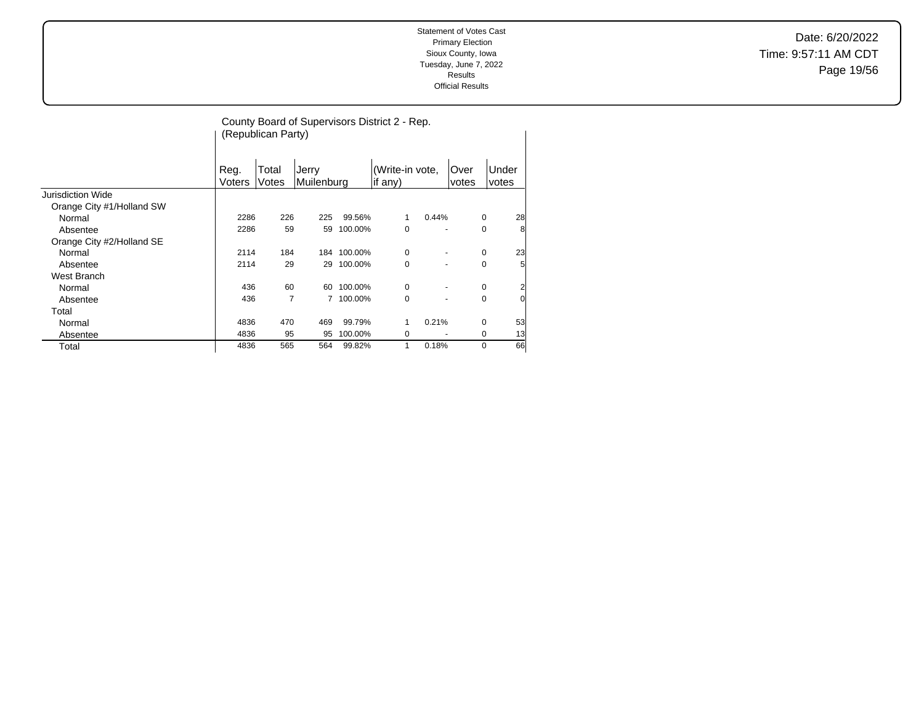Date: 6/20/2022 Time: 9:57:11 AM CDT Page 19/56

|                           |                | (Republican Party) |                     |             | County Board of Supervisors District 2 - Rep. |       |                      |          |                |
|---------------------------|----------------|--------------------|---------------------|-------------|-----------------------------------------------|-------|----------------------|----------|----------------|
|                           | Reg.<br>Voters | Total<br>Votes     | Jerry<br>Muilenburg |             | (Write-in vote,<br>if any)                    |       | <b>Over</b><br>votes |          | Under<br>votes |
| Jurisdiction Wide         |                |                    |                     |             |                                               |       |                      |          |                |
| Orange City #1/Holland SW |                |                    |                     |             |                                               |       |                      |          |                |
| Normal                    | 2286           | 226                | 225                 | 99.56%      | 1                                             | 0.44% |                      | 0        | 28             |
| Absentee                  | 2286           | 59                 | 59                  | 100.00%     | 0                                             |       |                      | 0        | 8              |
| Orange City #2/Holland SE |                |                    |                     |             |                                               |       |                      |          |                |
| Normal                    | 2114           | 184                |                     | 184 100.00% | 0                                             |       |                      | 0        | 23             |
| Absentee                  | 2114           | 29                 | 29                  | 100.00%     | 0                                             |       |                      | 0        | 5              |
| West Branch               |                |                    |                     |             |                                               |       |                      |          |                |
| Normal                    | 436            | 60                 | 60                  | 100.00%     | 0                                             |       |                      | 0        | 2              |
| Absentee                  | 436            | 7                  |                     | 100.00%     | 0                                             | ٠     |                      | 0        | $\Omega$       |
| Total                     |                |                    |                     |             |                                               |       |                      |          |                |
| Normal                    | 4836           | 470                | 469                 | 99.79%      | 1                                             | 0.21% |                      | 0        | 53             |
| Absentee                  | 4836           | 95                 | 95                  | 100.00%     | 0                                             |       |                      | 0        | 13             |
| Total                     | 4836           | 565                | 564                 | 99.82%      | 1                                             | 0.18% |                      | $\Omega$ | 66             |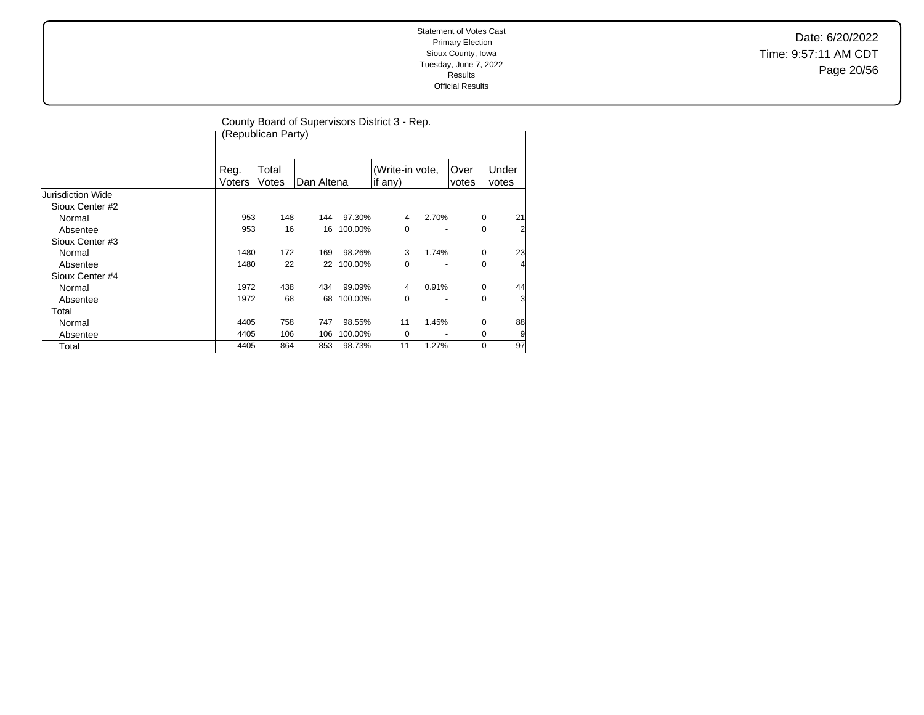Date: 6/20/2022 Time: 9:57:11 AM CDT Page 20/56

|                          |                | (Republican Party) |            |         | County Board of Supervisors District 3 - Rep. |       |                |             |                |
|--------------------------|----------------|--------------------|------------|---------|-----------------------------------------------|-------|----------------|-------------|----------------|
|                          | Reg.<br>Voters | Total<br>Votes     | Dan Altena |         | (Write-in vote,<br>if any)                    |       | lOver<br>votes |             | Under<br>votes |
| <b>Jurisdiction Wide</b> |                |                    |            |         |                                               |       |                |             |                |
| Sioux Center #2          |                |                    |            |         |                                               |       |                |             |                |
| Normal                   | 953            | 148                | 144        | 97.30%  | 4                                             | 2.70% |                | 0           | 21             |
| Absentee                 | 953            | 16                 | 16         | 100.00% | 0                                             |       |                | 0           | $\overline{2}$ |
| Sioux Center #3          |                |                    |            |         |                                               |       |                |             |                |
| Normal                   | 1480           | 172                | 169        | 98.26%  | 3                                             | 1.74% |                | 0           | 23             |
| Absentee                 | 1480           | 22                 | 22         | 100.00% | 0                                             |       |                | 0           | 4              |
| Sioux Center #4          |                |                    |            |         |                                               |       |                |             |                |
| Normal                   | 1972           | 438                | 434        | 99.09%  | 4                                             | 0.91% |                | $\mathbf 0$ | 44             |
| Absentee                 | 1972           | 68                 | 68         | 100.00% | $\Omega$                                      |       |                | 0           | 3              |
| Total                    |                |                    |            |         |                                               |       |                |             |                |
| Normal                   | 4405           | 758                | 747        | 98.55%  | 11                                            | 1.45% |                | 0           | 88             |
| Absentee                 | 4405           | 106                | 106        | 100.00% | 0                                             |       |                | 0           | 9              |
| Total                    | 4405           | 864                | 853        | 98.73%  | 11                                            | 1.27% |                | 0           | 97             |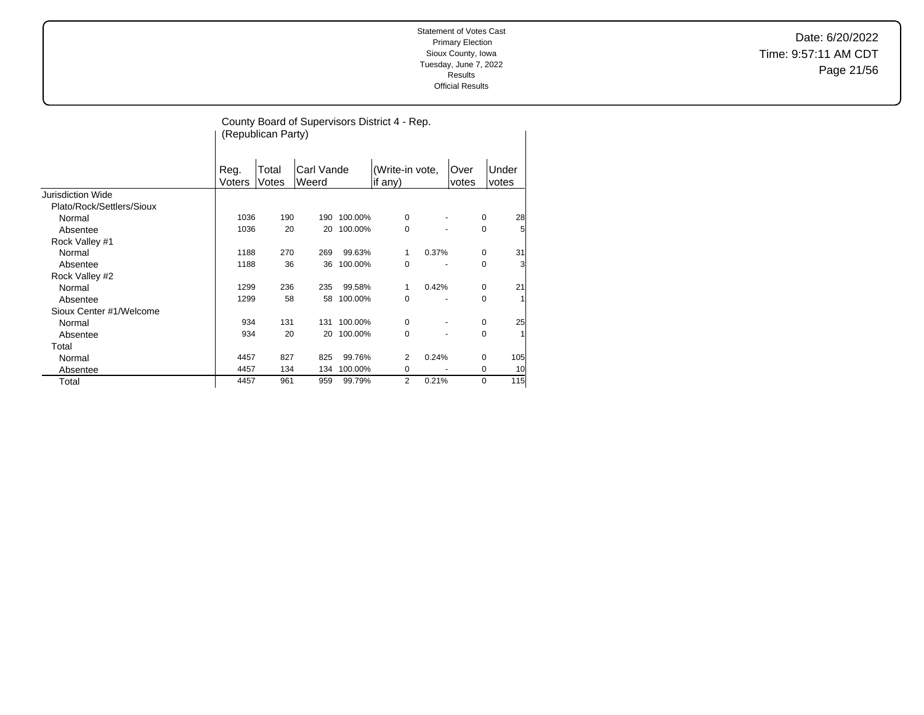Date: 6/20/2022 Time: 9:57:11 AM CDT Page 21/56

|                           |                | (Republican Party) |                     |         | County Board of Supervisors District 4 - Rep. |       |               |                   |
|---------------------------|----------------|--------------------|---------------------|---------|-----------------------------------------------|-------|---------------|-------------------|
|                           | Reg.<br>Voters | Total<br>Votes     | Carl Vande<br>Weerd |         | (Write-in vote,<br>if any)                    |       | Over<br>votes | Under<br>votes    |
| <b>Jurisdiction Wide</b>  |                |                    |                     |         |                                               |       |               |                   |
| Plato/Rock/Settlers/Sioux |                |                    |                     |         |                                               |       |               |                   |
| Normal                    | 1036           | 190                | 190                 | 100.00% | 0                                             |       |               | 28<br>0           |
| Absentee                  | 1036           | 20                 | 20                  | 100.00% | 0                                             |       |               | 5<br>0            |
| Rock Valley #1            |                |                    |                     |         |                                               |       |               |                   |
| Normal                    | 1188           | 270                | 269                 | 99.63%  | 1                                             | 0.37% |               | 31<br>0           |
| Absentee                  | 1188           | 36                 | 36                  | 100.00% | 0                                             |       |               | 3<br>0            |
| Rock Valley #2            |                |                    |                     |         |                                               |       |               |                   |
| Normal                    | 1299           | 236                | 235                 | 99.58%  | 1                                             | 0.42% |               | 21<br>0           |
| Absentee                  | 1299           | 58                 | 58                  | 100.00% | 0                                             |       |               | $\mathbf{1}$<br>0 |
| Sioux Center #1/Welcome   |                |                    |                     |         |                                               |       |               |                   |
| Normal                    | 934            | 131                | 131                 | 100.00% | 0                                             |       |               | 25<br>0           |
| Absentee                  | 934            | 20                 | 20                  | 100.00% | 0                                             |       |               | $\mathbf{1}$<br>0 |
| Total                     |                |                    |                     |         |                                               |       |               |                   |
| Normal                    | 4457           | 827                | 825                 | 99.76%  | 2                                             | 0.24% |               | 105<br>0          |
| Absentee                  | 4457           | 134                | 134                 | 100.00% | 0                                             |       |               | 10<br>0           |
| Total                     | 4457           | 961                | 959                 | 99.79%  | $\overline{2}$                                | 0.21% |               | 0<br>115          |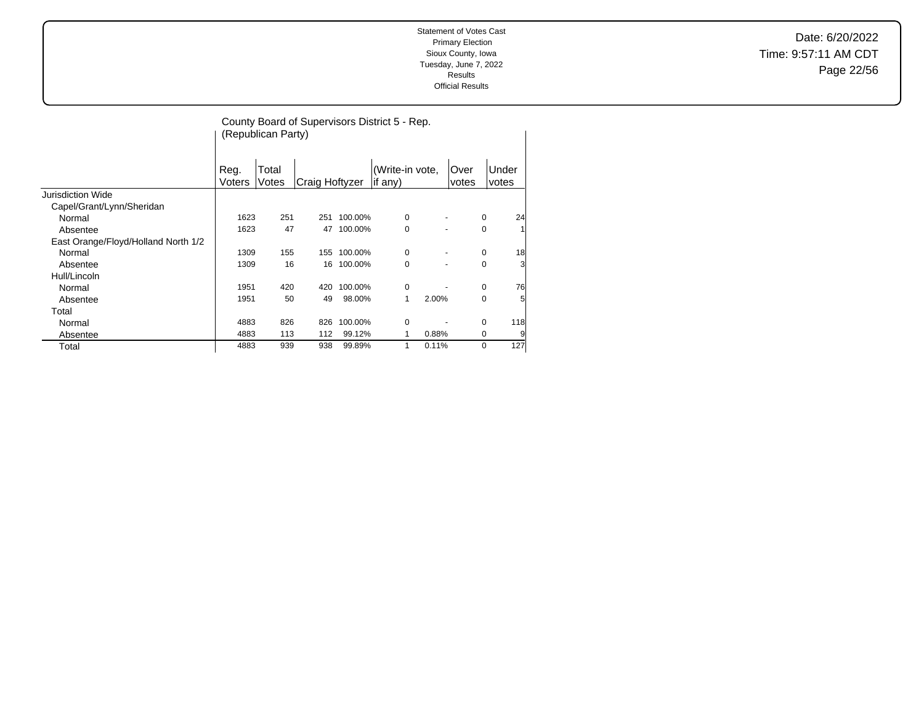Date: 6/20/2022 Time: 9:57:11 AM CDT Page 22/56

|                                     |        | (Republican Party) |                       |         | County Board of Supervisors District 5 - Rep. |       |       |             |     |
|-------------------------------------|--------|--------------------|-----------------------|---------|-----------------------------------------------|-------|-------|-------------|-----|
|                                     |        |                    |                       |         |                                               |       |       |             |     |
|                                     |        |                    |                       |         |                                               |       |       |             |     |
|                                     | Reg.   | Total              |                       |         | (Write-in vote,                               |       | Over  | Under       |     |
|                                     | Voters | Votes              | <b>Craig Hoftyzer</b> |         | lif anv)                                      |       | votes | votes       |     |
| <b>Jurisdiction Wide</b>            |        |                    |                       |         |                                               |       |       |             |     |
| Capel/Grant/Lynn/Sheridan           |        |                    |                       |         |                                               |       |       |             |     |
| Normal                              | 1623   | 251                | 251                   | 100.00% | 0                                             |       |       | 0           | 24  |
| Absentee                            | 1623   | 47                 | 47                    | 100.00% | 0                                             |       |       | 0           |     |
| East Orange/Floyd/Holland North 1/2 |        |                    |                       |         |                                               |       |       |             |     |
| Normal                              | 1309   | 155                | 155                   | 100.00% | 0                                             |       |       | 0           | 18  |
| Absentee                            | 1309   | 16                 | 16                    | 100.00% | 0                                             |       |       | $\mathbf 0$ | 3   |
| Hull/Lincoln                        |        |                    |                       |         |                                               |       |       |             |     |
| Normal                              | 1951   | 420                | 420                   | 100.00% | 0                                             |       |       | 0           | 76  |
| Absentee                            | 1951   | 50                 | 49                    | 98.00%  | 1                                             | 2.00% |       | $\mathbf 0$ | 5   |
| Total                               |        |                    |                       |         |                                               |       |       |             |     |
| Normal                              | 4883   | 826                | 826                   | 100.00% | 0                                             |       |       | $\mathbf 0$ | 118 |
| Absentee                            | 4883   | 113                | 112                   | 99.12%  | 1                                             | 0.88% |       | 0           | 9   |
| Total                               | 4883   | 939                | 938                   | 99.89%  | 1                                             | 0.11% |       | $\mathbf 0$ | 127 |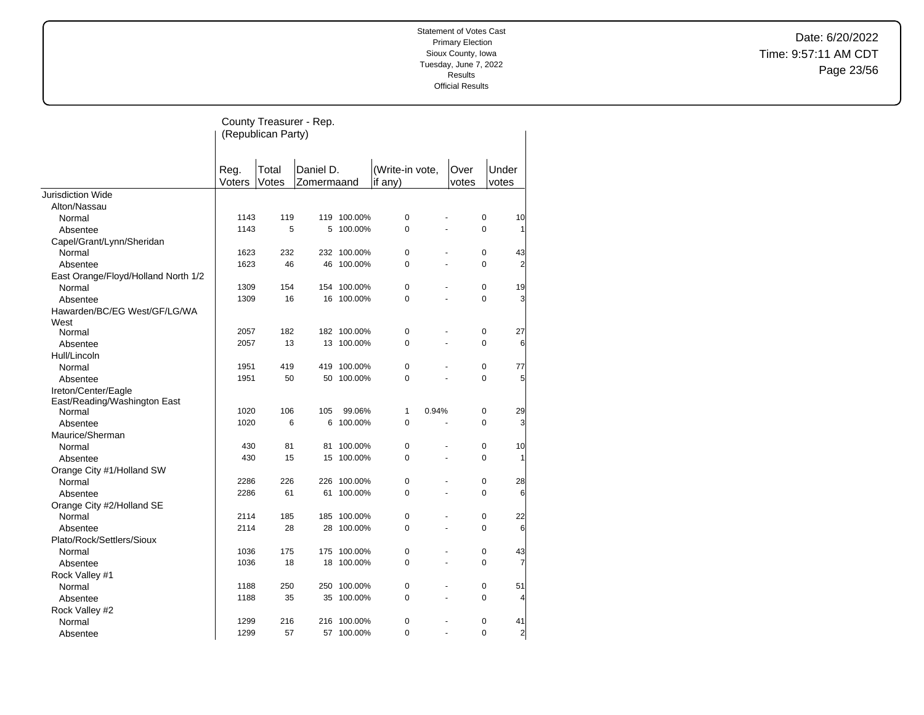Date: 6/20/2022 Time: 9:57:11 AM CDT Page 23/56

|                                     |        | (Republican Party) | County Treasurer - Rep. |             |                 |       |             |                 |
|-------------------------------------|--------|--------------------|-------------------------|-------------|-----------------|-------|-------------|-----------------|
|                                     |        |                    |                         |             |                 |       |             |                 |
|                                     | Reg.   | Total              | Daniel D.               |             | (Write-in vote, |       | Over        | Under           |
|                                     | Voters | Votes              | Zomermaand              |             | if $any)$       |       | votes       | votes           |
| Jurisdiction Wide                   |        |                    |                         |             |                 |       |             |                 |
| Alton/Nassau                        |        |                    |                         |             |                 |       |             |                 |
| Normal                              | 1143   | 119                |                         | 119 100.00% | $\pmb{0}$       |       | $\pmb{0}$   | 10              |
| Absentee                            | 1143   | 5                  | 5                       | 100.00%     | $\mathbf 0$     |       | $\mathbf 0$ | 1               |
| Capel/Grant/Lynn/Sheridan           |        |                    |                         |             |                 |       |             |                 |
| Normal                              | 1623   | 232                |                         | 232 100.00% | $\mathbf 0$     |       | $\pmb{0}$   | 43              |
| Absentee                            | 1623   | 46                 |                         | 46 100.00%  | $\Omega$        |       | $\Omega$    | $\overline{2}$  |
| East Orange/Floyd/Holland North 1/2 |        |                    |                         |             |                 |       |             |                 |
| Normal                              | 1309   | 154                |                         | 154 100.00% | $\mathbf 0$     |       | $\mathbf 0$ | 19              |
| Absentee                            | 1309   | 16                 |                         | 16 100.00%  | $\Omega$        |       | $\Omega$    | 3               |
| Hawarden/BC/EG West/GF/LG/WA        |        |                    |                         |             |                 |       |             |                 |
| West                                |        |                    |                         |             |                 |       |             |                 |
| Normal                              | 2057   | 182                |                         | 182 100.00% | 0               |       | 0           | 27              |
| Absentee                            | 2057   | 13                 |                         | 13 100.00%  | $\mathbf 0$     |       | 0           | 6               |
| Hull/Lincoln                        |        |                    |                         |             |                 |       |             |                 |
| Normal                              | 1951   | 419                |                         | 419 100.00% | 0               |       | 0           | 77              |
| Absentee                            | 1951   | 50                 |                         | 50 100.00%  | $\mathbf 0$     |       | $\Omega$    | $5\overline{5}$ |
| Ireton/Center/Eagle                 |        |                    |                         |             |                 |       |             |                 |
| East/Reading/Washington East        |        |                    |                         |             |                 |       |             |                 |
| Normal                              | 1020   | 106                | 105                     | 99.06%      | $\mathbf{1}$    | 0.94% | $\mathbf 0$ | 29              |
| Absentee                            | 1020   | 6                  | 6                       | 100.00%     | $\Omega$        |       | $\Omega$    | 3               |
| Maurice/Sherman                     |        |                    |                         |             |                 |       |             |                 |
| Normal                              | 430    | 81                 |                         | 81 100.00%  | $\mathbf 0$     |       | $\mathbf 0$ | 10              |
| Absentee                            | 430    | 15                 |                         | 15 100.00%  | $\mathbf 0$     |       | $\mathbf 0$ | 1               |
| Orange City #1/Holland SW           |        |                    |                         |             |                 |       |             |                 |
| Normal                              | 2286   | 226                |                         | 226 100.00% | $\mathbf 0$     |       | $\mathbf 0$ | 28              |
| Absentee                            | 2286   | 61                 | 61                      | 100.00%     | $\Omega$        |       | $\Omega$    | 6               |
| Orange City #2/Holland SE           |        |                    |                         |             |                 |       |             |                 |
| Normal                              | 2114   | 185                |                         | 185 100.00% | $\mathbf 0$     |       | $\mathbf 0$ | 22              |
| Absentee                            | 2114   | 28                 |                         | 28 100.00%  | $\Omega$        |       | $\Omega$    | 6               |
| Plato/Rock/Settlers/Sioux           |        |                    |                         |             |                 |       |             |                 |
| Normal                              | 1036   | 175                |                         | 175 100.00% | $\pmb{0}$       |       | 0           | 43              |
| Absentee                            | 1036   | 18                 | 18                      | 100.00%     | $\mathbf 0$     |       | $\mathbf 0$ | 7               |
| Rock Valley #1                      |        |                    |                         |             |                 |       |             |                 |
| Normal                              | 1188   | 250                |                         | 250 100.00% | $\pmb{0}$       |       | $\pmb{0}$   | 51              |
| Absentee                            | 1188   | 35                 | 35                      | 100.00%     | $\Omega$        |       | $\Omega$    | 4               |
| Rock Valley #2                      |        |                    |                         |             |                 |       |             |                 |
| Normal                              | 1299   | 216                |                         | 216 100.00% | $\mathbf 0$     |       | $\mathbf 0$ | 41              |
| Absentee                            | 1299   | 57                 |                         | 57 100.00%  | $\Omega$        |       | $\Omega$    | $\overline{2}$  |
|                                     |        |                    |                         |             |                 |       |             |                 |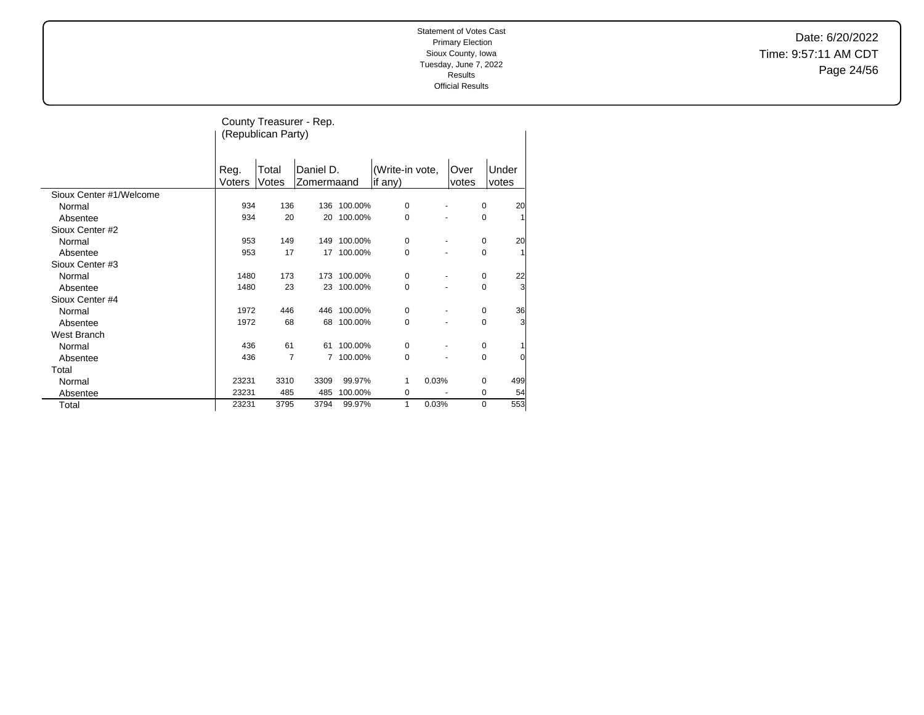Date: 6/20/2022 Time: 9:57:11 AM CDT Page 24/56

|                         |                | (Republican Party) | County Treasurer - Rep. |         |                            |               |             |                |
|-------------------------|----------------|--------------------|-------------------------|---------|----------------------------|---------------|-------------|----------------|
|                         | Reg.<br>Voters | Total<br>Votes     | Daniel D.<br>Zomermaand |         | (Write-in vote,<br>if any) | Over<br>votes |             | Under<br>votes |
| Sioux Center #1/Welcome |                |                    |                         |         |                            |               |             |                |
| Normal                  | 934            | 136                | 136                     | 100.00% | $\mathbf 0$                |               | $\mathbf 0$ | 20             |
| Absentee                | 934            | 20                 | 20                      | 100.00% | $\mathbf 0$                |               | 0           | 1              |
| Sioux Center #2         |                |                    |                         |         |                            |               |             |                |
| Normal                  | 953            | 149                | 149                     | 100.00% | 0                          |               | $\mathbf 0$ | 20             |
| Absentee                | 953            | 17                 | 17                      | 100.00% | $\mathbf 0$                |               | 0           | $\mathbf{1}$   |
| Sioux Center #3         |                |                    |                         |         |                            |               |             |                |
| Normal                  | 1480           | 173                | 173                     | 100.00% | $\mathbf 0$                |               | $\mathbf 0$ | 22             |
| Absentee                | 1480           | 23                 | 23                      | 100.00% | 0                          |               | 0           | 3              |
| Sioux Center #4         |                |                    |                         |         |                            |               |             |                |
| Normal                  | 1972           | 446                | 446                     | 100.00% | 0                          |               | $\mathbf 0$ | 36             |
| Absentee                | 1972           | 68                 | 68                      | 100.00% | $\mathbf 0$                |               | 0           | 3              |
| West Branch             |                |                    |                         |         |                            |               |             |                |
| Normal                  | 436            | 61                 | 61                      | 100.00% | $\mathbf 0$                |               | $\mathbf 0$ |                |
| Absentee                | 436            | $\overline{7}$     | 7                       | 100.00% | $\mathbf 0$                |               | $\mathbf 0$ | 0              |
| Total                   |                |                    |                         |         |                            |               |             |                |
| Normal                  | 23231          | 3310               | 3309                    | 99.97%  | 1                          | 0.03%         | 0           | 499            |
| Absentee                | 23231          | 485                | 485                     | 100.00% | 0                          |               | $\mathbf 0$ | 54             |
| Total                   | 23231          | 3795               | 3794                    | 99.97%  | 1                          | 0.03%         | $\mathbf 0$ | 553            |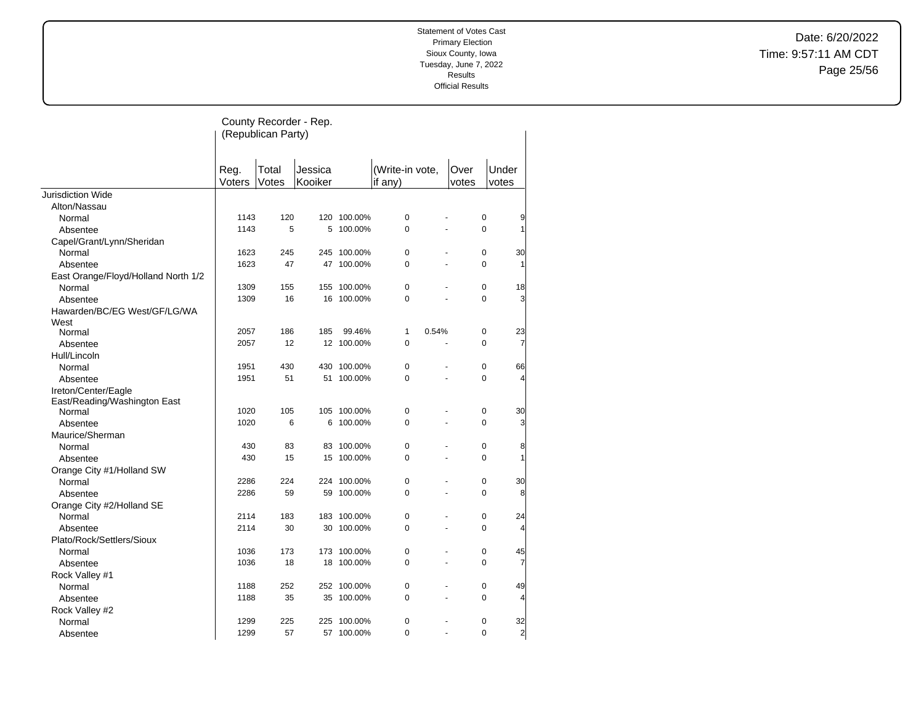Date: 6/20/2022 Time: 9:57:11 AM CDT Page 25/56

|                                     |                | County Recorder - Rep.<br>(Republican Party) |                    |             |                              |       |                |                |
|-------------------------------------|----------------|----------------------------------------------|--------------------|-------------|------------------------------|-------|----------------|----------------|
|                                     | Reg.<br>Voters | Total<br>Votes                               | Jessica<br>Kooiker |             | (Write-in vote,<br>if $any)$ |       | Over<br>votes  | Under<br>votes |
| Jurisdiction Wide                   |                |                                              |                    |             |                              |       |                |                |
| Alton/Nassau                        |                |                                              |                    |             |                              |       |                |                |
| Normal                              | 1143           | 120                                          |                    | 120 100.00% | 0                            |       | 0              | 9              |
| Absentee                            | 1143           | 5                                            | 5                  | 100.00%     | $\Omega$                     | L.    | $\Omega$       | 1              |
| Capel/Grant/Lynn/Sheridan           |                |                                              |                    |             |                              |       |                |                |
| Normal                              | 1623           | 245                                          | 245                | 100.00%     | 0                            |       | 0              | 30             |
| Absentee                            | 1623           | 47                                           |                    | 47 100.00%  | $\Omega$                     | ä,    | $\Omega$       | 1              |
| East Orange/Floyd/Holland North 1/2 |                |                                              |                    |             |                              |       |                |                |
| Normal                              | 1309           | 155                                          | 155                | 100.00%     | 0                            |       | $\pmb{0}$      | 18             |
| Absentee                            | 1309           | 16                                           |                    | 16 100.00%  | 0                            |       | $\Omega$       | 3              |
| Hawarden/BC/EG West/GF/LG/WA        |                |                                              |                    |             |                              |       |                |                |
| West                                |                |                                              |                    |             |                              |       |                |                |
| Normal                              | 2057           | 186                                          | 185                | 99.46%      | 1                            | 0.54% | $\pmb{0}$      | 23             |
| Absentee                            | 2057           | 12                                           |                    | 12 100.00%  | 0                            |       | 0              | 7              |
| Hull/Lincoln                        |                |                                              |                    |             |                              |       |                |                |
| Normal                              | 1951           | 430                                          |                    | 430 100.00% | 0                            |       | $\mathbf 0$    | 66             |
| Absentee                            | 1951           | 51                                           | 51                 | 100.00%     | 0                            |       | $\mathbf 0$    | 4              |
| Ireton/Center/Eagle                 |                |                                              |                    |             |                              |       |                |                |
| East/Reading/Washington East        |                |                                              |                    |             |                              |       |                |                |
| Normal                              | 1020           | 105                                          |                    | 105 100.00% | 0                            | ä,    | $\mathbf 0$    | 30             |
| Absentee                            | 1020           | 6                                            | 6                  | 100.00%     | 0                            |       | $\overline{0}$ | 3              |
| Maurice/Sherman                     |                |                                              |                    |             |                              |       |                |                |
| Normal                              | 430            | 83                                           |                    | 83 100.00%  | 0                            |       | $\mathbf 0$    | 8              |
| Absentee                            | 430            | 15                                           |                    | 15 100.00%  | $\Omega$                     |       | $\Omega$       | 1              |
| Orange City #1/Holland SW           |                |                                              |                    |             |                              |       |                |                |
| Normal                              | 2286           | 224                                          |                    | 224 100.00% | 0                            |       | $\mathbf 0$    | 30             |
| Absentee                            | 2286           | 59                                           | 59                 | 100.00%     | 0                            | L.    | $\Omega$       | 8              |
| Orange City #2/Holland SE           |                |                                              |                    |             |                              |       |                |                |
| Normal                              | 2114           | 183                                          |                    | 183 100.00% | 0                            |       | 0              | 24             |
| Absentee                            | 2114           | 30                                           |                    | 30 100.00%  | 0                            | ä,    | $\Omega$       | 4              |
| Plato/Rock/Settlers/Sioux           |                |                                              |                    |             |                              |       |                |                |
| Normal                              | 1036           | 173                                          |                    | 173 100.00% | 0                            |       | $\pmb{0}$      | 45             |
| Absentee                            | 1036           | 18                                           | 18                 | 100.00%     | 0                            | ÷,    | 0              | 7              |
| Rock Valley #1                      |                |                                              |                    |             |                              |       |                |                |
| Normal                              | 1188           | 252                                          |                    | 252 100.00% | 0                            | L.    | $\mathbf 0$    | 49             |
| Absentee                            | 1188           | 35                                           |                    | 35 100.00%  | 0                            |       | $\mathbf 0$    | 4              |
| Rock Valley #2                      |                |                                              |                    |             |                              |       |                |                |
| Normal                              | 1299           | 225                                          | 225                | 100.00%     | 0                            |       | 0              | 32             |
| Absentee                            | 1299           | 57                                           |                    | 57 100.00%  | $\Omega$                     | L.    | $\Omega$       | $\overline{a}$ |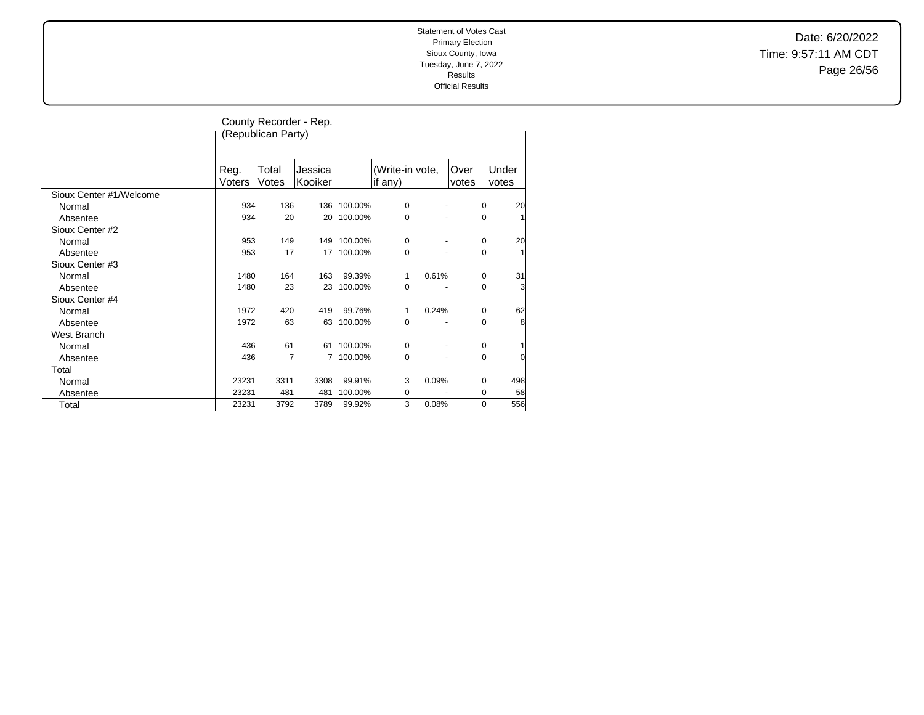Date: 6/20/2022 Time: 9:57:11 AM CDT Page 26/56

|                         |                | (Republican Party) | County Recorder - Rep. |         |                            |       |               |                     |
|-------------------------|----------------|--------------------|------------------------|---------|----------------------------|-------|---------------|---------------------|
|                         | Reg.<br>Voters | Total<br>Votes     | Jessica<br>Kooiker     |         | (Write-in vote,<br>if any) |       | Over<br>votes | Under<br>votes      |
| Sioux Center #1/Welcome |                |                    |                        |         |                            |       |               |                     |
| Normal                  | 934            | 136                | 136                    | 100.00% | 0                          |       |               | 20<br>0             |
| Absentee                | 934            | 20                 | 20                     | 100.00% | 0                          |       |               | 0                   |
| Sioux Center #2         |                |                    |                        |         |                            |       |               |                     |
| Normal                  | 953            | 149                | 149                    | 100.00% | 0                          |       |               | 20<br>0             |
| Absentee                | 953            | 17                 | 17                     | 100.00% | 0                          |       |               | 1<br>0              |
| Sioux Center #3         |                |                    |                        |         |                            |       |               |                     |
| Normal                  | 1480           | 164                | 163                    | 99.39%  | 1                          | 0.61% |               | 31<br>0             |
| Absentee                | 1480           | 23                 | 23                     | 100.00% | 0                          |       |               | 3<br>0              |
| Sioux Center #4         |                |                    |                        |         |                            |       |               |                     |
| Normal                  | 1972           | 420                | 419                    | 99.76%  | 1                          | 0.24% |               | 62<br>0             |
| Absentee                | 1972           | 63                 | 63                     | 100.00% | 0                          | ٠     |               | 8<br>0              |
| West Branch             |                |                    |                        |         |                            |       |               |                     |
| Normal                  | 436            | 61                 | 61                     | 100.00% | 0                          |       |               | 0                   |
| Absentee                | 436            | $\overline{7}$     | 7                      | 100.00% | 0                          |       |               | 0<br>$\overline{0}$ |
| Total                   |                |                    |                        |         |                            |       |               |                     |
| Normal                  | 23231          | 3311               | 3308                   | 99.91%  | 3                          | 0.09% |               | 498<br>$\Omega$     |
| Absentee                | 23231          | 481                | 481                    | 100.00% | 0                          |       |               | 58<br>0             |
| Total                   | 23231          | 3792               | 3789                   | 99.92%  | 3                          | 0.08% |               | 556<br>$\mathbf 0$  |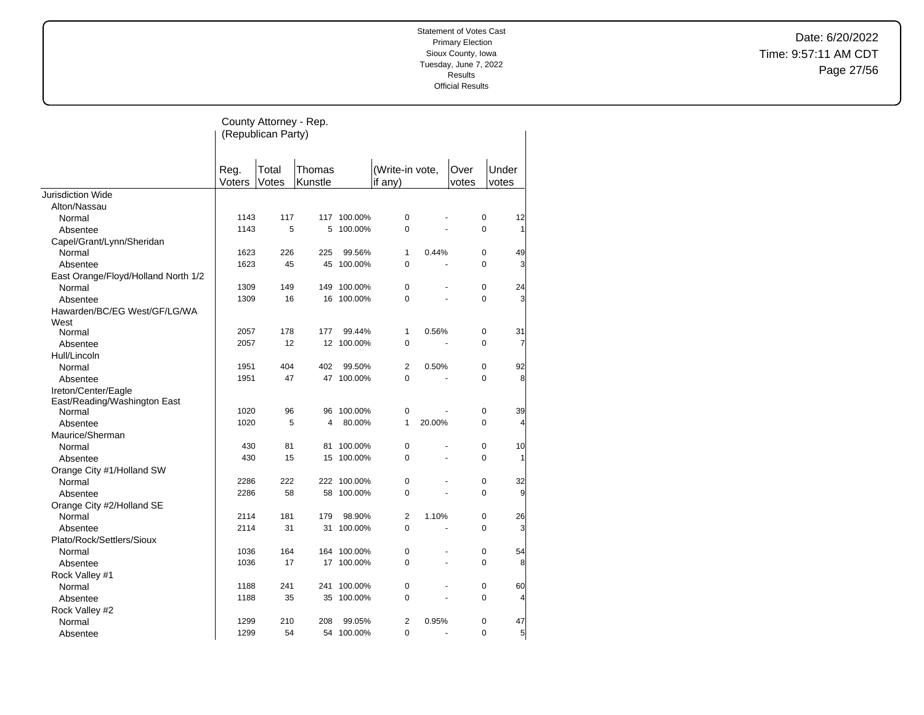Date: 6/20/2022 Time: 9:57:11 AM CDT Page 27/56

|                                      |                | County Attorney - Rep.<br>(Republican Party) |                   |             |                            |                |               |                |
|--------------------------------------|----------------|----------------------------------------------|-------------------|-------------|----------------------------|----------------|---------------|----------------|
|                                      | Reg.<br>Voters | Total<br>Votes                               | Thomas<br>Kunstle |             | (Write-in vote,<br>if any) |                | Over<br>votes | Under<br>votes |
| <b>Jurisdiction Wide</b>             |                |                                              |                   |             |                            |                |               |                |
| Alton/Nassau                         |                |                                              |                   |             |                            |                |               |                |
| Normal                               | 1143           | 117                                          |                   | 117 100.00% | $\mathbf 0$                |                | 0             | 12             |
| Absentee                             | 1143           | 5                                            | 5                 | 100.00%     | $\Omega$                   | L.             | $\Omega$      | 1              |
| Capel/Grant/Lynn/Sheridan            |                |                                              |                   |             |                            |                |               |                |
| Normal                               | 1623           | 226                                          | 225               | 99.56%      | $\mathbf{1}$               | 0.44%          | 0             | 49             |
| Absentee                             | 1623           | 45                                           | 45                | 100.00%     | $\mathbf 0$                | L,             | $\Omega$      | 3              |
| East Orange/Floyd/Holland North 1/2  |                |                                              |                   |             |                            |                |               |                |
| Normal                               | 1309           | 149                                          | 149               | 100.00%     | $\mathbf 0$                |                | $\mathbf 0$   | 24             |
| Absentee                             | 1309           | 16                                           |                   | 16 100.00%  | $\Omega$                   |                | $\Omega$      | 3              |
| Hawarden/BC/EG West/GF/LG/WA<br>West |                |                                              |                   |             |                            |                |               |                |
| Normal                               | 2057           | 178                                          | 177               | 99.44%      | $\mathbf{1}$               | 0.56%          | $\mathbf 0$   | 31             |
| Absentee                             | 2057           | 12                                           | 12                | 100.00%     | 0                          |                | 0             | 7              |
| Hull/Lincoln                         |                |                                              |                   |             |                            |                |               |                |
| Normal                               | 1951           | 404                                          | 402               | 99.50%      | $\overline{2}$             | 0.50%          | 0             | 92             |
| Absentee                             | 1951           | 47                                           |                   | 47 100.00%  | $\mathbf 0$                | ä,             | $\Omega$      | 8              |
| Ireton/Center/Eagle                  |                |                                              |                   |             |                            |                |               |                |
| East/Reading/Washington East         |                |                                              |                   |             |                            |                |               |                |
| Normal                               | 1020           | 96                                           | 96                | 100.00%     | $\pmb{0}$                  |                | 0             | 39             |
| Absentee                             | 1020           | 5                                            | 4                 | 80.00%      | $\mathbf{1}$               | 20.00%         | 0             | $\overline{4}$ |
| Maurice/Sherman                      |                |                                              |                   |             |                            |                |               |                |
| Normal                               | 430            | 81                                           | 81                | 100.00%     | $\pmb{0}$                  | ä,             | 0             | 10             |
| Absentee                             | 430            | 15                                           | 15                | 100.00%     | $\Omega$                   |                | $\Omega$      | 1              |
| Orange City #1/Holland SW            |                |                                              |                   |             |                            |                |               |                |
| Normal                               | 2286           | 222                                          |                   | 222 100.00% | $\mathbf 0$                |                | $\mathbf 0$   | 32             |
| Absentee                             | 2286           | 58                                           | 58                | 100.00%     | $\mathbf 0$                |                | 0             | 9              |
| Orange City #2/Holland SE            |                |                                              |                   |             |                            |                |               |                |
| Normal                               | 2114           | 181                                          | 179               | 98.90%      | $\overline{2}$             | 1.10%          | 0             | 26             |
| Absentee                             | 2114           | 31                                           | 31                | 100.00%     | $\Omega$                   |                | 0             | 3              |
| Plato/Rock/Settlers/Sioux            |                |                                              |                   |             |                            |                |               |                |
| Normal                               | 1036           | 164                                          | 164               | 100.00%     | $\pmb{0}$                  |                | 0             | 54             |
| Absentee                             | 1036           | 17                                           | 17                | 100.00%     | $\mathbf 0$                | $\overline{a}$ | 0             | 8              |
| Rock Valley #1                       |                |                                              |                   |             |                            |                |               |                |
| Normal                               | 1188           | 241                                          | 241               | 100.00%     | 0                          |                | 0             | 60             |
| Absentee                             | 1188           | 35                                           |                   | 35 100.00%  | $\mathbf 0$                | ä,             | 0             | $\overline{4}$ |
| Rock Valley #2                       |                |                                              |                   |             |                            |                |               |                |
| Normal                               | 1299           | 210                                          | 208               | 99.05%      | $\overline{2}$             | 0.95%          | 0             | 47             |
| Absentee                             | 1299           | 54                                           |                   | 54 100.00%  | $\Omega$                   | L.             | $\Omega$      | 5              |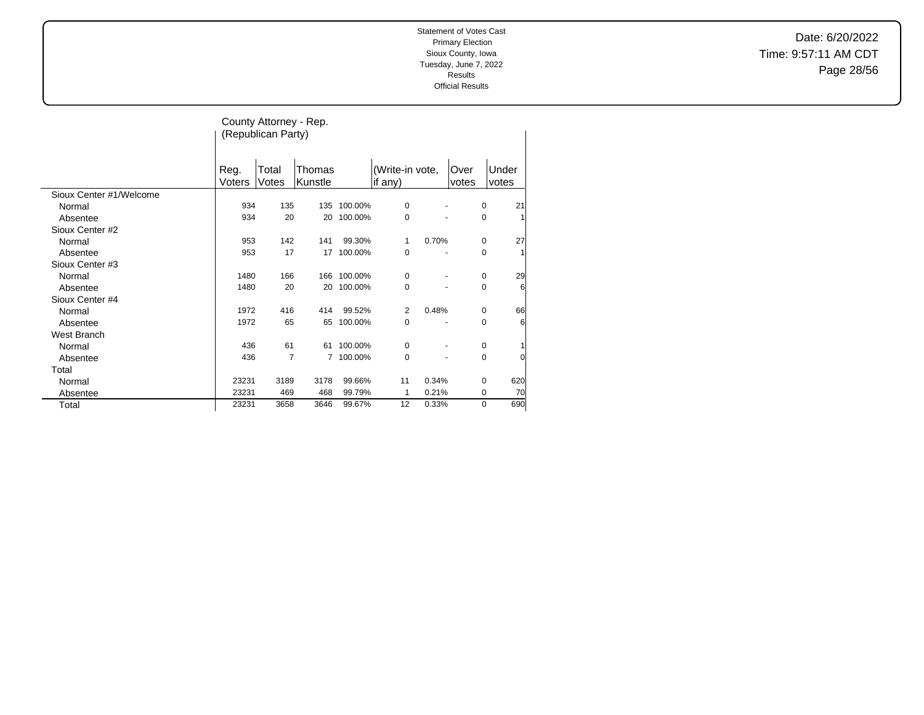Date: 6/20/2022 Time: 9:57:11 AM CDT Page 28/56

|                         |                | County Attorney - Rep.<br>(Republican Party) |                   |         |                            |       |               |             |                |
|-------------------------|----------------|----------------------------------------------|-------------------|---------|----------------------------|-------|---------------|-------------|----------------|
|                         | Reg.<br>Voters | Total<br>Votes                               | Thomas<br>Kunstle |         | (Write-in vote,<br>if any) |       | Over<br>votes |             | Under<br>votes |
| Sioux Center #1/Welcome |                |                                              |                   |         |                            |       |               |             |                |
| Normal                  | 934            | 135                                          | 135               | 100.00% | 0                          |       |               | 0           | 21             |
| Absentee                | 934            | 20                                           | 20                | 100.00% | 0                          |       |               | 0           |                |
| Sioux Center #2         |                |                                              |                   |         |                            |       |               |             |                |
| Normal                  | 953            | 142                                          | 141               | 99.30%  | 1                          | 0.70% |               | 0           | 27             |
| Absentee                | 953            | 17                                           | 17                | 100.00% | 0                          |       |               | 0           | 1              |
| Sioux Center #3         |                |                                              |                   |         |                            |       |               |             |                |
| Normal                  | 1480           | 166                                          | 166               | 100.00% | 0                          |       |               | 0           | 29             |
| Absentee                | 1480           | 20                                           | 20                | 100.00% | 0                          |       |               | 0           | 6              |
| Sioux Center #4         |                |                                              |                   |         |                            |       |               |             |                |
| Normal                  | 1972           | 416                                          | 414               | 99.52%  | 2                          | 0.48% |               | 0           | 66             |
| Absentee                | 1972           | 65                                           | 65                | 100.00% | 0                          | ÷     |               | 0           | 6              |
| West Branch             |                |                                              |                   |         |                            |       |               |             |                |
| Normal                  | 436            | 61                                           | 61                | 100.00% | 0                          |       |               | $\mathbf 0$ |                |
| Absentee                | 436            | 7                                            | 7                 | 100.00% | 0                          |       |               | 0           | 0              |
| Total                   |                |                                              |                   |         |                            |       |               |             |                |
| Normal                  | 23231          | 3189                                         | 3178              | 99.66%  | 11                         | 0.34% |               | $\mathbf 0$ | 620            |
| Absentee                | 23231          | 469                                          | 468               | 99.79%  | 1                          | 0.21% |               | 0           | 70             |
| Total                   | 23231          | 3658                                         | 3646              | 99.67%  | 12                         | 0.33% |               | 0           | 690            |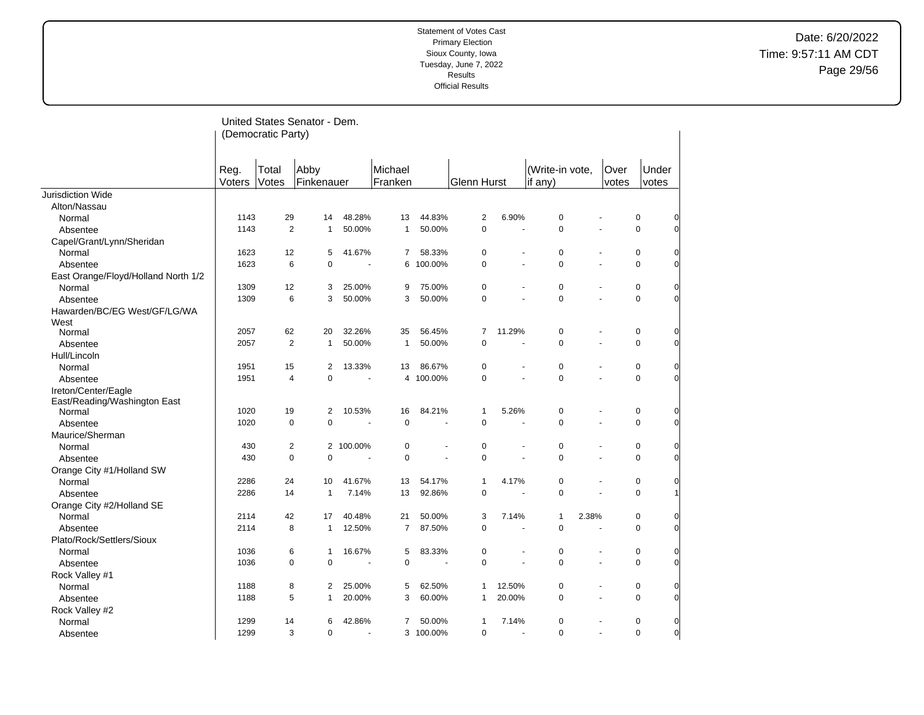# Date: 6/20/2022 Time: 9:57:11 AM CDT Page 29/56

|                                      |                | (Democratic Party) | United States Senator - Dem. |                |                    |           |                |                      |                            |       |                |                |                |
|--------------------------------------|----------------|--------------------|------------------------------|----------------|--------------------|-----------|----------------|----------------------|----------------------------|-------|----------------|----------------|----------------|
|                                      | Reg.<br>Voters | Total<br>Votes     | Abby<br>Finkenauer           |                | Michael<br>Franken |           | Glenn Hurst    |                      | (Write-in vote,<br>if any) |       | Over<br>votes  | Under<br>votes |                |
| Jurisdiction Wide                    |                |                    |                              |                |                    |           |                |                      |                            |       |                |                |                |
| Alton/Nassau                         |                |                    |                              |                |                    |           |                |                      |                            |       |                |                |                |
| Normal                               | 1143           | 29                 | 14                           | 48.28%         | 13                 | 44.83%    | $\overline{2}$ | 6.90%                | 0                          |       |                | 0              | $\overline{0}$ |
| Absentee                             | 1143           | $\overline{2}$     | $\mathbf{1}$                 | 50.00%         | $\mathbf{1}$       | 50.00%    | 0              | ä,                   | $\mathbf 0$                |       |                | $\mathbf 0$    | $\Omega$       |
| Capel/Grant/Lynn/Sheridan            |                |                    |                              |                |                    |           |                |                      |                            |       |                |                |                |
| Normal                               | 1623           | 12                 | 5                            | 41.67%         | $\overline{7}$     | 58.33%    | 0              |                      | 0                          |       |                | $\pmb{0}$      | $\overline{0}$ |
| Absentee                             | 1623           | 6                  | 0                            | $\blacksquare$ |                    | 6 100.00% | 0              |                      | $\mathbf 0$                |       |                | $\mathbf 0$    | $\Omega$       |
| East Orange/Floyd/Holland North 1/2  |                |                    |                              |                |                    |           |                |                      |                            |       |                |                |                |
| Normal                               | 1309           | 12                 | 3                            | 25.00%         | 9                  | 75.00%    | $\pmb{0}$      | ÷,                   | $\mathbf 0$                |       |                | 0              | 0              |
| Absentee                             | 1309           | 6                  | 3                            | 50.00%         | 3                  | 50.00%    | 0              |                      | $\mathbf 0$                |       |                | $\mathbf 0$    | $\Omega$       |
| Hawarden/BC/EG West/GF/LG/WA<br>West |                |                    |                              |                |                    |           |                |                      |                            |       |                |                |                |
| Normal                               | 2057           | 62                 | 20                           | 32.26%         | 35                 | 56.45%    | 7              | 11.29%               | 0                          |       |                | $\pmb{0}$      | $\overline{0}$ |
| Absentee                             | 2057           | $\overline{2}$     | $\mathbf{1}$                 | 50.00%         | $\mathbf{1}$       | 50.00%    | 0              | ÷,                   | $\mathbf 0$                |       | $\overline{a}$ | $\pmb{0}$      | $\overline{0}$ |
| Hull/Lincoln                         |                |                    |                              |                |                    |           |                |                      |                            |       |                |                |                |
| Normal                               | 1951           | 15                 | $\overline{2}$               | 13.33%         | 13                 | 86.67%    | 0              | $\ddot{\phantom{1}}$ | $\mathbf 0$                |       |                | $\pmb{0}$      | $\overline{0}$ |
| Absentee                             | 1951           | $\overline{4}$     | 0                            |                |                    | 4 100.00% | $\mathbf 0$    | ÷,                   | $\mathbf 0$                |       | $\overline{a}$ | $\mathbf 0$    | $\Omega$       |
| Ireton/Center/Eagle                  |                |                    |                              |                |                    |           |                |                      |                            |       |                |                |                |
| East/Reading/Washington East         |                |                    |                              |                |                    |           |                |                      |                            |       |                |                |                |
| Normal                               | 1020           | 19                 | 2                            | 10.53%         | 16                 | 84.21%    | $\mathbf{1}$   | 5.26%                | $\mathbf 0$                |       |                | 0              | $\overline{0}$ |
| Absentee                             | 1020           | $\mathbf 0$        | 0                            |                | $\mathbf 0$        |           | 0              |                      | $\overline{0}$             |       |                | $\mathbf 0$    | $\overline{0}$ |
| Maurice/Sherman                      |                |                    |                              |                |                    |           |                |                      |                            |       |                |                |                |
| Normal                               | 430            | 2                  |                              | 2 100.00%      | 0                  |           | 0              |                      | $\mathbf 0$                |       |                | 0              | $\overline{0}$ |
| Absentee                             | 430            | $\mathbf 0$        | 0                            |                | $\mathbf 0$        |           | $\Omega$       |                      | $\mathbf 0$                |       |                | $\overline{0}$ | $\Omega$       |
| Orange City #1/Holland SW            |                |                    |                              |                |                    |           |                |                      |                            |       |                |                |                |
| Normal                               | 2286           | 24                 | 10                           | 41.67%         | 13                 | 54.17%    | 1              | 4.17%                | $\mathbf 0$                |       |                | 0              | $\overline{0}$ |
| Absentee                             | 2286           | 14                 | $\mathbf{1}$                 | 7.14%          | 13                 | 92.86%    | $\mathbf 0$    |                      | $\mathbf 0$                |       |                | $\mathbf 0$    | $\mathbf{1}$   |
| Orange City #2/Holland SE            |                |                    |                              |                |                    |           |                |                      |                            |       |                |                |                |
| Normal                               | 2114           | 42                 | 17                           | 40.48%         | 21                 | 50.00%    | 3              | 7.14%                | $\mathbf{1}$               | 2.38% |                | 0              | $\overline{0}$ |
| Absentee                             | 2114           | 8                  | $\mathbf{1}$                 | 12.50%         | $\overline{7}$     | 87.50%    | $\Omega$       | ÷.                   | $\overline{0}$             |       |                | $\mathbf 0$    | $\Omega$       |
| Plato/Rock/Settlers/Sioux            |                |                    |                              |                |                    |           |                |                      |                            |       |                |                |                |
| Normal                               | 1036           | 6                  | $\mathbf{1}$                 | 16.67%         | 5                  | 83.33%    | 0              | ä,                   | $\mathbf 0$                |       |                | 0              | $\overline{0}$ |
| Absentee                             | 1036           | $\mathbf 0$        | 0                            |                | $\overline{0}$     |           | $\mathbf 0$    | L.                   | $\mathbf 0$                |       |                | $\mathbf 0$    | $\overline{0}$ |
| Rock Valley #1                       |                |                    |                              |                |                    |           |                |                      |                            |       |                |                |                |
| Normal                               | 1188           | 8                  | $\overline{2}$               | 25.00%         | 5                  | 62.50%    | $\mathbf{1}$   | 12.50%               | $\mathbf 0$                |       | ä,             | 0              | $\overline{0}$ |
| Absentee                             | 1188           | 5                  | $\mathbf{1}$                 | 20.00%         | 3                  | 60.00%    | $\mathbf{1}$   | 20.00%               | $\Omega$                   |       |                | $\mathbf 0$    | $\Omega$       |
| Rock Valley #2                       |                |                    |                              |                |                    |           |                |                      |                            |       |                |                |                |
| Normal                               | 1299           | 14                 | 6                            | 42.86%         | 7                  | 50.00%    | $\mathbf{1}$   | 7.14%                | $\mathbf 0$                |       |                | $\mathbf 0$    | $\overline{0}$ |
| Absentee                             | 1299           | 3                  | $\Omega$                     | $\overline{a}$ |                    | 3 100.00% | $\Omega$       | $\overline{a}$       | $\Omega$                   |       | $\sim$         | $\mathbf 0$    | $\overline{0}$ |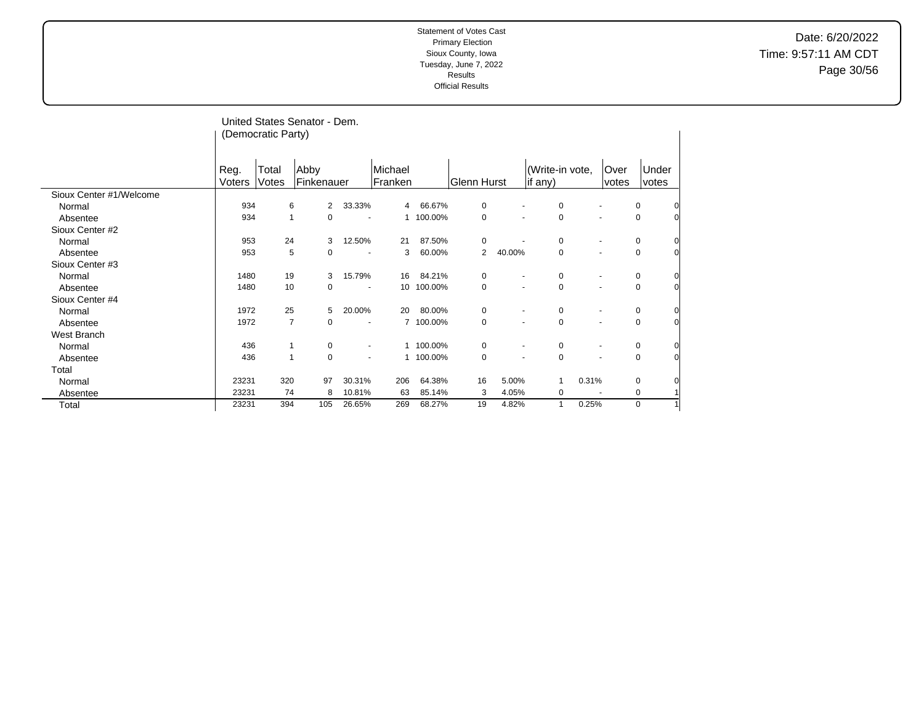Date: 6/20/2022 Time: 9:57:11 AM CDT Page 30/56

|                         | (Democratic Party) |              | United States Senator - Dem. |                       |                |            |             |        |                 |       |                          |             |                |
|-------------------------|--------------------|--------------|------------------------------|-----------------------|----------------|------------|-------------|--------|-----------------|-------|--------------------------|-------------|----------------|
|                         |                    |              |                              |                       |                |            |             |        |                 |       |                          |             |                |
|                         |                    |              |                              |                       |                |            |             |        |                 |       |                          |             |                |
|                         | Reg.               | Total        | Abby                         |                       | Michael        |            |             |        | (Write-in vote, |       | Over                     | Under       |                |
| Sioux Center #1/Welcome | Voters             | Votes        | Finkenauer                   |                       | Franken        |            | Glenn Hurst |        | if any)         |       | votes                    | votes       |                |
|                         | 934                |              | 6<br>2                       | 33.33%                | $\overline{4}$ | 66.67%     | 0           |        | 0               |       |                          | 0           | 0              |
| Normal                  | 934                |              |                              |                       |                | 1 100.00%  |             |        |                 |       |                          |             |                |
| Absentee                |                    | $\mathbf{1}$ | 0                            |                       |                |            | 0           |        | 0               |       |                          | 0           | $\overline{0}$ |
| Sioux Center #2         |                    |              |                              |                       |                |            |             |        |                 |       |                          |             |                |
| Normal                  | 953                | 24           | 3                            | 12.50%                | 21             | 87.50%     | 0           |        | 0               |       |                          | 0           | $\overline{0}$ |
| Absentee                | 953                |              | 5<br>0                       | $\tilde{\phantom{a}}$ | 3              | 60.00%     | 2           | 40.00% | $\mathbf 0$     |       | $\overline{\phantom{a}}$ | 0           | $\overline{0}$ |
| Sioux Center #3         |                    |              |                              |                       |                |            |             |        |                 |       |                          |             |                |
| Normal                  | 1480               | 19           | 3                            | 15.79%                | 16             | 84.21%     | $\mathbf 0$ |        | $\mathbf 0$     |       |                          | 0           | 0              |
| Absentee                | 1480               | 10           | 0                            |                       |                | 10 100.00% | 0           |        | $\mathbf 0$     |       |                          | 0           | $\overline{0}$ |
| Sioux Center #4         |                    |              |                              |                       |                |            |             |        |                 |       |                          |             |                |
| Normal                  | 1972               | 25           | 5                            | 20.00%                | 20             | 80.00%     | $\mathbf 0$ |        | $\mathbf 0$     |       | $\blacksquare$           | 0           | 0              |
| Absentee                | 1972               |              | $\overline{7}$<br>0          | $\blacksquare$        |                | 7 100.00%  | $\mathbf 0$ |        | $\mathbf 0$     |       |                          | $\mathbf 0$ | $\overline{0}$ |
| West Branch             |                    |              |                              |                       |                |            |             |        |                 |       |                          |             |                |
| Normal                  | 436                |              | $\mathbf{1}$<br>0            |                       |                | 1 100.00%  | 0           |        | $\mathbf 0$     |       |                          | 0           | $\overline{0}$ |
| Absentee                | 436                | $\mathbf{1}$ | $\mathbf 0$                  |                       |                | 1 100.00%  | $\mathbf 0$ |        | $\mathbf 0$     |       |                          | 0           | $\overline{0}$ |
| Total                   |                    |              |                              |                       |                |            |             |        |                 |       |                          |             |                |
| Normal                  | 23231              | 320          | 97                           | 30.31%                | 206            | 64.38%     | 16          | 5.00%  | $\mathbf{1}$    | 0.31% |                          | 0           | 0              |
| Absentee                | 23231              | 74           | 8                            | 10.81%                | 63             | 85.14%     | 3           | 4.05%  | 0               |       |                          | 0           |                |
| Total                   | 23231              | 394          | 105                          | 26.65%                | 269            | 68.27%     | 19          | 4.82%  | $\mathbf{1}$    | 0.25% |                          | 0           |                |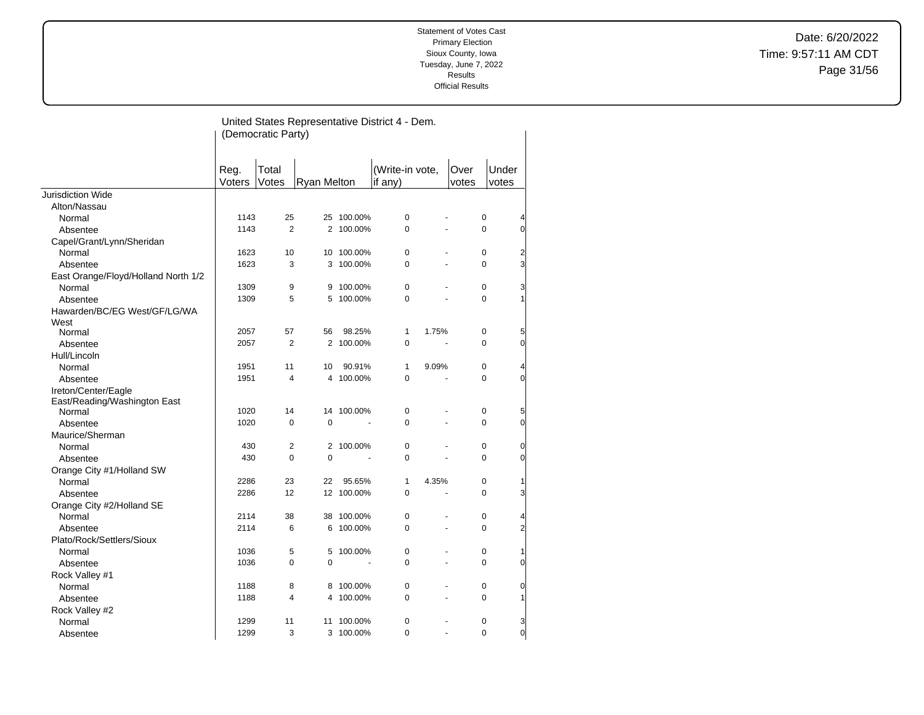Date: 6/20/2022 Time: 9:57:11 AM CDT Page 31/56

|                                        |        | (Democratic Party) |                    |                             | United States Representative District 4 - Dem. |       |                  |                     |
|----------------------------------------|--------|--------------------|--------------------|-----------------------------|------------------------------------------------|-------|------------------|---------------------|
|                                        |        |                    |                    |                             |                                                |       |                  |                     |
|                                        |        |                    |                    |                             |                                                |       |                  |                     |
|                                        | Reg.   | Total              |                    |                             | (Write-in vote,                                | Over  | Under            |                     |
| Jurisdiction Wide                      | Voters | Votes              | <b>Ryan Melton</b> |                             | if any)                                        | votes | votes            |                     |
|                                        |        |                    |                    |                             |                                                |       |                  |                     |
| Alton/Nassau                           | 1143   | 25                 |                    |                             | 0                                              |       |                  |                     |
| Normal                                 |        | $\overline{2}$     |                    | 25 100.00%                  | 0                                              |       | 0<br>$\mathbf 0$ | 4                   |
| Absentee                               | 1143   |                    |                    | 2 100.00%                   |                                                |       |                  | 0                   |
| Capel/Grant/Lynn/Sheridan              |        |                    |                    |                             |                                                |       |                  |                     |
| Normal                                 | 1623   | 10                 |                    | 10 100.00%                  | 0                                              |       | 0                | $\overline{c}$      |
| Absentee                               | 1623   | 3                  |                    | 3 100.00%                   | 0                                              |       | $\mathbf 0$      | 3                   |
| East Orange/Floyd/Holland North 1/2    |        |                    |                    |                             |                                                |       |                  |                     |
| Normal                                 | 1309   | 9                  | 9                  | 100.00%                     | 0                                              |       | 0                | 3                   |
| Absentee                               | 1309   | 5                  |                    | 5 100.00%                   | 0                                              |       | $\mathbf 0$      | $\mathbf{1}$        |
| Hawarden/BC/EG West/GF/LG/WA           |        |                    |                    |                             |                                                |       |                  |                     |
| West                                   | 2057   | 57                 | 56                 | 98.25%                      | 1<br>1.75%                                     |       | 0                |                     |
| Normal                                 |        | $\overline{2}$     |                    | 2 100.00%                   | 0                                              |       | 0                | 5<br>$\overline{0}$ |
| Absentee                               | 2057   |                    |                    |                             |                                                |       |                  |                     |
| Hull/Lincoln                           |        |                    |                    |                             |                                                |       |                  |                     |
| Normal                                 | 1951   | 11                 | 10                 | 90.91%                      | 1<br>9.09%                                     |       | 0                | 4                   |
| Absentee                               | 1951   | 4                  |                    | 4 100.00%                   | 0                                              |       | 0                | 0                   |
| Ireton/Center/Eagle                    |        |                    |                    |                             |                                                |       |                  |                     |
| East/Reading/Washington East<br>Normal | 1020   | 14                 |                    | 14 100.00%                  | 0                                              |       | 0                | 5                   |
|                                        | 1020   | 0                  | 0                  |                             | 0                                              |       | $\pmb{0}$        | 0                   |
| Absentee                               |        |                    |                    |                             |                                                |       |                  |                     |
| Maurice/Sherman                        |        | $\overline{2}$     |                    |                             |                                                |       | 0                |                     |
| Normal                                 | 430    | 0                  | $\mathbf 0$        | 2 100.00%<br>$\blacksquare$ | 0                                              |       | 0                | 0<br>0              |
| Absentee                               | 430    |                    |                    |                             | 0                                              |       |                  |                     |
| Orange City #1/Holland SW              |        |                    |                    |                             |                                                |       |                  |                     |
| Normal                                 | 2286   | 23                 | 22                 | 95.65%                      | 1<br>4.35%                                     |       | 0                | 1                   |
| Absentee                               | 2286   | 12                 |                    | 12 100.00%                  | 0                                              |       | 0                | 3                   |
| Orange City #2/Holland SE              |        |                    |                    |                             |                                                |       |                  |                     |
| Normal                                 | 2114   | 38                 |                    | 38 100.00%                  | 0                                              |       | 0                | 4                   |
| Absentee                               | 2114   | 6                  |                    | 6 100.00%                   | 0                                              |       | 0                | $\overline{c}$      |
| Plato/Rock/Settlers/Sioux              |        |                    |                    |                             |                                                |       |                  |                     |
| Normal                                 | 1036   | 5                  | 5                  | 100.00%                     | 0                                              |       | 0                | 1                   |
| Absentee                               | 1036   | 0                  | 0                  |                             | 0                                              |       | $\pmb{0}$        | 0                   |
| Rock Valley #1                         |        |                    |                    |                             |                                                |       |                  |                     |
| Normal                                 | 1188   | 8                  | 8                  | 100.00%                     | 0                                              |       | 0                | 0                   |
| Absentee                               | 1188   | 4                  |                    | 4 100.00%                   | 0                                              |       | 0                | 1                   |
| Rock Valley #2                         |        |                    |                    |                             |                                                |       |                  |                     |
| Normal                                 | 1299   | 11                 |                    | 11 100.00%                  | 0                                              |       | 0                | 3                   |
| Absentee                               | 1299   | 3                  |                    | 3 100.00%                   | 0                                              |       | 0                | $\mathbf 0$         |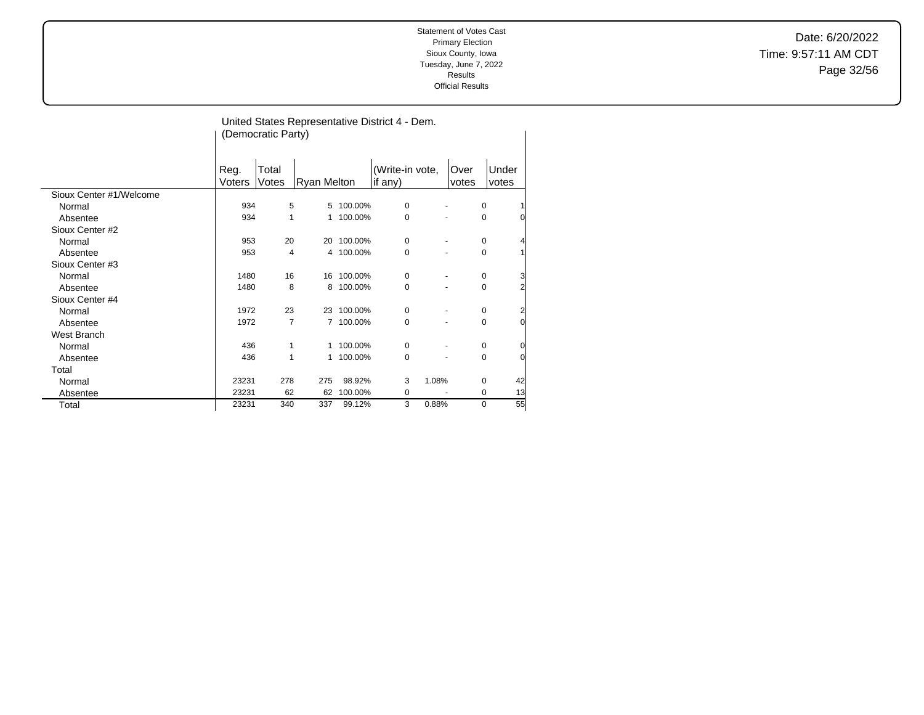Date: 6/20/2022 Time: 9:57:11 AM CDT Page 32/56

|                         |                |                    |                    |            | United States Representative District 4 - Dem. |                |   |                |
|-------------------------|----------------|--------------------|--------------------|------------|------------------------------------------------|----------------|---|----------------|
|                         |                | (Democratic Party) |                    |            |                                                |                |   |                |
|                         |                |                    |                    |            |                                                |                |   |                |
|                         | Reg.<br>Voters | Total<br>Votes     | <b>Ryan Melton</b> |            | (Write-in vote,<br>if any)                     | ∣Over<br>votes |   | Under<br>votes |
| Sioux Center #1/Welcome |                |                    |                    |            |                                                |                |   |                |
| Normal                  | 934            | 5                  | 5                  | 100.00%    | 0                                              |                | 0 | $\mathbf{1}$   |
| Absentee                | 934            | 1                  | 1                  | 100.00%    | 0                                              |                | 0 | 0              |
| Sioux Center #2         |                |                    |                    |            |                                                |                |   |                |
| Normal                  | 953            | 20                 | 20                 | 100.00%    | 0                                              |                | 0 | $\overline{4}$ |
| Absentee                | 953            | 4                  | 4                  | 100.00%    | 0                                              |                | 0 | $\mathbf{1}$   |
| Sioux Center #3         |                |                    |                    |            |                                                |                |   |                |
| Normal                  | 1480           | 16                 | 16                 | 100.00%    | 0                                              |                | 0 | 3              |
| Absentee                | 1480           | 8                  | 8                  | 100.00%    | 0                                              |                | 0 | $\overline{2}$ |
| Sioux Center #4         |                |                    |                    |            |                                                |                |   |                |
| Normal                  | 1972           | 23                 |                    | 23 100.00% | $\Omega$                                       |                | 0 | $\overline{c}$ |
| Absentee                | 1972           | $\overline{7}$     |                    | 7 100.00%  | 0                                              |                | 0 | O              |
| West Branch             |                |                    |                    |            |                                                |                |   |                |
| Normal                  | 436            | 1                  | 1                  | 100.00%    | 0                                              |                | 0 | 0              |
| Absentee                | 436            | 1                  | 1                  | 100.00%    | 0                                              |                | 0 | 0              |
| Total                   |                |                    |                    |            |                                                |                |   |                |
| Normal                  | 23231          | 278                | 275                | 98.92%     | 3                                              | 1.08%          | 0 | 42             |
| Absentee                | 23231          | 62                 | 62                 | 100.00%    | 0                                              |                | 0 | 13             |
| Total                   | 23231          | 340                | 337                | 99.12%     | 3                                              | 0.88%          | 0 | 55             |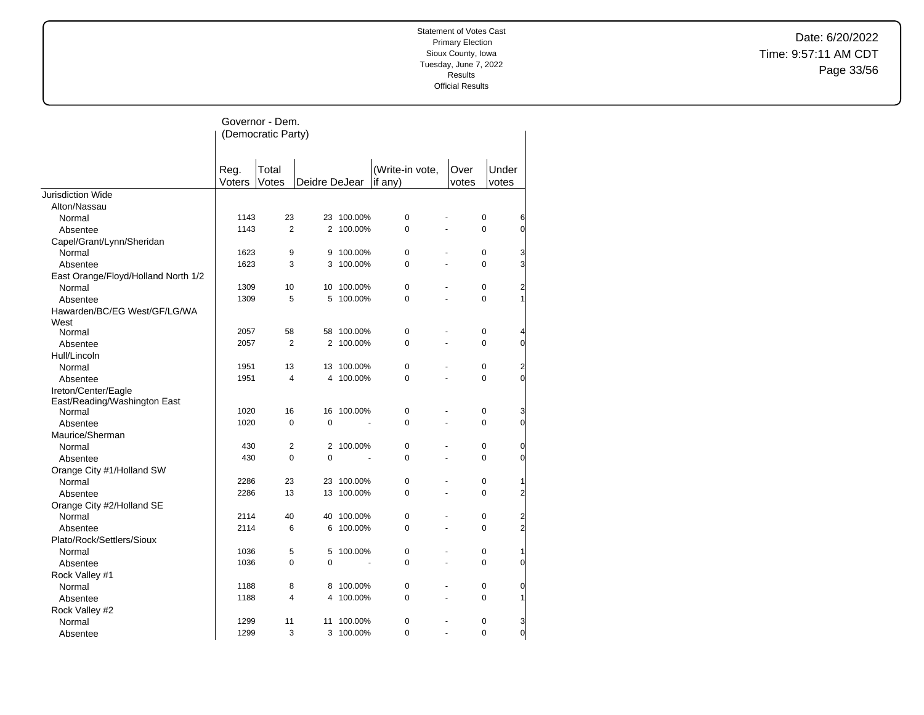Date: 6/20/2022 Time: 9:57:11 AM CDT Page 33/56

|                                     |        | Governor - Dem.    |               |            |                 |                |                              |
|-------------------------------------|--------|--------------------|---------------|------------|-----------------|----------------|------------------------------|
|                                     |        | (Democratic Party) |               |            |                 |                |                              |
|                                     |        |                    |               |            |                 |                |                              |
|                                     |        |                    |               |            |                 |                |                              |
|                                     | Reg.   | Total              |               |            | (Write-in vote, | Over           | Under                        |
|                                     | Voters | Votes              | Deidre DeJear |            | if $any)$       | votes          | votes                        |
| Jurisdiction Wide                   |        |                    |               |            |                 |                |                              |
| Alton/Nassau                        |        |                    |               |            |                 |                |                              |
| Normal                              | 1143   | 23                 |               | 23 100.00% | 0               |                | 0<br>6                       |
| Absentee                            | 1143   | $\overline{2}$     |               | 2 100.00%  | 0               | L.             | $\overline{0}$<br>0          |
| Capel/Grant/Lynn/Sheridan           |        |                    |               |            |                 |                |                              |
| Normal                              | 1623   | 9                  | 9             | 100.00%    | $\mathbf 0$     |                | 0<br>3                       |
| Absentee                            | 1623   | 3                  | 3             | 100.00%    | $\Omega$        | L.             | 3<br>$\Omega$                |
| East Orange/Floyd/Holland North 1/2 |        |                    |               |            |                 |                |                              |
| Normal                              | 1309   | 10                 |               | 10 100.00% | 0               |                | 0<br>$\overline{\mathbf{c}}$ |
| Absentee                            | 1309   | 5                  |               | 5 100.00%  | 0               |                | 0<br>1                       |
| Hawarden/BC/EG West/GF/LG/WA        |        |                    |               |            |                 |                |                              |
| West                                |        |                    |               |            |                 |                |                              |
| Normal                              | 2057   | 58                 |               | 58 100.00% | 0               | ä,             | 0<br>4                       |
| Absentee                            | 2057   | $\overline{2}$     |               | 2 100.00%  | $\Omega$        |                | $\overline{0}$<br>$\Omega$   |
| Hull/Lincoln                        |        |                    |               |            |                 |                |                              |
| Normal                              | 1951   | 13                 |               | 13 100.00% | $\mathbf 0$     |                | 0<br>2                       |
| Absentee                            | 1951   | 4                  | 4             | 100.00%    | $\mathbf 0$     | $\overline{a}$ | $\mathbf{0}$<br>0            |
| Ireton/Center/Eagle                 |        |                    |               |            |                 |                |                              |
| East/Reading/Washington East        |        |                    |               |            |                 |                |                              |
| Normal                              | 1020   | 16                 |               | 16 100.00% | $\mathbf 0$     |                | 0<br>3                       |
| Absentee                            | 1020   | $\mathbf 0$        | 0             |            | 0               |                | $\overline{0}$<br>0          |
| Maurice/Sherman                     |        |                    |               |            |                 |                |                              |
| Normal                              | 430    | $\overline{2}$     |               | 2 100.00%  | $\mathbf 0$     |                | 0<br>$\mathbf 0$             |
| Absentee                            | 430    | $\Omega$           | $\Omega$      |            | $\Omega$        |                | $\overline{O}$<br>$\Omega$   |
| Orange City #1/Holland SW           |        |                    |               |            |                 |                |                              |
| Normal                              | 2286   | 23                 |               | 23 100.00% | 0               | ٠              | 0<br>1                       |
| Absentee                            | 2286   | 13                 | 13            | 100.00%    | $\Omega$        |                | $\overline{c}$<br>0          |
| Orange City #2/Holland SE           |        |                    |               |            |                 |                |                              |
| Normal                              | 2114   | 40                 |               | 40 100.00% | $\mathbf 0$     | ä,             | 0                            |
| Absentee                            | 2114   | 6                  | 6             | 100.00%    | $\Omega$        |                | $\frac{2}{2}$<br>$\Omega$    |
| Plato/Rock/Settlers/Sioux           |        |                    |               |            |                 |                |                              |
| Normal                              | 1036   | 5                  | 5             | 100.00%    | $\pmb{0}$       |                | 0<br>1                       |
| Absentee                            | 1036   | $\mathbf 0$        | 0             |            | 0               | ä,             | O<br>0                       |
| Rock Valley #1                      |        |                    |               |            |                 |                |                              |
| Normal                              | 1188   | 8                  | 8             | 100.00%    | $\pmb{0}$       | ÷,             | $\overline{0}$<br>0          |
| Absentee                            | 1188   | 4                  | 4             | 100.00%    | 0               | L.             | 0<br>1                       |
| Rock Valley #2                      |        |                    |               |            |                 |                |                              |
| Normal                              | 1299   | 11                 | 11            | 100.00%    | $\mathbf 0$     |                | 0<br>3                       |
| Absentee                            | 1299   | 3                  |               | 3 100.00%  | $\Omega$        | ä,             | $\overline{0}$<br>$\Omega$   |
|                                     |        |                    |               |            |                 |                |                              |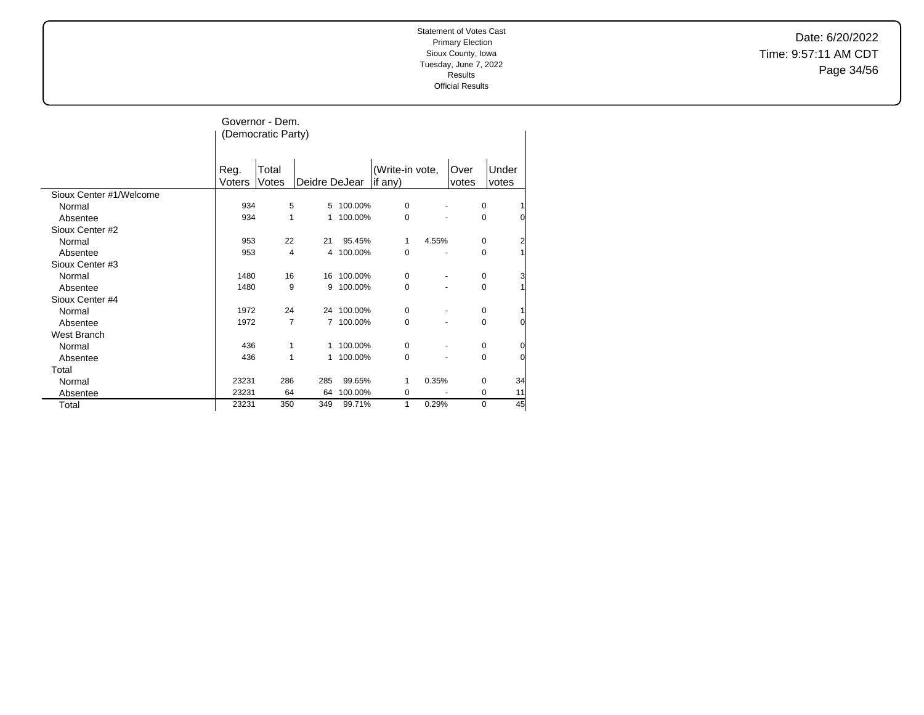Date: 6/20/2022 Time: 9:57:11 AM CDT Page 34/56

|                         |                | Governor - Dem.<br>(Democratic Party) |                |            |                            |       |               |                               |
|-------------------------|----------------|---------------------------------------|----------------|------------|----------------------------|-------|---------------|-------------------------------|
|                         | Reg.<br>Voters | Total<br>Votes                        | Deidre DeJear  |            | (Write-in vote,<br>if any) |       | Over<br>votes | Under<br>votes                |
| Sioux Center #1/Welcome |                |                                       |                |            |                            |       |               |                               |
| Normal                  | 934            | 5                                     |                | 5 100.00%  | 0                          |       |               | $\mathbf 0$                   |
| Absentee                | 934            | 1                                     | 1              | 100.00%    | 0                          |       |               | $\Omega$<br>$\Omega$          |
| Sioux Center #2         |                |                                       |                |            |                            |       |               |                               |
| Normal                  | 953            | 22                                    | 21             | 95.45%     | 1                          | 4.55% |               | $\mathbf 0$<br>$\overline{2}$ |
| Absentee                | 953            | 4                                     |                | 4 100.00%  | 0                          |       |               | $\Omega$                      |
| Sioux Center #3         |                |                                       |                |            |                            |       |               |                               |
| Normal                  | 1480           | 16                                    |                | 16 100.00% | 0                          |       |               | 3<br>$\mathbf 0$              |
| Absentee                | 1480           | 9                                     | 9              | 100.00%    | 0                          |       |               | 0                             |
| Sioux Center #4         |                |                                       |                |            |                            |       |               |                               |
| Normal                  | 1972           | 24                                    |                | 24 100.00% | 0                          |       |               | $\mathbf 0$                   |
| Absentee                | 1972           | $\overline{7}$                        | $\overline{7}$ | 100.00%    | 0                          |       |               | $\mathbf 0$<br>$\overline{0}$ |
| West Branch             |                |                                       |                |            |                            |       |               |                               |
| Normal                  | 436            | 1                                     | 1              | 100.00%    | 0                          |       |               | $\mathbf 0$<br>0              |
| Absentee                | 436            | 1                                     | $\mathbf{1}$   | 100.00%    | 0                          |       |               | $\mathbf 0$<br>$\overline{0}$ |
| Total                   |                |                                       |                |            |                            |       |               |                               |
| Normal                  | 23231          | 286                                   | 285            | 99.65%     | 1                          | 0.35% |               | 34<br>$\mathbf 0$             |
| Absentee                | 23231          | 64                                    | 64             | 100.00%    | 0                          |       |               | 11<br>$\mathbf 0$             |
| Total                   | 23231          | 350                                   | 349            | 99.71%     | 1                          | 0.29% |               | 45<br>$\Omega$                |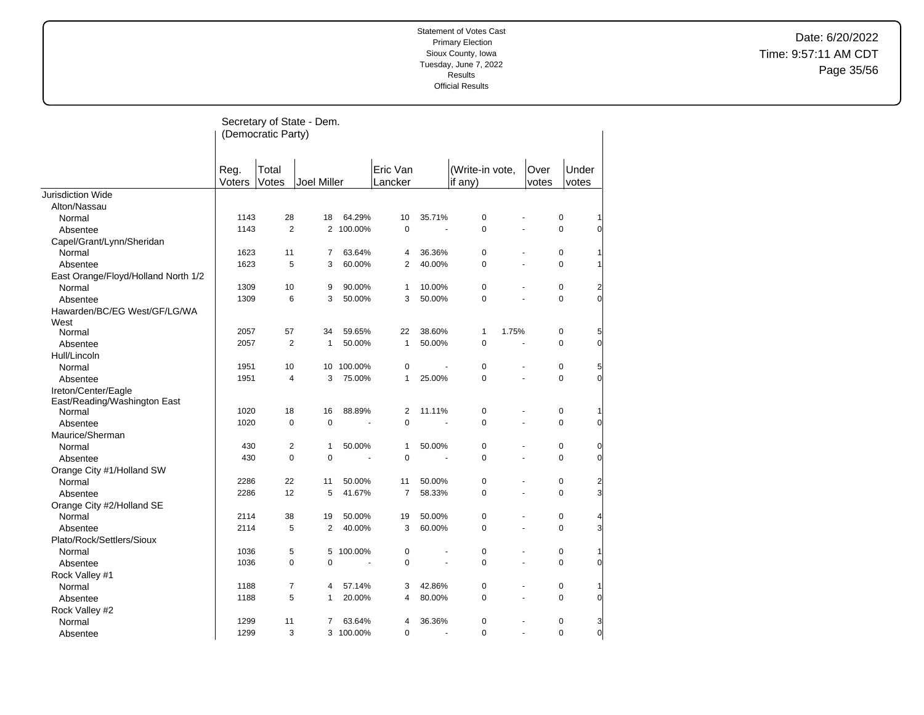Date: 6/20/2022 Time: 9:57:11 AM CDT Page 35/56

|                                      |                | (Democratic Party) | Secretary of State - Dem. |            |                     |        |                            |       |               |             |                |
|--------------------------------------|----------------|--------------------|---------------------------|------------|---------------------|--------|----------------------------|-------|---------------|-------------|----------------|
|                                      | Reg.<br>Voters | Total<br>Votes     | <b>Joel Miller</b>        |            | Eric Van<br>Lancker |        | (Write-in vote,<br>if any) |       | Over<br>votes | votes       | Under          |
| <b>Jurisdiction Wide</b>             |                |                    |                           |            |                     |        |                            |       |               |             |                |
| Alton/Nassau                         |                |                    |                           |            |                     |        |                            |       |               |             |                |
| Normal                               | 1143           | 28                 | 18                        | 64.29%     | 10                  | 35.71% | 0                          |       |               | $\pmb{0}$   |                |
| Absentee                             | 1143           | 2                  |                           | 2 100.00%  | $\pmb{0}$           | ÷.     | 0                          | ÷.    |               | $\mathbf 0$ | $\overline{0}$ |
| Capel/Grant/Lynn/Sheridan            |                |                    |                           |            |                     |        |                            |       |               |             |                |
| Normal                               | 1623           | 11                 | 7                         | 63.64%     | 4                   | 36.36% | 0                          |       |               | $\mathbf 0$ |                |
| Absentee                             | 1623           | 5                  | 3                         | 60.00%     | $\overline{2}$      | 40.00% | $\Omega$                   |       |               | $\Omega$    |                |
| East Orange/Floyd/Holland North 1/2  |                |                    |                           |            |                     |        |                            |       |               |             |                |
| Normal                               | 1309           | 10                 | 9                         | 90.00%     | $\mathbf{1}$        | 10.00% | 0                          |       |               | 0           | $\overline{c}$ |
| Absentee                             | 1309           | 6                  | 3                         | 50.00%     | 3                   | 50.00% | 0                          |       |               | $\Omega$    | $\overline{0}$ |
| Hawarden/BC/EG West/GF/LG/WA<br>West |                |                    |                           |            |                     |        |                            |       |               |             |                |
| Normal                               | 2057           | 57                 | 34                        | 59.65%     | 22                  | 38.60% | 1                          | 1.75% |               | 0           | 5              |
| Absentee                             | 2057           | $\overline{2}$     | $\mathbf{1}$              | 50.00%     | $\mathbf{1}$        | 50.00% | 0                          |       |               | $\Omega$    | $\overline{0}$ |
| Hull/Lincoln                         |                |                    |                           |            |                     |        |                            |       |               |             |                |
| Normal                               | 1951           | 10                 |                           | 10 100.00% | $\pmb{0}$           |        | 0                          |       |               | $\mathbf 0$ | 5              |
| Absentee                             | 1951           | 4                  | 3                         | 75.00%     | $\mathbf{1}$        | 25.00% | $\overline{0}$             |       |               | $\mathbf 0$ | $\overline{0}$ |
| Ireton/Center/Eagle                  |                |                    |                           |            |                     |        |                            |       |               |             |                |
| East/Reading/Washington East         |                |                    |                           |            |                     |        |                            |       |               |             |                |
| Normal                               | 1020           | 18                 | 16                        | 88.89%     | 2                   | 11.11% | 0                          |       |               | $\mathbf 0$ |                |
| Absentee                             | 1020           | 0                  | $\mathbf 0$               |            | $\mathbf 0$         |        | $\overline{0}$             |       |               | $\Omega$    | $\Omega$       |
| Maurice/Sherman                      |                |                    |                           |            |                     |        |                            |       |               |             |                |
| Normal                               | 430            | 2                  | $\mathbf{1}$              | 50.00%     | 1                   | 50.00% | 0                          |       |               | 0           | 0              |
| Absentee                             | 430            | $\Omega$           | $\Omega$                  |            | 0                   |        | $\Omega$                   |       |               | $\Omega$    | $\Omega$       |
| Orange City #1/Holland SW            |                |                    |                           |            |                     |        |                            |       |               |             |                |
| Normal                               | 2286           | 22                 | 11                        | 50.00%     | 11                  | 50.00% | 0                          |       |               | $\mathbf 0$ | $\overline{a}$ |
| Absentee                             | 2286           | 12                 | 5                         | 41.67%     | $\overline{7}$      | 58.33% | 0                          |       |               | $\mathbf 0$ | 3              |
| Orange City #2/Holland SE            |                |                    |                           |            |                     |        |                            |       |               |             |                |
| Normal                               | 2114           | 38                 | 19                        | 50.00%     | 19                  | 50.00% | 0                          |       |               | 0           | 4              |
| Absentee                             | 2114           | 5                  | 2                         | 40.00%     | 3                   | 60.00% | $\Omega$                   |       |               | $\Omega$    | 3              |
| Plato/Rock/Settlers/Sioux            |                |                    |                           |            |                     |        |                            |       |               |             |                |
| Normal                               | 1036           | 5                  | 5                         | 100.00%    | $\pmb{0}$           |        | 0                          |       |               | 0           | 11             |
| Absentee                             | 1036           | 0                  | $\mathbf 0$               |            | $\mathbf 0$         | ÷,     | 0                          |       |               | $\mathbf 0$ | $\overline{0}$ |
| Rock Valley #1                       |                |                    |                           |            |                     |        |                            |       |               |             |                |
| Normal                               | 1188           | 7                  | 4                         | 57.14%     | 3                   | 42.86% | 0                          |       |               | $\mathbf 0$ |                |
| Absentee                             | 1188           | 5                  | $\mathbf{1}$              | 20.00%     | 4                   | 80.00% | 0                          |       |               | $\mathbf 0$ | $\overline{0}$ |
| Rock Valley #2                       |                |                    |                           |            |                     |        |                            |       |               |             |                |
| Normal                               | 1299           | 11                 | 7                         | 63.64%     | 4                   | 36.36% | 0                          |       |               | 0           | 3              |
| Absentee                             | 1299           | 3                  |                           | 3 100.00%  | $\mathbf 0$         | L.     | $\Omega$                   |       |               | $\Omega$    | $\mathbf 0$    |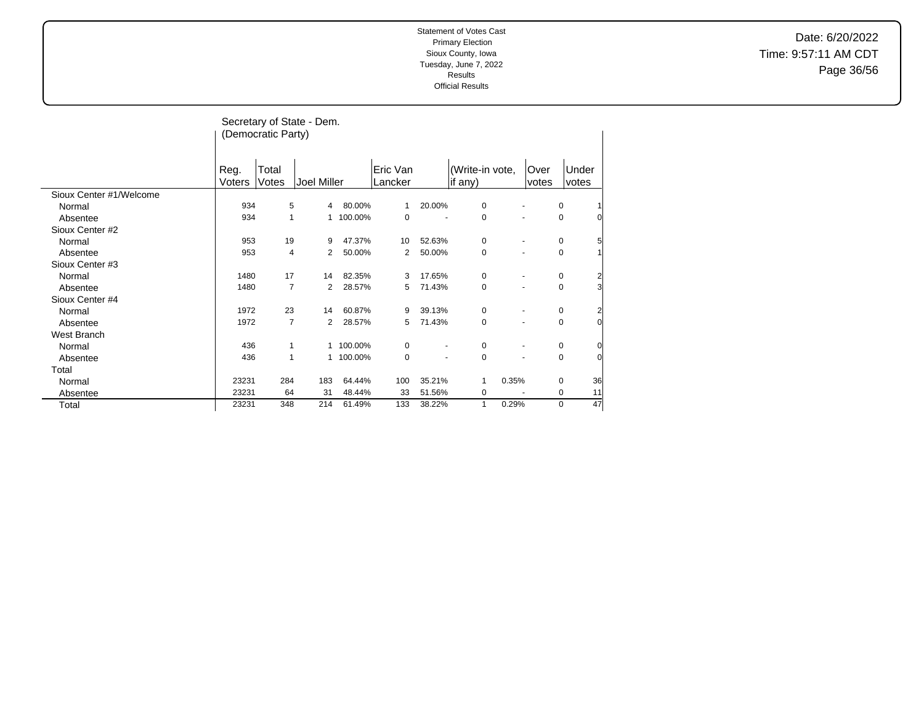Date: 6/20/2022 Time: 9:57:11 AM CDT Page 36/56

|                         |                       | (Democratic Party) | Secretary of State - Dem. |           |                     |        |                            |               |             |                |
|-------------------------|-----------------------|--------------------|---------------------------|-----------|---------------------|--------|----------------------------|---------------|-------------|----------------|
|                         | Reg.<br><b>Voters</b> | Total<br>Votes     | Joel Miller               |           | Eric Van<br>Lancker |        | (Write-in vote,<br>if any) | Over<br>votes |             | Under<br>votes |
| Sioux Center #1/Welcome |                       |                    |                           |           |                     |        |                            |               |             |                |
| Normal                  | 934                   | 5                  | 4                         | 80.00%    | 1                   | 20.00% | 0                          |               | 0           |                |
| Absentee                | 934                   | 1                  | 1                         | 100.00%   | $\mathbf 0$         |        | 0                          |               | 0           |                |
| Sioux Center #2         |                       |                    |                           |           |                     |        |                            |               |             |                |
| Normal                  | 953                   | 19                 | 9                         | 47.37%    | 10                  | 52.63% | 0                          |               | 0           | 5              |
| Absentee                | 953                   | 4                  | 2                         | 50.00%    | 2                   | 50.00% | 0                          |               | 0           |                |
| Sioux Center #3         |                       |                    |                           |           |                     |        |                            |               |             |                |
| Normal                  | 1480                  | 17                 | 14                        | 82.35%    | 3                   | 17.65% | 0                          |               | 0           | 2              |
| Absentee                | 1480                  | 7                  | 2                         | 28.57%    | 5                   | 71.43% | 0                          |               | 0           | 3              |
| Sioux Center #4         |                       |                    |                           |           |                     |        |                            |               |             |                |
| Normal                  | 1972                  | 23                 | 14                        | 60.87%    | 9                   | 39.13% | 0                          |               | 0           | 2              |
| Absentee                | 1972                  | 7                  | 2                         | 28.57%    | 5                   | 71.43% | $\mathbf 0$                |               | 0           | $\overline{0}$ |
| West Branch             |                       |                    |                           |           |                     |        |                            |               |             |                |
| Normal                  | 436                   | 1                  |                           | 1 100.00% | $\mathbf 0$         |        | $\pmb{0}$                  |               | 0           | 0              |
| Absentee                | 436                   | 1                  |                           | 1 100.00% | $\mathbf 0$         | ٠      | $\mathbf 0$                |               | $\mathbf 0$ | $\Omega$       |
| Total                   |                       |                    |                           |           |                     |        |                            |               |             |                |
| Normal                  | 23231                 | 284                | 183                       | 64.44%    | 100                 | 35.21% | 0.35%<br>1                 |               | 0           | 36             |
| Absentee                | 23231                 | 64                 | 31                        | 48.44%    | 33                  | 51.56% | 0                          |               | 0           | 11             |
| Total                   | 23231                 | 348                | 214                       | 61.49%    | 133                 | 38.22% | $\mathbf{1}$<br>0.29%      |               | 0           | 47             |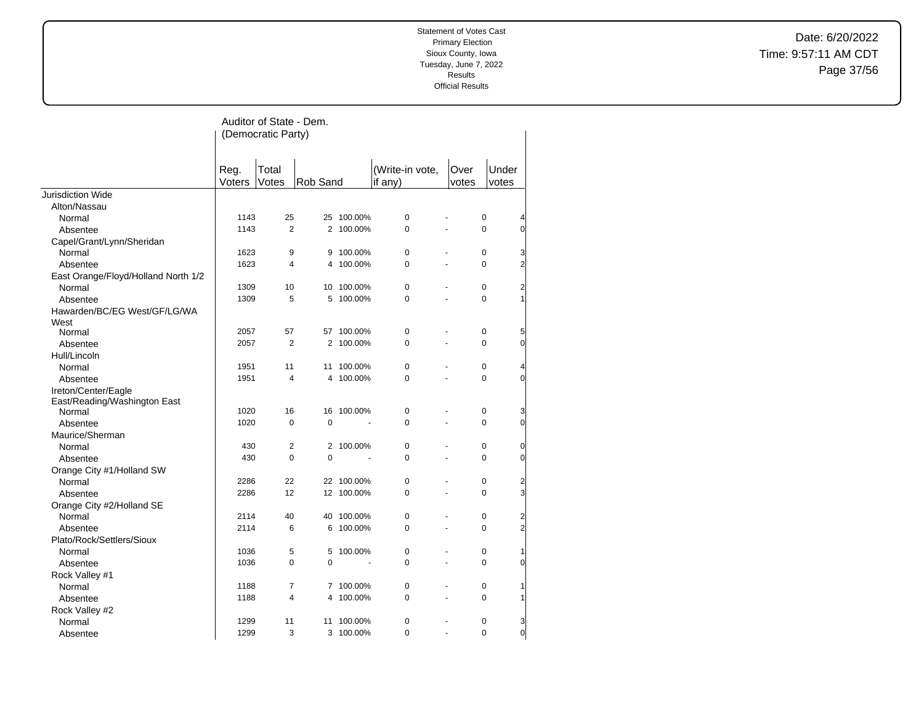Date: 6/20/2022 Time: 9:57:11 AM CDT Page 37/56

|                                        |                | Auditor of State - Dem. |                |            |                 |                |             |                     |
|----------------------------------------|----------------|-------------------------|----------------|------------|-----------------|----------------|-------------|---------------------|
|                                        |                | (Democratic Party)      |                |            |                 |                |             |                     |
|                                        |                |                         |                |            |                 |                |             |                     |
|                                        |                | Total                   |                |            | (Write-in vote, |                | Under       |                     |
|                                        | Reg.<br>Voters | Votes                   | Rob Sand       |            | if any)         | Over<br>votes  | votes       |                     |
| Jurisdiction Wide                      |                |                         |                |            |                 |                |             |                     |
| Alton/Nassau                           |                |                         |                |            |                 |                |             |                     |
| Normal                                 | 1143           | 25                      |                | 25 100.00% | $\pmb{0}$       |                | $\pmb{0}$   | 4                   |
| Absentee                               | 1143           | $\overline{2}$          |                | 2 100.00%  | 0               |                | $\Omega$    | $\overline{0}$      |
| Capel/Grant/Lynn/Sheridan              |                |                         |                |            |                 |                |             |                     |
| Normal                                 | 1623           | 9                       | 9              | 100.00%    | $\mathbf 0$     |                | $\mathbf 0$ | 3                   |
| Absentee                               | 1623           | 4                       | 4              | 100.00%    | 0               |                | $\Omega$    | $\overline{2}$      |
| East Orange/Floyd/Holland North 1/2    |                |                         |                |            |                 |                |             |                     |
| Normal                                 | 1309           | 10                      |                | 10 100.00% | 0               |                | $\mathbf 0$ | $\overline{c}$      |
| Absentee                               | 1309           | 5                       |                | 5 100.00%  | 0               |                | $\Omega$    | 1                   |
| Hawarden/BC/EG West/GF/LG/WA           |                |                         |                |            |                 |                |             |                     |
| West                                   |                | 57                      |                |            | $\pmb{0}$       |                | $\pmb{0}$   |                     |
| Normal                                 | 2057           | $\overline{2}$          | 57             | 100.00%    | 0               | ÷.             | 0           | 5<br>$\overline{0}$ |
| Absentee                               | 2057           |                         |                | 2 100.00%  |                 |                |             |                     |
| Hull/Lincoln                           |                | 11                      |                |            |                 |                | $\mathbf 0$ |                     |
| Normal                                 | 1951           | $\overline{4}$          | 11             | 100.00%    | 0               |                | $\Omega$    | 4<br>$\overline{0}$ |
| Absentee                               | 1951           |                         |                | 4 100.00%  | 0               |                |             |                     |
| Ireton/Center/Eagle                    |                |                         |                |            |                 |                |             |                     |
| East/Reading/Washington East<br>Normal | 1020           | 16                      | 16             | 100.00%    | 0               |                | $\pmb{0}$   | 3                   |
| Absentee                               | 1020           | $\mathbf 0$             | $\overline{0}$ |            | 0               | $\overline{a}$ | $\Omega$    | $\overline{0}$      |
| Maurice/Sherman                        |                |                         |                |            |                 |                |             |                     |
| Normal                                 | 430            | $\overline{2}$          |                | 2 100.00%  | 0               |                | $\mathbf 0$ | 0                   |
| Absentee                               | 430            | $\mathbf 0$             | 0              |            | 0               | ÷.             | $\Omega$    | $\overline{0}$      |
| Orange City #1/Holland SW              |                |                         |                |            |                 |                |             |                     |
| Normal                                 | 2286           | 22                      |                | 22 100.00% | 0               |                | $\mathbf 0$ | $\overline{2}$      |
| Absentee                               | 2286           | 12                      |                | 12 100.00% | 0               | $\overline{a}$ | $\Omega$    | $\overline{3}$      |
| Orange City #2/Holland SE              |                |                         |                |            |                 |                |             |                     |
| Normal                                 | 2114           | 40                      | 40             | 100.00%    | $\mathbf 0$     |                | $\mathbf 0$ | $\overline{2}$      |
| Absentee                               | 2114           | 6                       | 6              | 100.00%    | 0               |                | $\Omega$    | $\overline{2}$      |
| Plato/Rock/Settlers/Sioux              |                |                         |                |            |                 |                |             |                     |
| Normal                                 | 1036           | 5                       | 5              | 100.00%    | $\pmb{0}$       |                | 0           | 1                   |
| Absentee                               | 1036           | $\pmb{0}$               | 0              |            | 0               | L.             | $\mathbf 0$ | $\overline{0}$      |
| Rock Valley #1                         |                |                         |                |            |                 |                |             |                     |
| Normal                                 | 1188           | $\overline{7}$          |                | 7 100.00%  | 0               |                | $\mathbf 0$ | 1                   |
| Absentee                               | 1188           | 4                       | 4              | 100.00%    | 0               |                | $\Omega$    | 1                   |
| Rock Valley #2                         |                |                         |                |            |                 |                |             |                     |
| Normal                                 | 1299           | 11                      | 11             | 100.00%    | 0               |                | $\mathbf 0$ | 3                   |
| Absentee                               | 1299           | 3                       |                | 3 100.00%  | $\overline{0}$  |                | $\Omega$    | $\overline{0}$      |
|                                        |                |                         |                |            |                 |                |             |                     |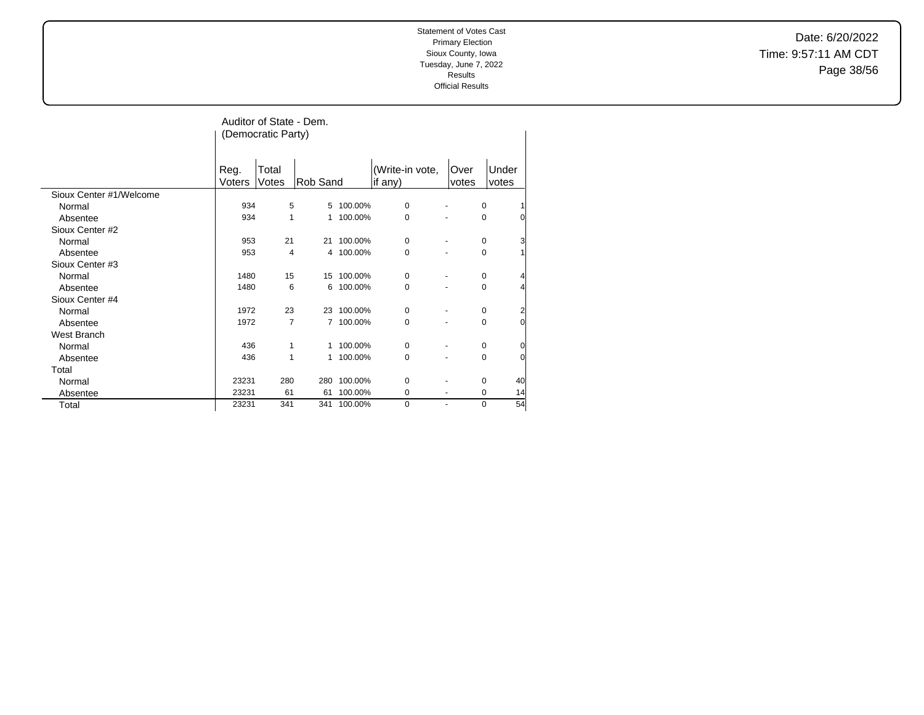Date: 6/20/2022 Time: 9:57:11 AM CDT Page 38/56

|                         | Auditor of State - Dem.<br>(Democratic Party) |                |                |            |                            |               |                     |  |  |
|-------------------------|-----------------------------------------------|----------------|----------------|------------|----------------------------|---------------|---------------------|--|--|
|                         | Reg.<br>Voters                                | Total<br>Votes | Rob Sand       |            | (Write-in vote,<br>if any) | Over<br>votes | Under<br>votes      |  |  |
| Sioux Center #1/Welcome |                                               |                |                |            |                            |               |                     |  |  |
| Normal                  | 934                                           | 5              |                | 5 100.00%  | $\mathbf 0$                |               | 0                   |  |  |
| Absentee                | 934                                           | 1              | 1              | 100.00%    | 0                          |               | 0<br>$\Omega$       |  |  |
| Sioux Center #2         |                                               |                |                |            |                            |               |                     |  |  |
| Normal                  | 953                                           | 21             |                | 21 100.00% | 0                          |               | 3<br>0              |  |  |
| Absentee                | 953                                           | 4              |                | 4 100.00%  | 0                          |               | 0                   |  |  |
| Sioux Center #3         |                                               |                |                |            |                            |               |                     |  |  |
| Normal                  | 1480                                          | 15             |                | 15 100.00% | 0                          |               | 0                   |  |  |
| Absentee                | 1480                                          | 6              | 6              | 100.00%    | 0                          |               | 0                   |  |  |
| Sioux Center #4         |                                               |                |                |            |                            |               |                     |  |  |
| Normal                  | 1972                                          | 23             |                | 23 100.00% | 0                          |               | 0<br>$\overline{c}$ |  |  |
| Absentee                | 1972                                          | $\overline{7}$ | $\overline{7}$ | 100.00%    | 0                          |               | 0<br>$\overline{0}$ |  |  |
| West Branch             |                                               |                |                |            |                            |               |                     |  |  |
| Normal                  | 436                                           | 1              | 1              | 100.00%    | 0                          |               | 0<br>0              |  |  |
| Absentee                | 436                                           | 1              |                | 1 100.00%  | 0                          |               | 0<br>$\overline{0}$ |  |  |
| Total                   |                                               |                |                |            |                            |               |                     |  |  |
| Normal                  | 23231                                         | 280            | 280            | 100.00%    | 0                          |               | $\mathbf 0$<br>40   |  |  |
| Absentee                | 23231                                         | 61             | 61             | 100.00%    | $\mathbf 0$                |               | $\mathbf 0$<br>14   |  |  |
| Total                   | 23231                                         | 341            | 341            | 100.00%    | $\Omega$                   | ٠             | 54<br>0             |  |  |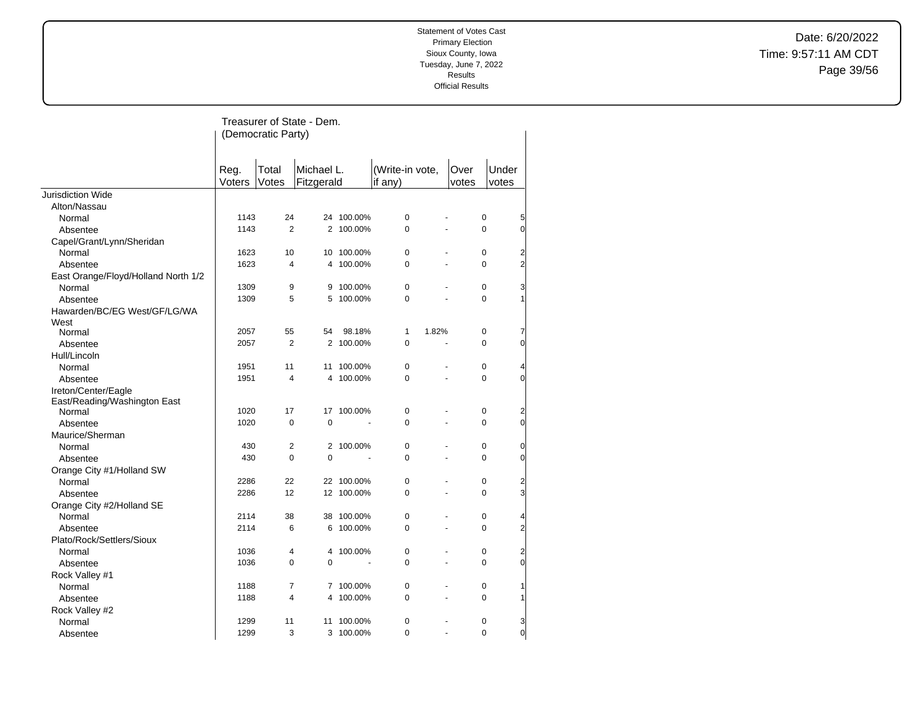Date: 6/20/2022 Time: 9:57:11 AM CDT Page 39/56

|                                     | Treasurer of State - Dem.<br>(Democratic Party)              |                |             |            |                            |                      |               |                |                |  |
|-------------------------------------|--------------------------------------------------------------|----------------|-------------|------------|----------------------------|----------------------|---------------|----------------|----------------|--|
|                                     | Total<br>Michael L.<br>Reg.<br>Voters<br>Votes<br>Fitzgerald |                |             |            | (Write-in vote,<br>if any) |                      | Over<br>votes | Under<br>votes |                |  |
| <b>Jurisdiction Wide</b>            |                                                              |                |             |            |                            |                      |               |                |                |  |
| Alton/Nassau                        |                                                              |                |             |            |                            |                      |               |                |                |  |
| Normal                              | 1143                                                         | 24             |             | 24 100.00% | $\mathbf 0$                |                      |               | 0              | 5              |  |
| Absentee                            | 1143                                                         | $\overline{2}$ |             | 2 100.00%  | $\mathbf 0$                | $\overline{a}$       |               | 0              | $\overline{0}$ |  |
| Capel/Grant/Lynn/Sheridan           |                                                              |                |             |            |                            |                      |               |                |                |  |
| Normal                              | 1623                                                         | 10             | 10          | 100.00%    | $\mathbf 0$                |                      |               | 0              | $\overline{c}$ |  |
| Absentee                            | 1623                                                         | $\overline{4}$ | 4           | 100.00%    | $\mathbf 0$                | ÷,                   |               | $\Omega$       | $\overline{2}$ |  |
| East Orange/Floyd/Holland North 1/2 |                                                              |                |             |            |                            |                      |               |                |                |  |
| Normal                              | 1309                                                         | 9              | 9           | 100.00%    | $\mathbf 0$                |                      |               | 0              | 3              |  |
| Absentee                            | 1309                                                         | 5              | 5           | 100.00%    | 0                          |                      |               | 0              |                |  |
| Hawarden/BC/EG West/GF/LG/WA        |                                                              |                |             |            |                            |                      |               |                |                |  |
| West                                |                                                              |                |             |            |                            |                      |               |                |                |  |
| Normal                              | 2057                                                         | 55             | 54          | 98.18%     | $\mathbf{1}$               | 1.82%                |               | 0              | 7              |  |
| Absentee                            | 2057                                                         | $\overline{2}$ |             | 2 100.00%  | $\Omega$                   | $\overline{a}$       |               | $\Omega$       | $\Omega$       |  |
| Hull/Lincoln                        |                                                              |                |             |            |                            |                      |               |                |                |  |
| Normal                              | 1951                                                         | 11             | 11          | 100.00%    | $\mathbf 0$                | ä,                   |               | 0              |                |  |
| Absentee                            | 1951                                                         | $\overline{4}$ |             | 4 100.00%  | $\Omega$                   | $\ddot{\phantom{a}}$ |               | $\Omega$       | $\Omega$       |  |
| Ireton/Center/Eagle                 |                                                              |                |             |            |                            |                      |               |                |                |  |
| East/Reading/Washington East        |                                                              |                |             |            |                            |                      |               |                |                |  |
| Normal                              | 1020                                                         | 17             | 17          | 100.00%    | $\pmb{0}$                  | ٠                    |               | 0              | $\overline{2}$ |  |
| Absentee                            | 1020                                                         | $\mathbf 0$    | $\mathbf 0$ |            | 0                          | ÷.                   |               | 0              | $\overline{0}$ |  |
| Maurice/Sherman                     |                                                              |                |             |            |                            |                      |               |                |                |  |
| Normal                              | 430                                                          | $\overline{2}$ |             | 2 100.00%  | $\mathbf 0$                |                      |               | 0              | $\overline{0}$ |  |
| Absentee                            | 430                                                          | $\Omega$       | $\mathbf 0$ |            | $\Omega$                   |                      |               | $\Omega$       | $\Omega$       |  |
| Orange City #1/Holland SW           |                                                              |                |             |            |                            |                      |               |                |                |  |
| Normal                              | 2286                                                         | 22             |             | 22 100.00% | $\mathbf 0$                |                      |               | 0              | 2              |  |
| Absentee                            | 2286                                                         | 12             |             | 12 100.00% | 0                          |                      |               | 0              | 3              |  |
| Orange City #2/Holland SE           |                                                              |                |             |            |                            |                      |               |                |                |  |
| Normal                              | 2114                                                         | 38             | 38          | 100.00%    | $\mathbf 0$                |                      |               | 0              | 4              |  |
| Absentee                            | 2114                                                         | 6              | 6           | 100.00%    | 0                          |                      |               | 0              | $\overline{2}$ |  |
| Plato/Rock/Settlers/Sioux           |                                                              |                |             |            |                            |                      |               |                |                |  |
| Normal                              | 1036                                                         | 4              | 4           | 100.00%    | $\mathbf 0$                | ÷.                   |               | 0              | $\overline{2}$ |  |
| Absentee                            | 1036                                                         | $\Omega$       | $\Omega$    |            | $\Omega$                   | ÷,                   |               | $\Omega$       | $\Omega$       |  |
| Rock Valley #1                      |                                                              |                |             |            |                            |                      |               |                |                |  |
| Normal                              | 1188                                                         | 7              |             | 7 100.00%  | 0                          |                      |               | 0              |                |  |
| Absentee                            | 1188                                                         | 4              | 4           | 100.00%    | 0                          | ÷,                   |               | 0              |                |  |
| Rock Valley #2                      |                                                              |                |             |            |                            |                      |               |                |                |  |
| Normal                              | 1299                                                         | 11             | 11          | 100.00%    | $\mathbf 0$                |                      |               | 0              | 3              |  |
| Absentee                            | 1299                                                         | 3              | 3           | 100.00%    | $\Omega$                   | $\overline{a}$       |               | $\Omega$       | $\overline{0}$ |  |
|                                     |                                                              |                |             |            |                            |                      |               |                |                |  |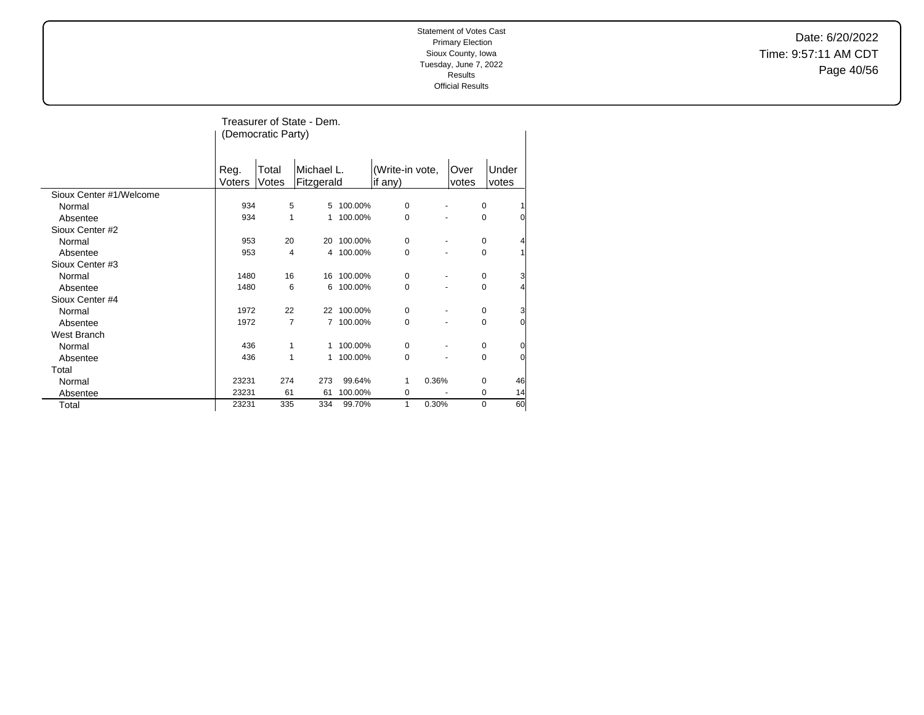Date: 6/20/2022 Time: 9:57:11 AM CDT Page 40/56

|                         |                | Treasurer of State - Dem.<br>(Democratic Party) |                          |            |                            |               |                     |  |  |  |  |
|-------------------------|----------------|-------------------------------------------------|--------------------------|------------|----------------------------|---------------|---------------------|--|--|--|--|
|                         | Reg.<br>Voters | Total<br>Votes                                  | Michael L.<br>Fitzgerald |            | (Write-in vote,<br>if any) | Over<br>votes | Under<br>votes      |  |  |  |  |
| Sioux Center #1/Welcome |                |                                                 |                          |            |                            |               |                     |  |  |  |  |
| Normal                  | 934            | 5                                               | 5                        | 100.00%    | 0                          |               | 0                   |  |  |  |  |
| Absentee                | 934            | 1                                               | 1                        | 100.00%    | $\mathbf 0$                |               | 0<br>0              |  |  |  |  |
| Sioux Center #2         |                |                                                 |                          |            |                            |               |                     |  |  |  |  |
| Normal                  | 953            | 20                                              | 20                       | 100.00%    | 0                          |               | 0                   |  |  |  |  |
| Absentee                | 953            | 4                                               |                          | 4 100.00%  | $\Omega$                   |               | 0                   |  |  |  |  |
| Sioux Center #3         |                |                                                 |                          |            |                            |               |                     |  |  |  |  |
| Normal                  | 1480           | 16                                              |                          | 16 100.00% | 0                          |               | 3<br>0              |  |  |  |  |
| Absentee                | 1480           | 6                                               | 6                        | 100.00%    | 0                          |               | 4<br>0              |  |  |  |  |
| Sioux Center #4         |                |                                                 |                          |            |                            |               |                     |  |  |  |  |
| Normal                  | 1972           | 22                                              |                          | 22 100.00% | $\mathbf 0$                |               | 3<br>0              |  |  |  |  |
| Absentee                | 1972           | $\overline{7}$                                  |                          | 7 100.00%  | $\mathbf 0$                |               | $\overline{0}$<br>0 |  |  |  |  |
| West Branch             |                |                                                 |                          |            |                            |               |                     |  |  |  |  |
| Normal                  | 436            | 1                                               | 1                        | 100.00%    | 0                          |               | 0<br>0              |  |  |  |  |
| Absentee                | 436            | 1                                               | 1                        | 100.00%    | 0                          |               | $\overline{0}$<br>0 |  |  |  |  |
| Total                   |                |                                                 |                          |            |                            |               |                     |  |  |  |  |
| Normal                  | 23231          | 274                                             | 273                      | 99.64%     | 0.36%<br>1                 |               | 46<br>0             |  |  |  |  |
| Absentee                | 23231          | 61                                              | 61                       | 100.00%    | 0                          |               | 14<br>0             |  |  |  |  |
| Total                   | 23231          | 335                                             | 334                      | 99.70%     | 0.30%<br>1                 |               | 60<br>0             |  |  |  |  |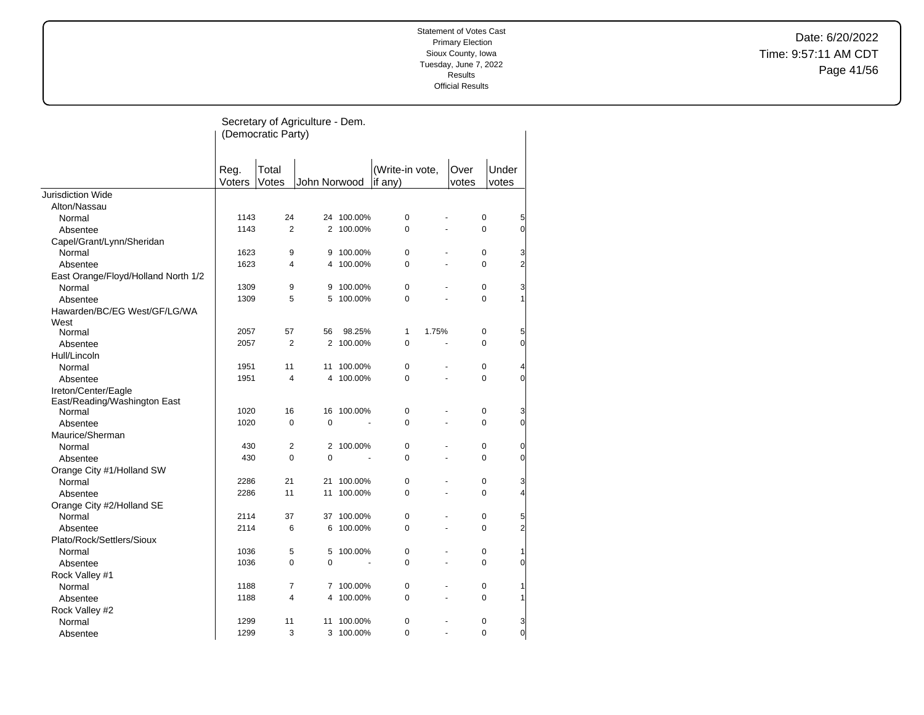Date: 6/20/2022 Time: 9:57:11 AM CDT Page 41/56

|                                      |                | Secretary of Agriculture - Dem.<br>(Democratic Party) |              |            |                              |                |               |                            |
|--------------------------------------|----------------|-------------------------------------------------------|--------------|------------|------------------------------|----------------|---------------|----------------------------|
|                                      | Reg.<br>Voters | Total<br>Votes                                        | John Norwood |            | (Write-in vote,<br>if $any)$ |                | Over<br>votes | Under<br>votes             |
| Jurisdiction Wide                    |                |                                                       |              |            |                              |                |               |                            |
| Alton/Nassau                         |                |                                                       |              |            |                              |                |               |                            |
| Normal                               | 1143           | 24                                                    |              | 24 100.00% | $\pmb{0}$                    |                |               | 0<br>5                     |
| Absentee                             | 1143           | 2                                                     |              | 2 100.00%  | 0                            |                |               | 0<br>$\overline{0}$        |
| Capel/Grant/Lynn/Sheridan            |                |                                                       |              |            |                              |                |               |                            |
| Normal                               | 1623           | 9                                                     | 9            | 100.00%    | $\pmb{0}$                    |                |               | 0<br>3                     |
| Absentee                             | 1623           | 4                                                     |              | 4 100.00%  | 0                            | $\blacksquare$ |               | 0<br>$\overline{2}$        |
| East Orange/Floyd/Holland North 1/2  |                |                                                       |              |            |                              |                |               |                            |
| Normal                               | 1309           | 9                                                     |              | 9 100.00%  | $\pmb{0}$                    |                |               | 0<br>3                     |
| Absentee                             | 1309           | 5                                                     |              | 5 100.00%  | 0                            |                |               | 0<br>1                     |
| Hawarden/BC/EG West/GF/LG/WA<br>West |                |                                                       |              |            |                              |                |               |                            |
| Normal                               | 2057           | 57                                                    | 56           | 98.25%     | 1                            | 1.75%          | $\pmb{0}$     | 5                          |
| Absentee                             | 2057           | 2                                                     |              | 2 100.00%  | $\mathbf 0$                  |                |               | 0<br>$\overline{0}$        |
| Hull/Lincoln                         |                |                                                       |              |            |                              |                |               |                            |
| Normal                               | 1951           | 11                                                    | 11           | 100.00%    | $\mathbf 0$                  |                |               | 0<br>4                     |
| Absentee                             | 1951           | $\overline{4}$                                        |              | 4 100.00%  | $\pmb{0}$                    | L,             |               | 0<br>$\overline{0}$        |
| Ireton/Center/Eagle                  |                |                                                       |              |            |                              |                |               |                            |
| East/Reading/Washington East         |                |                                                       |              |            |                              |                |               |                            |
| Normal                               | 1020           | 16                                                    |              | 16 100.00% | 0                            |                |               | 0<br>3                     |
| Absentee                             | 1020           | $\mathbf 0$                                           | $\mathbf 0$  |            | 0                            |                |               | $\overline{0}$<br>0        |
| Maurice/Sherman                      |                |                                                       |              |            |                              |                |               |                            |
| Normal                               | 430            | $\overline{2}$                                        |              | 2 100.00%  | 0                            |                |               | 0<br>$\overline{0}$        |
| Absentee                             | 430            | $\Omega$                                              | $\Omega$     |            | 0                            |                |               | 0<br>$\overline{0}$        |
| Orange City #1/Holland SW            |                |                                                       |              |            |                              |                |               |                            |
| Normal                               | 2286           | 21                                                    | 21           | 100.00%    | 0                            |                |               | 0<br>3                     |
| Absentee                             | 2286           | 11                                                    | 11           | 100.00%    | 0                            |                |               | 0<br>4                     |
| Orange City #2/Holland SE            |                |                                                       |              |            |                              |                |               |                            |
| Normal                               | 2114           | 37                                                    |              | 37 100.00% | 0                            |                | 0             | 5                          |
| Absentee                             | 2114           | 6                                                     | 6            | 100.00%    | 0                            |                |               | $\overline{c}$<br>0        |
| Plato/Rock/Settlers/Sioux            |                |                                                       |              |            |                              |                |               |                            |
| Normal                               | 1036           | 5                                                     |              | 5 100.00%  | 0                            |                |               | 0<br>1                     |
| Absentee                             | 1036           | $\mathbf 0$                                           | 0            |            | 0                            |                |               | 0<br>$\overline{0}$        |
| Rock Valley #1                       |                |                                                       |              |            |                              |                |               |                            |
| Normal                               | 1188           | 7                                                     |              | 7 100.00%  | 0                            |                |               | 0<br>1                     |
| Absentee                             | 1188           | $\overline{4}$                                        | 4            | 100.00%    | 0                            |                |               | 0<br>1                     |
| Rock Valley #2                       |                |                                                       |              |            |                              |                |               |                            |
| Normal                               | 1299           | 11                                                    | 11           | 100.00%    | 0                            |                | 0             | 3                          |
| Absentee                             | 1299           | 3                                                     |              | 3 100.00%  | $\Omega$                     |                |               | $\Omega$<br>$\overline{0}$ |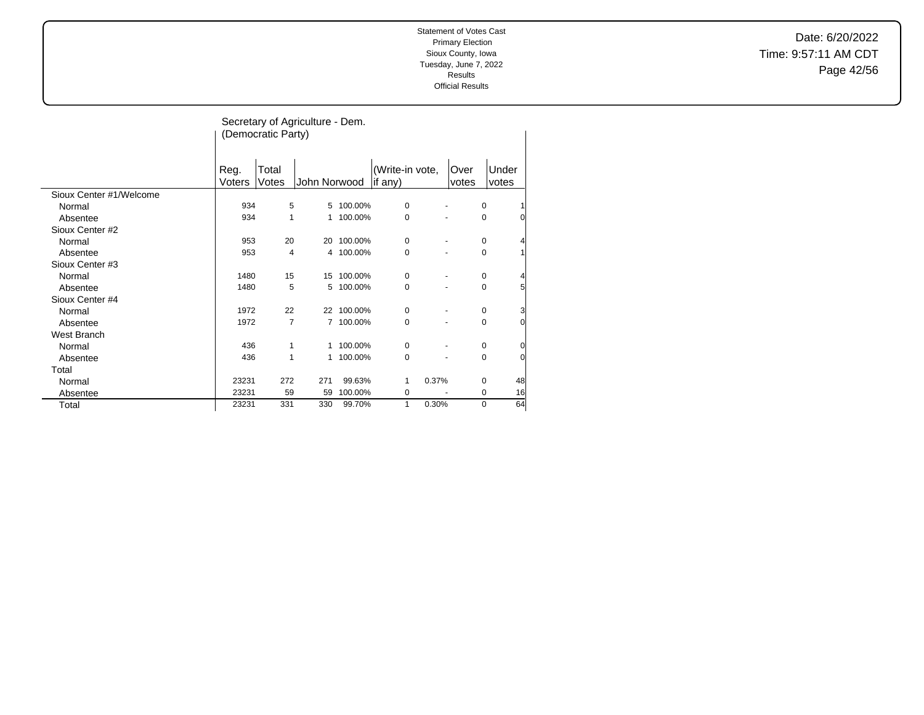Date: 6/20/2022 Time: 9:57:11 AM CDT Page 42/56

|                         |                | Secretary of Agriculture - Dem.<br>(Democratic Party) |                |            |                            |               |                     |  |  |  |  |
|-------------------------|----------------|-------------------------------------------------------|----------------|------------|----------------------------|---------------|---------------------|--|--|--|--|
|                         | Reg.<br>Voters | Total<br>Votes                                        | John Norwood   |            | (Write-in vote,<br>if any) | Over<br>votes | Under<br>votes      |  |  |  |  |
| Sioux Center #1/Welcome |                |                                                       |                |            |                            |               |                     |  |  |  |  |
| Normal                  | 934            | 5                                                     | 5              | 100.00%    | $\mathbf 0$                |               | 0                   |  |  |  |  |
| Absentee                | 934            | 1                                                     | 1              | 100.00%    | 0                          |               | 0<br>0              |  |  |  |  |
| Sioux Center #2         |                |                                                       |                |            |                            |               |                     |  |  |  |  |
| Normal                  | 953            | 20                                                    | 20             | 100.00%    | $\mathbf 0$                |               | 0                   |  |  |  |  |
| Absentee                | 953            | 4                                                     |                | 4 100.00%  | 0                          |               | 0                   |  |  |  |  |
| Sioux Center #3         |                |                                                       |                |            |                            |               |                     |  |  |  |  |
| Normal                  | 1480           | 15                                                    | 15             | 100.00%    | 0                          |               | 0<br>4              |  |  |  |  |
| Absentee                | 1480           | 5                                                     | 5              | 100.00%    | 0                          |               | 5<br>0              |  |  |  |  |
| Sioux Center #4         |                |                                                       |                |            |                            |               |                     |  |  |  |  |
| Normal                  | 1972           | 22                                                    |                | 22 100.00% | $\mathbf 0$                |               | 3<br>0              |  |  |  |  |
| Absentee                | 1972           | $\overline{7}$                                        | $\overline{7}$ | 100.00%    | 0                          |               | 0<br>0              |  |  |  |  |
| <b>West Branch</b>      |                |                                                       |                |            |                            |               |                     |  |  |  |  |
| Normal                  | 436            | 1                                                     | 1              | 100.00%    | 0                          |               | $\overline{0}$<br>0 |  |  |  |  |
| Absentee                | 436            | 1                                                     | 1              | 100.00%    | 0                          |               | 0<br>0              |  |  |  |  |
| Total                   |                |                                                       |                |            |                            |               |                     |  |  |  |  |
| Normal                  | 23231          | 272                                                   | 271            | 99.63%     | 0.37%<br>1                 |               | 48<br>0             |  |  |  |  |
| Absentee                | 23231          | 59                                                    | 59             | 100.00%    | 0                          |               | 16<br>0             |  |  |  |  |
| Total                   | 23231          | 331                                                   | 330            | 99.70%     | 0.30%<br>1                 |               | 64<br>0             |  |  |  |  |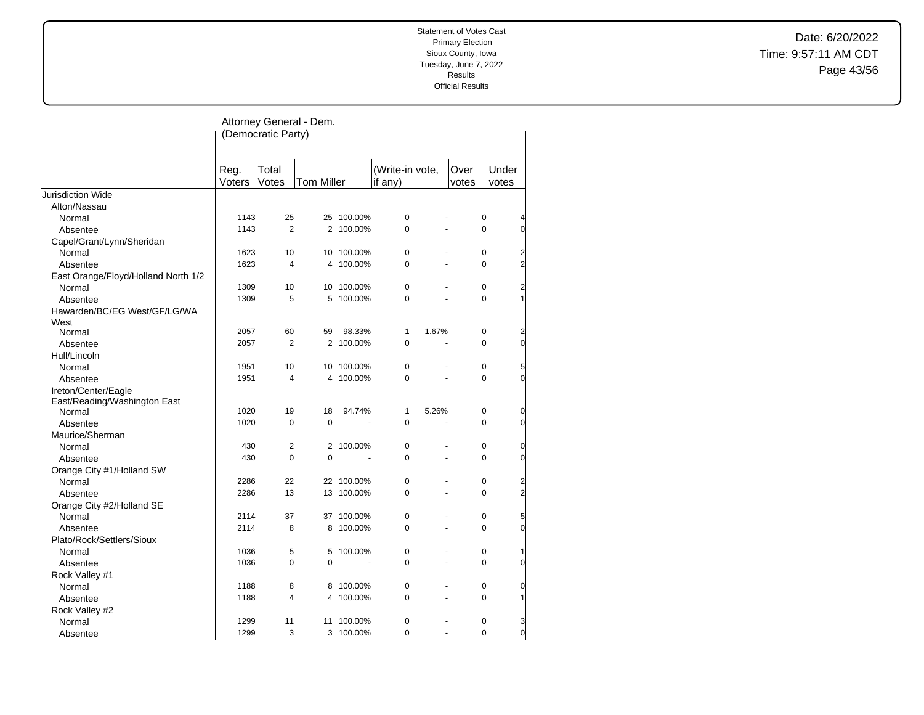Date: 6/20/2022 Time: 9:57:11 AM CDT Page 43/56

|                                        | Attorney General - Dem.<br>(Democratic Party) |                |                   |            |                            |                |               |                |                  |  |
|----------------------------------------|-----------------------------------------------|----------------|-------------------|------------|----------------------------|----------------|---------------|----------------|------------------|--|
|                                        | Reg.<br>Voters                                | Total<br>Votes | <b>Tom Miller</b> |            | (Write-in vote,<br>if any) |                | Over<br>votes | Under<br>votes |                  |  |
| <b>Jurisdiction Wide</b>               |                                               |                |                   |            |                            |                |               |                |                  |  |
| Alton/Nassau                           |                                               |                |                   |            |                            |                |               |                |                  |  |
| Normal                                 | 1143                                          | 25             |                   | 25 100.00% | $\pmb{0}$                  |                |               | $\pmb{0}$      | 4                |  |
| Absentee                               | 1143                                          | $\overline{2}$ |                   | 2 100.00%  | $\Omega$                   | $\overline{a}$ |               | $\Omega$       | $\overline{0}$   |  |
| Capel/Grant/Lynn/Sheridan              |                                               |                |                   |            |                            |                |               |                |                  |  |
| Normal                                 | 1623                                          | 10             | 10                | 100.00%    | 0                          |                |               | 0              | $\overline{c}$   |  |
| Absentee                               | 1623                                          | 4              | 4                 | 100.00%    | 0                          | ä,             |               | 0              | $\overline{2}$   |  |
| East Orange/Floyd/Holland North 1/2    |                                               |                |                   |            |                            |                |               |                |                  |  |
| Normal                                 | 1309                                          | 10             | 10                | 100.00%    | 0                          |                |               | $\mathbf 0$    | $\overline{2}$   |  |
| Absentee                               | 1309                                          | 5              | 5                 | 100.00%    | 0                          |                |               | $\Omega$       | $\mathbf{1}$     |  |
| Hawarden/BC/EG West/GF/LG/WA           |                                               |                |                   |            |                            |                |               |                |                  |  |
| West                                   |                                               |                |                   |            |                            |                |               |                |                  |  |
| Normal                                 | 2057                                          | 60             | 59                | 98.33%     | 1                          | 1.67%          |               | $\mathbf 0$    | $\overline{2}$   |  |
| Absentee                               | 2057                                          | $\overline{2}$ |                   | 2 100.00%  | 0                          |                |               | 0              | $\mathbf{0}$     |  |
| Hull/Lincoln                           |                                               |                |                   |            |                            |                |               |                |                  |  |
| Normal                                 | 1951                                          | 10             | 10                | 100.00%    | 0                          |                |               | $\mathbf 0$    | 5                |  |
| Absentee                               | 1951                                          | 4              | 4                 | 100.00%    | 0                          |                |               | 0              | $\overline{0}$   |  |
| Ireton/Center/Eagle                    |                                               |                |                   |            |                            |                |               |                |                  |  |
| East/Reading/Washington East<br>Normal | 1020                                          | 19             | 18                | 94.74%     | 1                          | 5.26%          |               | $\pmb{0}$      | $\overline{0}$   |  |
| Absentee                               | 1020                                          | 0              | $\mathbf 0$       |            | $\Omega$                   |                |               | $\Omega$       | $\overline{0}$   |  |
| Maurice/Sherman                        |                                               |                |                   |            |                            |                |               |                |                  |  |
| Normal                                 | 430                                           | 2              |                   | 2 100.00%  | 0                          |                |               | 0              | 0                |  |
| Absentee                               | 430                                           | 0              | $\mathbf 0$       |            | 0                          |                |               | 0              | $\overline{0}$   |  |
| Orange City #1/Holland SW              |                                               |                |                   |            |                            |                |               |                |                  |  |
| Normal                                 | 2286                                          | 22             |                   | 22 100.00% | 0                          |                |               | 0              | $\overline{a}$   |  |
| Absentee                               | 2286                                          | 13             | 13                | 100.00%    | 0                          | ä,             |               | 0              | $\overline{c}$   |  |
| Orange City #2/Holland SE              |                                               |                |                   |            |                            |                |               |                |                  |  |
| Normal                                 | 2114                                          | 37             | 37                | 100.00%    | 0                          |                |               | $\mathbf 0$    | 5                |  |
| Absentee                               | 2114                                          | 8              | 8                 | 100.00%    | 0                          |                |               | $\Omega$       | $\overline{0}$   |  |
| Plato/Rock/Settlers/Sioux              |                                               |                |                   |            |                            |                |               |                |                  |  |
| Normal                                 | 1036                                          | 5              | 5                 | 100.00%    | 0                          |                |               | 0              | 1                |  |
| Absentee                               | 1036                                          | 0              | 0                 |            | $\Omega$                   | ä,             |               | $\Omega$       | $\overline{0}$   |  |
| Rock Valley #1                         |                                               |                |                   |            |                            |                |               |                |                  |  |
| Normal                                 | 1188                                          | 8              | 8                 | 100.00%    | 0                          |                |               | 0              | 0                |  |
| Absentee                               | 1188                                          | 4              | 4                 | 100.00%    | 0                          | ä,             |               | 0              | 1                |  |
| Rock Valley #2                         |                                               |                |                   |            |                            |                |               |                |                  |  |
| Normal                                 | 1299                                          | 11             | 11                | 100.00%    | 0                          |                |               | 0              | 3                |  |
| Absentee                               | 1299                                          | 3              |                   | 3 100.00%  | 0                          | L.             |               | $\mathbf 0$    | $\boldsymbol{0}$ |  |
|                                        |                                               |                |                   |            |                            |                |               |                |                  |  |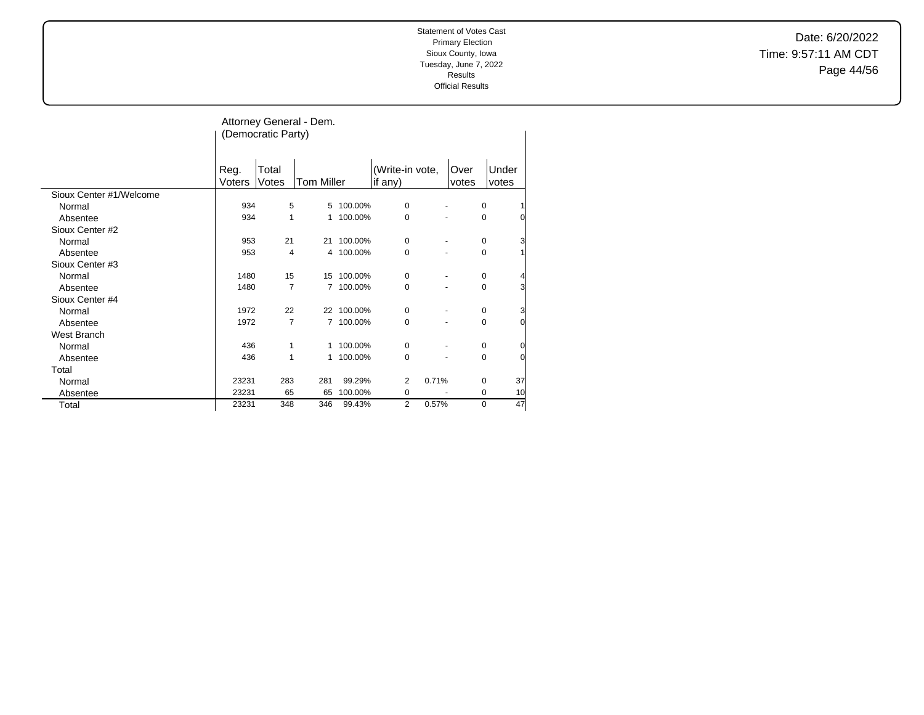Date: 6/20/2022 Time: 9:57:11 AM CDT Page 44/56

|                         |                | (Democratic Party) | Attorney General - Dem. |            |                            |               |                  |
|-------------------------|----------------|--------------------|-------------------------|------------|----------------------------|---------------|------------------|
|                         | Reg.<br>Voters | Total<br>Votes     | <b>Tom Miller</b>       |            | (Write-in vote,<br>if any) | Over<br>votes | Under<br>votes   |
| Sioux Center #1/Welcome |                |                    |                         |            |                            |               |                  |
| Normal                  | 934            | 5                  | 5                       | 100.00%    | $\mathbf 0$                |               | 0<br>1           |
| Absentee                | 934            | 1                  | 1                       | 100.00%    | $\mathbf 0$                |               | $\mathbf 0$<br>0 |
| Sioux Center #2         |                |                    |                         |            |                            |               |                  |
| Normal                  | 953            | 21                 | 21                      | 100.00%    | 0                          |               | 3<br>0           |
| Absentee                | 953            | 4                  |                         | 4 100.00%  | $\Omega$                   |               | $\Omega$<br>1    |
| Sioux Center #3         |                |                    |                         |            |                            |               |                  |
| Normal                  | 1480           | 15                 | 15                      | 100.00%    | 0                          |               | 4<br>$\mathbf 0$ |
| Absentee                | 1480           | 7                  | $\overline{7}$          | 100.00%    | 0                          |               | 3<br>0           |
| Sioux Center #4         |                |                    |                         |            |                            |               |                  |
| Normal                  | 1972           | 22                 |                         | 22 100.00% | 0                          |               | 3<br>0           |
| Absentee                | 1972           | $\overline{7}$     |                         | 7 100.00%  | $\mathbf 0$                |               | 0<br>0           |
| West Branch             |                |                    |                         |            |                            |               |                  |
| Normal                  | 436            | 1                  |                         | 1 100.00%  | 0                          |               | 0<br>$\mathbf 0$ |
| Absentee                | 436            | 1                  |                         | 1 100.00%  | $\Omega$                   |               | $\Omega$<br>0    |
| Total                   |                |                    |                         |            |                            |               |                  |
| Normal                  | 23231          | 283                | 281                     | 99.29%     | 0.71%<br>2                 |               | 37<br>0          |
| Absentee                | 23231          | 65                 | 65                      | 100.00%    | 0                          |               | 10<br>0          |
| Total                   | 23231          | 348                | 346                     | 99.43%     | 0.57%<br>2                 |               | 47<br>$\Omega$   |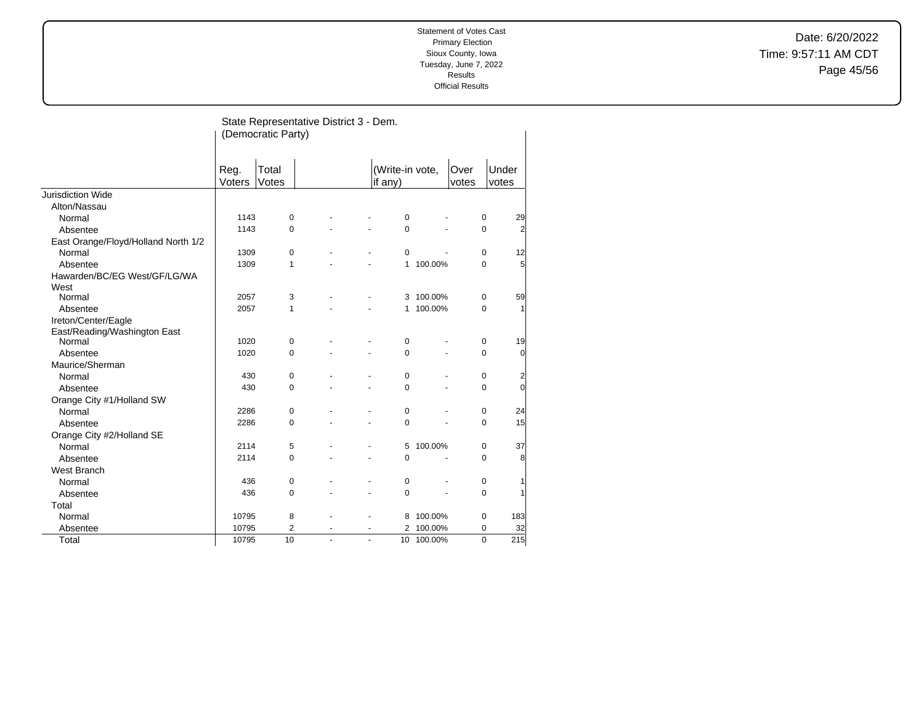Date: 6/20/2022 Time: 9:57:11 AM CDT Page 45/56

|                                      |                | (Democratic Party) | State Representative District 3 - Dem. |                          |                            |           |               |                                |
|--------------------------------------|----------------|--------------------|----------------------------------------|--------------------------|----------------------------|-----------|---------------|--------------------------------|
|                                      | Reg.<br>Voters | Total<br>Votes     |                                        |                          | (Write-in vote,<br>if any) |           | Over<br>votes | Under<br>votes                 |
| <b>Jurisdiction Wide</b>             |                |                    |                                        |                          |                            |           |               |                                |
| Alton/Nassau                         |                |                    |                                        |                          |                            |           |               |                                |
| Normal                               | 1143           | $\mathbf 0$        |                                        |                          | $\mathbf 0$                |           |               | 29<br>$\mathbf 0$              |
| Absentee                             | 1143           | 0                  |                                        |                          | $\mathbf 0$                |           |               | $\overline{2}$<br>$\mathbf 0$  |
| East Orange/Floyd/Holland North 1/2  |                |                    |                                        |                          |                            |           |               |                                |
| Normal                               | 1309           | 0                  |                                        |                          | $\mathbf 0$                |           |               | 12<br>0                        |
| Absentee                             | 1309           | 1                  |                                        |                          | $\mathbf{1}$               | 100.00%   |               | $5\overline{5}$<br>$\mathbf 0$ |
| Hawarden/BC/EG West/GF/LG/WA<br>West |                |                    |                                        |                          |                            |           |               |                                |
| Normal                               | 2057           | 3                  |                                        |                          |                            | 3 100.00% |               | 59<br>$\mathbf 0$              |
| Absentee                             | 2057           | 1                  |                                        |                          |                            | 1 100.00% |               | $\mathbf{1}$<br>$\mathbf 0$    |
| Ireton/Center/Eagle                  |                |                    |                                        |                          |                            |           |               |                                |
| East/Reading/Washington East         |                |                    |                                        |                          |                            |           |               |                                |
| Normal                               | 1020           | 0                  |                                        |                          | $\pmb{0}$                  |           |               | 19<br>$\mathbf 0$              |
| Absentee                             | 1020           | 0                  |                                        |                          | $\Omega$                   |           |               | $\overline{0}$<br>$\mathbf 0$  |
| Maurice/Sherman                      |                |                    |                                        |                          |                            |           |               |                                |
| Normal                               | 430            | 0                  |                                        |                          | $\mathbf 0$                |           |               | $\overline{c}$<br>$\pmb{0}$    |
| Absentee                             | 430            | 0                  |                                        |                          | $\mathbf 0$                |           |               | $\overline{0}$<br>0            |
| Orange City #1/Holland SW            |                |                    |                                        |                          |                            |           |               |                                |
| Normal                               | 2286           | 0                  |                                        |                          | $\pmb{0}$                  |           |               | 24<br>$\pmb{0}$                |
| Absentee                             | 2286           | 0                  |                                        | $\overline{\phantom{a}}$ | $\mathbf 0$                |           |               | 15<br>$\mathbf 0$              |
| Orange City #2/Holland SE            |                |                    |                                        |                          |                            |           |               |                                |
| Normal                               | 2114           | 5                  |                                        |                          | 5                          | 100.00%   |               | 37<br>$\pmb{0}$                |
| Absentee                             | 2114           | 0                  |                                        | ٠                        | $\mathbf 0$                |           |               | 8<br>$\mathbf 0$               |
| West Branch                          |                |                    |                                        |                          |                            |           |               |                                |
| Normal                               | 436            | 0                  |                                        |                          | $\pmb{0}$                  |           |               | $\mathbf{1}$<br>$\pmb{0}$      |
| Absentee                             | 436            | $\mathbf 0$        |                                        | ÷,                       | $\mathbf 0$                |           |               | $\mathbf{1}$<br>$\mathbf 0$    |
| Total                                |                |                    |                                        |                          |                            |           |               |                                |
| Normal                               | 10795          | 8                  |                                        |                          | 8                          | 100.00%   |               | 183<br>$\mathbf 0$             |
| Absentee                             | 10795          | $\overline{2}$     |                                        |                          | $\overline{2}$             | 100.00%   |               | 32<br>0                        |
| Total                                | 10795          | 10                 | ä,                                     |                          | 10<br>ä,                   | 100.00%   |               | $\Omega$<br>215                |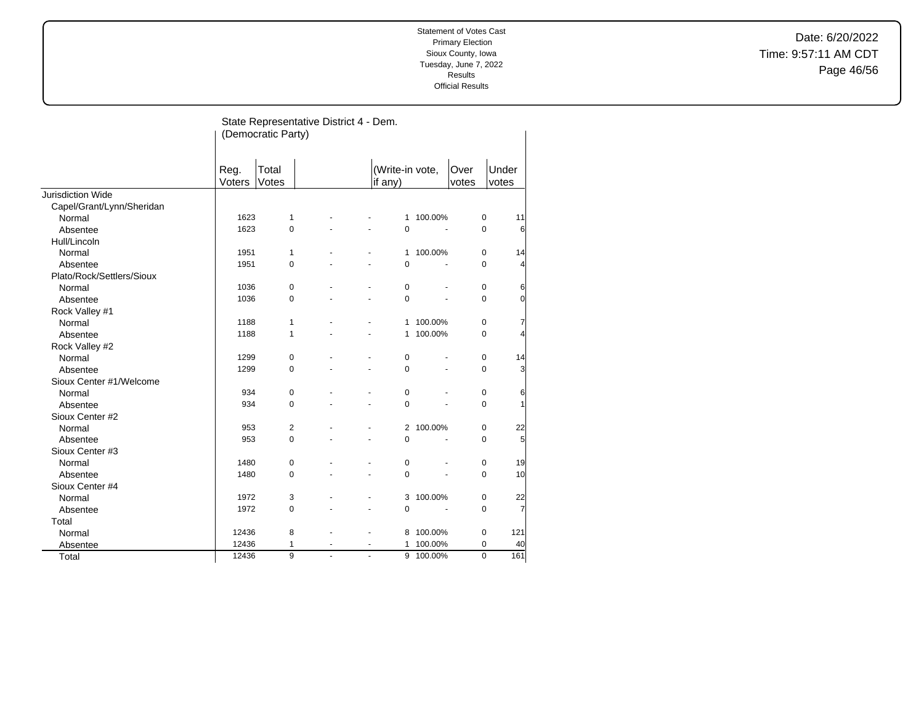Date: 6/20/2022 Time: 9:57:11 AM CDT Page 46/56

|                           |                | State Representative District 4 - Dem.<br>(Democratic Party) |    |                          |                            |           |               |                               |
|---------------------------|----------------|--------------------------------------------------------------|----|--------------------------|----------------------------|-----------|---------------|-------------------------------|
|                           | Reg.<br>Voters | Total<br>Votes                                               |    |                          | (Write-in vote,<br>if any) |           | Over<br>votes | Under<br>votes                |
| Jurisdiction Wide         |                |                                                              |    |                          |                            |           |               |                               |
| Capel/Grant/Lynn/Sheridan |                |                                                              |    |                          |                            |           |               |                               |
| Normal                    | 1623           | 1                                                            |    |                          |                            | 1 100.00% | 0             | 11                            |
| Absentee                  | 1623           | $\mathbf 0$                                                  |    |                          | $\mathbf 0$                |           | $\mathbf 0$   | 6                             |
| Hull/Lincoln              |                |                                                              |    |                          |                            |           |               |                               |
| Normal                    | 1951           | $\mathbf{1}$                                                 |    |                          |                            | 1 100.00% | $\mathbf 0$   | 14                            |
| Absentee                  | 1951           | $\mathbf 0$                                                  |    |                          | $\mathbf 0$                |           | $\mathbf 0$   | 4                             |
| Plato/Rock/Settlers/Sioux |                |                                                              |    |                          |                            |           |               |                               |
| Normal                    | 1036           | $\mathbf 0$                                                  |    |                          | $\mathbf 0$                |           |               | $\mathbf 0$<br>6              |
| Absentee                  | 1036           | $\mathbf 0$                                                  |    |                          | $\mathbf 0$                |           |               | $\mathbf 0$<br>0              |
| Rock Valley #1            |                |                                                              |    |                          |                            |           |               |                               |
| Normal                    | 1188           | 1                                                            |    |                          | 1                          | 100.00%   | $\mathbf 0$   | 7                             |
| Absentee                  | 1188           | 1                                                            |    |                          | 1                          | 100.00%   |               | 0<br>4                        |
| Rock Valley #2            |                |                                                              |    |                          |                            |           |               |                               |
| Normal                    | 1299           | 0                                                            |    |                          | $\mathbf 0$                |           | $\mathbf 0$   | 14                            |
| Absentee                  | 1299           | $\mathbf 0$                                                  |    |                          | $\mathbf 0$                |           |               | $\mathbf 0$<br>3              |
| Sioux Center #1/Welcome   |                |                                                              |    |                          |                            |           |               |                               |
| Normal                    | 934            | $\pmb{0}$                                                    |    |                          | 0                          |           |               | 6<br>0                        |
| Absentee                  | 934            | $\Omega$                                                     |    |                          | $\Omega$                   |           |               | $\mathbf 0$<br>1              |
| Sioux Center #2           |                |                                                              |    |                          |                            |           |               |                               |
| Normal                    | 953            | 2                                                            |    |                          |                            | 2 100.00% | 0             | 22                            |
| Absentee                  | 953            | $\mathbf 0$                                                  |    |                          | $\mathbf 0$                |           | $\mathbf 0$   | 5                             |
| Sioux Center #3           |                |                                                              |    |                          |                            |           |               |                               |
| Normal                    | 1480           | $\mathbf 0$                                                  |    |                          | 0                          |           | 0             | 19                            |
| Absentee                  | 1480           | 0                                                            |    |                          | 0                          |           | $\mathbf 0$   | 10                            |
| Sioux Center #4           |                |                                                              |    |                          |                            |           |               |                               |
| Normal                    | 1972           | 3                                                            |    |                          | 3                          | 100.00%   | 0             | 22                            |
| Absentee                  | 1972           | $\mathbf 0$                                                  |    |                          | 0                          | ÷.        |               | $\overline{7}$<br>$\mathbf 0$ |
| Total                     |                |                                                              |    |                          |                            |           |               |                               |
| Normal                    | 12436          | 8                                                            |    |                          | 8                          | 100.00%   |               | $\pmb{0}$<br>121              |
| Absentee                  | 12436          | 1                                                            | ä, | $\overline{\phantom{a}}$ | 1                          | 100.00%   | $\mathbf 0$   | 40                            |
| Total                     | 12436          | 9                                                            | L. | L.                       |                            | 9 100.00% | $\mathbf 0$   | 161                           |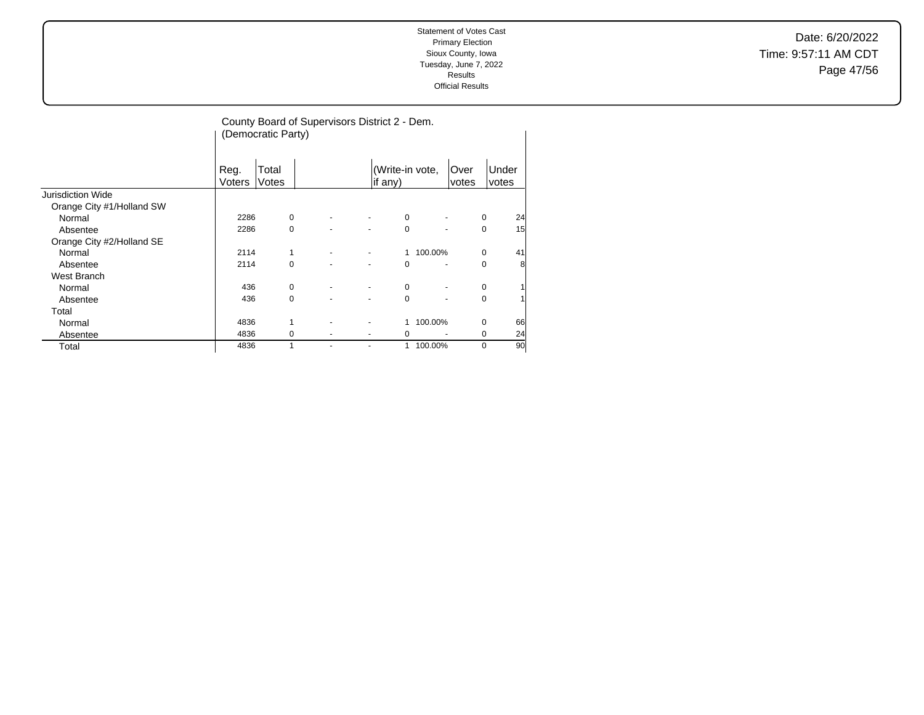Date: 6/20/2022 Time: 9:57:11 AM CDT Page 47/56

|                           |                | (Democratic Party) | County Board of Supervisors District 2 - Dem. |   |                            |         |               |             |                |
|---------------------------|----------------|--------------------|-----------------------------------------------|---|----------------------------|---------|---------------|-------------|----------------|
|                           | Reg.<br>Voters | Total<br>Votes     |                                               |   | (Write-in vote,<br>if any) |         | Over<br>votes |             | Under<br>votes |
| <b>Jurisdiction Wide</b>  |                |                    |                                               |   |                            |         |               |             |                |
| Orange City #1/Holland SW |                |                    |                                               |   |                            |         |               |             |                |
| Normal                    | 2286           | $\mathbf 0$        |                                               |   | 0                          |         |               | 0           | 24             |
| Absentee                  | 2286           | 0                  |                                               |   | 0                          |         |               | 0           | 15             |
| Orange City #2/Holland SE |                |                    |                                               |   |                            |         |               |             |                |
| Normal                    | 2114           |                    |                                               |   | 1                          | 100.00% |               | 0           | 41             |
| Absentee                  | 2114           | $\Omega$           |                                               |   | 0                          |         |               | 0           | 8              |
| West Branch               |                |                    |                                               |   |                            |         |               |             |                |
| Normal                    | 436            | 0                  |                                               | ۰ | 0                          |         |               | 0           |                |
| Absentee                  | 436            | $\Omega$           |                                               |   | $\Omega$                   |         |               | $\Omega$    |                |
| Total                     |                |                    |                                               |   |                            |         |               |             |                |
| Normal                    | 4836           | $\mathbf{1}$       |                                               |   | 1                          | 100.00% |               | $\mathbf 0$ | 66             |
| Absentee                  | 4836           | 0                  |                                               |   | 0                          |         |               | 0           | 24             |
| Total                     | 4836           |                    |                                               |   | 1                          | 100.00% |               | $\mathbf 0$ | 90             |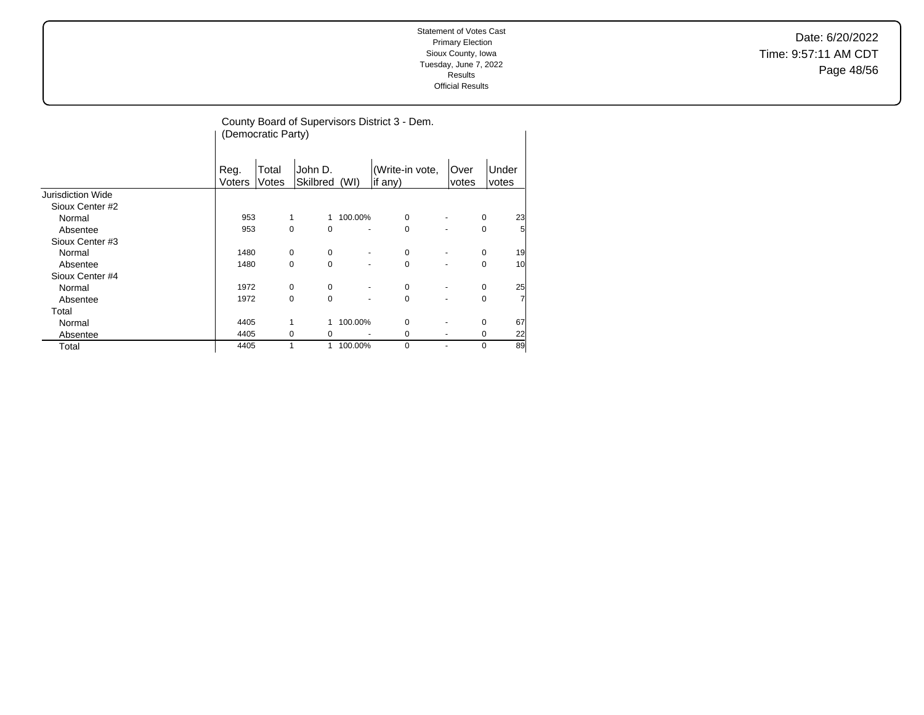Date: 6/20/2022 Time: 9:57:11 AM CDT Page 48/56

|                   |                | County Board of Supervisors District 3 - Dem.<br>(Democratic Party) |                      |         |                            |                          |             |                |  |  |  |
|-------------------|----------------|---------------------------------------------------------------------|----------------------|---------|----------------------------|--------------------------|-------------|----------------|--|--|--|
|                   | Reg.<br>Voters | Total<br>Votes                                                      | John D.<br>Skilbred  | (WI)    | (Write-in vote,<br>if any) | Over<br>votes            |             | Under<br>votes |  |  |  |
| Jurisdiction Wide |                |                                                                     |                      |         |                            |                          |             |                |  |  |  |
| Sioux Center #2   |                |                                                                     |                      |         |                            |                          |             |                |  |  |  |
| Normal            | 953            |                                                                     | 1<br>1               | 100.00% | $\mathbf 0$                |                          | $\mathbf 0$ | 23             |  |  |  |
| Absentee          | 953            | 0                                                                   | $\Omega$             |         | $\Omega$                   |                          | 0           | 5              |  |  |  |
| Sioux Center #3   |                |                                                                     |                      |         |                            |                          |             |                |  |  |  |
| Normal            | 1480           | $\mathbf 0$                                                         | 0                    | ۰       | 0                          |                          | 0           | 19             |  |  |  |
| Absentee          | 1480           |                                                                     | $\Omega$<br>$\Omega$ |         | $\Omega$                   |                          | 0           | 10             |  |  |  |
| Sioux Center #4   |                |                                                                     |                      |         |                            |                          |             |                |  |  |  |
| Normal            | 1972           | $\Omega$                                                            | 0                    | ٠       | 0                          | $\overline{\phantom{0}}$ | 0           | 25             |  |  |  |
| Absentee          | 1972           |                                                                     | $\Omega$<br>$\Omega$ |         | $\Omega$                   |                          | 0           | 7              |  |  |  |
| Total             |                |                                                                     |                      |         |                            |                          |             |                |  |  |  |
| Normal            | 4405           |                                                                     | 1                    | 100.00% | $\mathbf 0$                |                          | 0           | 67             |  |  |  |
| Absentee          | 4405           |                                                                     | 0<br>0               |         | $\mathbf 0$                |                          | 0           | 22             |  |  |  |
| Total             | 4405           |                                                                     |                      | 100.00% | $\mathbf 0$                |                          | $\mathbf 0$ | 89             |  |  |  |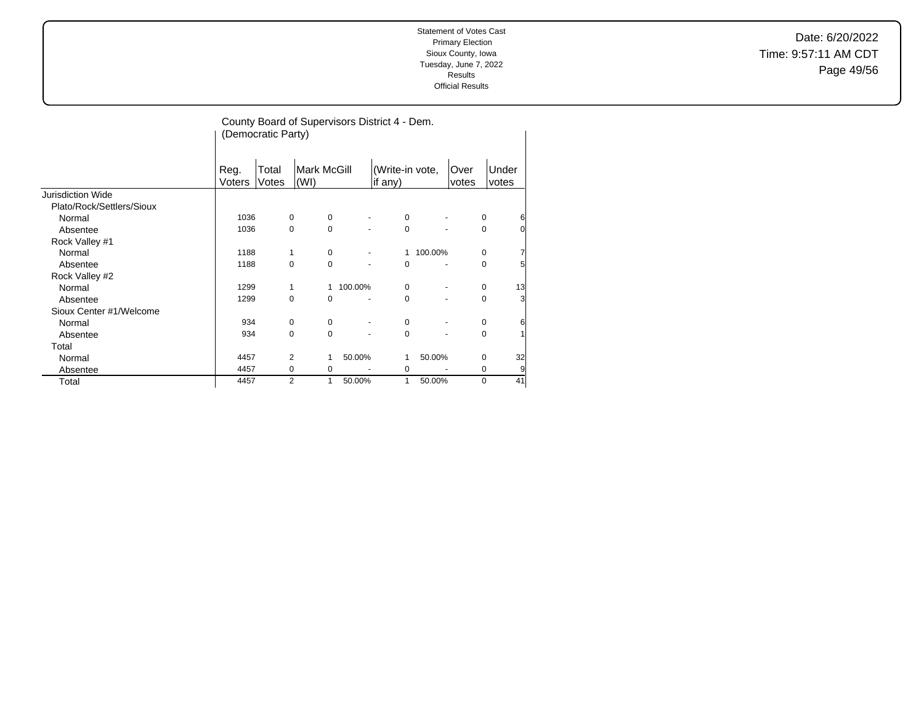Date: 6/20/2022 Time: 9:57:11 AM CDT Page 49/56

|                           |                | County Board of Supervisors District 4 - Dem.<br>(Democratic Party) |                |                            |                          |                            |                          |                |             |                 |  |  |
|---------------------------|----------------|---------------------------------------------------------------------|----------------|----------------------------|--------------------------|----------------------------|--------------------------|----------------|-------------|-----------------|--|--|
|                           | Reg.<br>Voters | Total<br>Votes                                                      |                | <b>Mark McGill</b><br>(WI) |                          | (Write-in vote,<br>if any) |                          | ∣Over<br>votes |             | lUnder<br>votes |  |  |
| Jurisdiction Wide         |                |                                                                     |                |                            |                          |                            |                          |                |             |                 |  |  |
| Plato/Rock/Settlers/Sioux |                |                                                                     |                |                            |                          |                            |                          |                |             |                 |  |  |
| Normal                    | 1036           |                                                                     | $\mathbf 0$    | $\mathbf 0$                | $\overline{\phantom{a}}$ | 0                          | $\overline{\phantom{a}}$ |                | 0           | 6               |  |  |
| Absentee                  | 1036           |                                                                     | $\mathbf 0$    | $\mathbf 0$                |                          | 0                          |                          |                | 0           | 0               |  |  |
| Rock Valley #1            |                |                                                                     |                |                            |                          |                            |                          |                |             |                 |  |  |
| Normal                    | 1188           |                                                                     | 1              | $\mathbf 0$                |                          | 1                          | 100.00%                  |                | $\mathbf 0$ | 7               |  |  |
| Absentee                  | 1188           |                                                                     | $\Omega$       | $\Omega$                   |                          | $\Omega$                   |                          |                | $\Omega$    | 5               |  |  |
| Rock Valley #2            |                |                                                                     |                |                            |                          |                            |                          |                |             |                 |  |  |
| Normal                    | 1299           |                                                                     | 1              | $\mathbf{1}$               | 100.00%                  | $\Omega$                   |                          |                | 0           | 13              |  |  |
| Absentee                  | 1299           |                                                                     | $\Omega$       | $\Omega$                   |                          | 0                          |                          |                | $\mathbf 0$ | 3               |  |  |
| Sioux Center #1/Welcome   |                |                                                                     |                |                            |                          |                            |                          |                |             |                 |  |  |
| Normal                    | 934            |                                                                     | $\Omega$       | $\Omega$                   |                          | 0                          |                          |                | $\mathbf 0$ | 6               |  |  |
| Absentee                  | 934            |                                                                     | $\Omega$       | $\Omega$                   |                          | $\Omega$                   |                          |                | $\Omega$    | 1               |  |  |
| Total                     |                |                                                                     |                |                            |                          |                            |                          |                |             |                 |  |  |
| Normal                    | 4457           |                                                                     | 2              | 1                          | 50.00%                   | 1                          | 50.00%                   |                | $\mathbf 0$ | 32              |  |  |
| Absentee                  | 4457           |                                                                     | $\mathbf 0$    | $\mathbf 0$                |                          | 0                          |                          |                | 0           | 9               |  |  |
| Total                     | 4457           |                                                                     | $\overline{2}$ | 1                          | 50.00%                   | 1                          | 50.00%                   |                | $\Omega$    | 41              |  |  |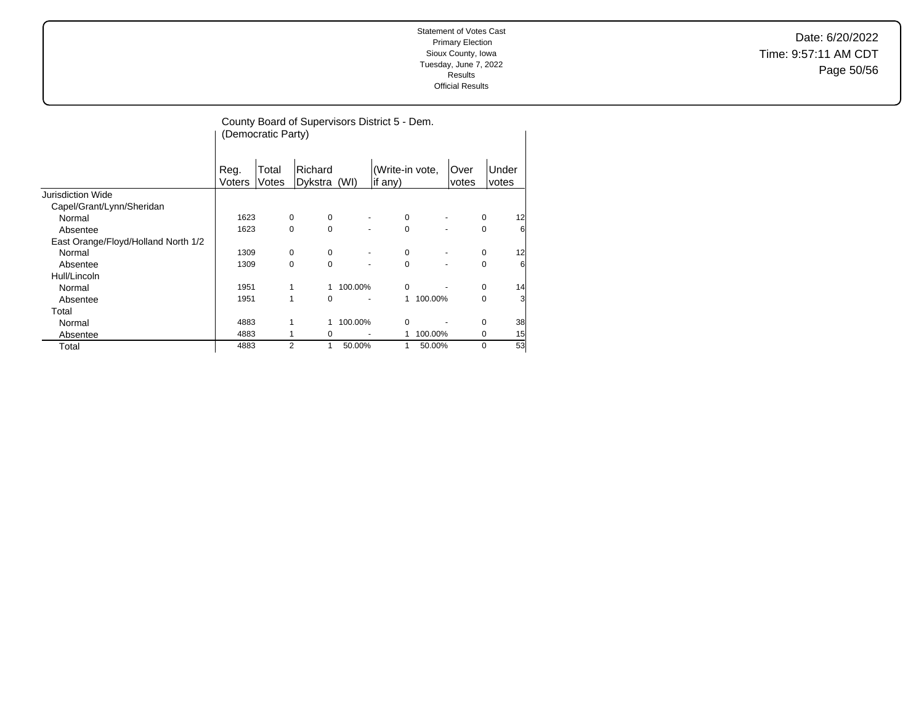Date: 6/20/2022 Time: 9:57:11 AM CDT Page 50/56

|                                     | County Board of Supervisors District 5 - Dem.<br>(Democratic Party) |                |                         |         |                            |         |                          |             |                       |  |
|-------------------------------------|---------------------------------------------------------------------|----------------|-------------------------|---------|----------------------------|---------|--------------------------|-------------|-----------------------|--|
|                                     | Reg.<br>Voters                                                      | Total<br>Votes | Richard<br>Dykstra (WI) |         | (Write-in vote,<br>if any) |         | Over<br>votes            |             | <b>Under</b><br>votes |  |
| <b>Jurisdiction Wide</b>            |                                                                     |                |                         |         |                            |         |                          |             |                       |  |
| Capel/Grant/Lynn/Sheridan           |                                                                     |                |                         |         |                            |         |                          |             |                       |  |
| Normal                              | 1623                                                                | $\mathbf 0$    | 0                       |         | 0                          |         | $\overline{\phantom{a}}$ | 0           | 12                    |  |
| Absentee                            | 1623                                                                |                | $\Omega$<br>$\Omega$    |         | $\Omega$                   |         |                          | $\mathbf 0$ | 6                     |  |
| East Orange/Floyd/Holland North 1/2 |                                                                     |                |                         |         |                            |         |                          |             |                       |  |
| Normal                              | 1309                                                                | $\mathbf 0$    | 0                       |         | 0                          |         |                          | 0           | 12                    |  |
| Absentee                            | 1309                                                                |                | $\Omega$<br>$\Omega$    |         | $\Omega$                   |         |                          | $\mathbf 0$ | 6                     |  |
| Hull/Lincoln                        |                                                                     |                |                         |         |                            |         |                          |             |                       |  |
| Normal                              | 1951                                                                | 1              | $\mathbf{1}$            | 100.00% | $\mathbf 0$                |         |                          | $\mathbf 0$ | 14                    |  |
| Absentee                            | 1951                                                                | 1              | $\Omega$                |         | 1                          | 100.00% |                          | $\mathbf 0$ | 3                     |  |
| Total                               |                                                                     |                |                         |         |                            |         |                          |             |                       |  |
| Normal                              | 4883                                                                | 1              | $\mathbf{1}$            | 100.00% | 0                          |         |                          | 0           | 38                    |  |
| Absentee                            | 4883                                                                |                | 0<br>1                  |         |                            | 100.00% |                          | 0           | 15                    |  |
| Total                               | 4883                                                                |                | $\overline{2}$<br>1     | 50.00%  | 1                          | 50.00%  |                          | $\mathbf 0$ | 53                    |  |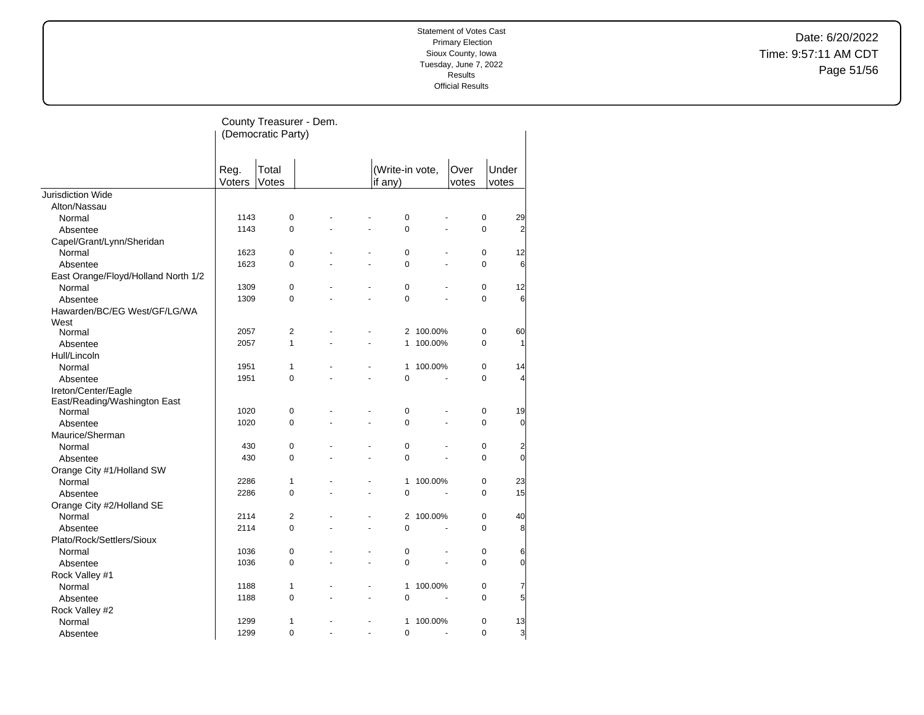Date: 6/20/2022 Time: 9:57:11 AM CDT Page 51/56

|                                        |        | County Treasurer - Dem.<br>(Democratic Party) |  |                           |         |       |             |                 |
|----------------------------------------|--------|-----------------------------------------------|--|---------------------------|---------|-------|-------------|-----------------|
|                                        | Reg.   | Total                                         |  | (Write-in vote,           |         | Over  | Under       |                 |
|                                        | Voters | Votes                                         |  | if any)                   |         | votes | votes       |                 |
| <b>Jurisdiction Wide</b>               |        |                                               |  |                           |         |       |             |                 |
| Alton/Nassau                           |        |                                               |  |                           |         |       |             |                 |
| Normal                                 | 1143   | 0                                             |  | $\pmb{0}$                 |         |       | $\pmb{0}$   | 29              |
| Absentee                               | 1143   | $\mathbf 0$                                   |  | 0<br>L.                   | ä,      |       | 0           | $\overline{2}$  |
| Capel/Grant/Lynn/Sheridan              |        |                                               |  |                           |         |       |             |                 |
| Normal                                 | 1623   | $\mathbf 0$                                   |  | $\mathbf 0$               |         |       | 0           | 12              |
| Absentee                               | 1623   | $\mathbf 0$                                   |  | $\Omega$                  | ä,      |       | $\Omega$    | 6               |
| East Orange/Floyd/Holland North 1/2    |        |                                               |  |                           |         |       |             |                 |
| Normal                                 | 1309   | $\mathbf 0$                                   |  | $\mathbf 0$               |         |       | 0           | 12              |
| Absentee                               | 1309   | $\mathbf 0$                                   |  | 0                         |         |       | $\Omega$    | 6               |
| Hawarden/BC/EG West/GF/LG/WA           |        |                                               |  |                           |         |       |             |                 |
| West                                   | 2057   | $\overline{2}$                                |  | $\overline{2}$            | 100.00% |       | $\mathbf 0$ | 60              |
| Normal                                 |        | $\mathbf{1}$                                  |  | 1                         |         |       | $\Omega$    | $\mathbf{1}$    |
| Absentee                               | 2057   |                                               |  |                           | 100.00% |       |             |                 |
| Hull/Lincoln                           | 1951   | $\mathbf{1}$                                  |  |                           |         |       | 0           | 14              |
| Normal                                 |        |                                               |  | 1                         | 100.00% |       |             |                 |
| Absentee                               | 1951   | $\mathbf 0$                                   |  | $\mathbf 0$               |         |       | 0           | $\overline{4}$  |
| Ireton/Center/Eagle                    |        |                                               |  |                           |         |       |             |                 |
| East/Reading/Washington East<br>Normal | 1020   | 0                                             |  | $\mathbf 0$               |         |       | 0           | 19              |
| Absentee                               | 1020   | $\mathbf 0$                                   |  | 0                         |         |       | 0           | $\overline{0}$  |
| Maurice/Sherman                        |        |                                               |  |                           |         |       |             |                 |
| Normal                                 | 430    | $\mathbf 0$                                   |  | $\mathbf 0$               |         |       | $\mathbf 0$ | $\overline{a}$  |
|                                        | 430    | 0                                             |  | $\Omega$                  |         |       | $\Omega$    | $\overline{0}$  |
| Absentee                               |        |                                               |  |                           |         |       |             |                 |
| Orange City #1/Holland SW              |        |                                               |  |                           |         |       |             |                 |
| Normal                                 | 2286   | $\mathbf{1}$<br>$\mathbf 0$                   |  | 1                         | 100.00% |       | 0           | 23              |
| Absentee                               | 2286   |                                               |  | $\mathbf 0$               |         |       | 0           | 15              |
| Orange City #2/Holland SE              |        |                                               |  |                           |         |       |             |                 |
| Normal                                 | 2114   | 2                                             |  | 2                         | 100.00% |       | 0           | 40              |
| Absentee                               | 2114   | $\Omega$                                      |  | $\overline{0}$            |         |       | $\Omega$    | 8               |
| Plato/Rock/Settlers/Sioux              |        |                                               |  |                           |         |       |             |                 |
| Normal                                 | 1036   | 0                                             |  | $\pmb{0}$                 |         |       | 0           | 6               |
| Absentee                               | 1036   | 0                                             |  | 0                         |         |       | 0           | $\overline{0}$  |
| Rock Valley #1                         |        |                                               |  |                           |         |       |             |                 |
| Normal                                 | 1188   | 1                                             |  | 1<br>$\ddot{\phantom{1}}$ | 100.00% |       | 0           | 7               |
| Absentee                               | 1188   | $\Omega$                                      |  | $\overline{0}$            |         |       | $\Omega$    | $5\overline{6}$ |
| Rock Valley #2                         |        |                                               |  |                           |         |       |             |                 |
| Normal                                 | 1299   | $\mathbf{1}$                                  |  | 1                         | 100.00% |       | 0           | 13              |
| Absentee                               | 1299   | $\Omega$                                      |  | 0                         |         |       | $\Omega$    | $\overline{3}$  |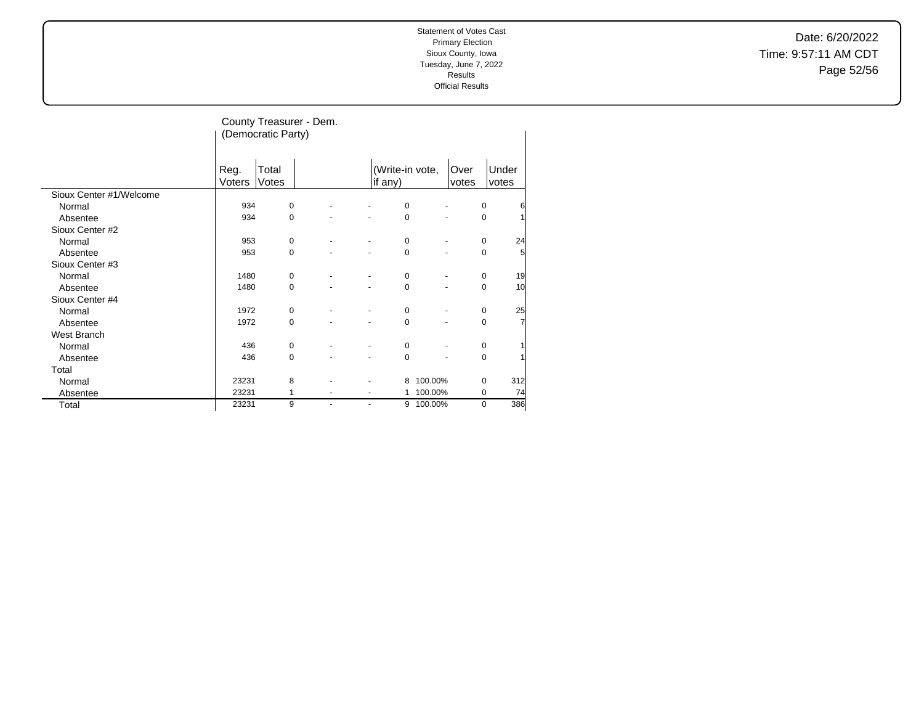Date: 6/20/2022 Time: 9:57:11 AM CDT Page 52/56

|                         |                | (Democratic Party) | County Treasurer - Dem. |                |                            |                |               |                             |
|-------------------------|----------------|--------------------|-------------------------|----------------|----------------------------|----------------|---------------|-----------------------------|
|                         | Reg.<br>Voters | Total<br>Votes     |                         |                | (Write-in vote,<br>if any) |                | Over<br>votes | Under<br>votes              |
| Sioux Center #1/Welcome |                |                    |                         |                |                            |                |               |                             |
| Normal                  | 934            | $\mathbf 0$        |                         |                | 0                          | ٠              |               | $\mathbf 0$<br>6            |
| Absentee                | 934            | $\mathbf 0$        |                         |                | $\mathbf 0$                |                |               | $\mathbf 0$<br>1            |
| Sioux Center #2         |                |                    |                         |                |                            |                |               |                             |
| Normal                  | 953            | $\mathbf 0$        |                         |                | $\mathbf 0$                | ٠              |               | 24<br>$\mathbf 0$           |
| Absentee                | 953            | $\Omega$           |                         |                | $\Omega$                   |                |               | $\mathbf 0$<br>5            |
| Sioux Center #3         |                |                    |                         |                |                            |                |               |                             |
| Normal                  | 1480           | 0                  |                         |                | $\mathbf 0$                | ٠              |               | 19<br>$\mathbf 0$           |
| Absentee                | 1480           | 0                  |                         |                | $\mathbf 0$                | $\overline{a}$ |               | 10<br>$\mathbf 0$           |
| Sioux Center #4         |                |                    |                         |                |                            |                |               |                             |
| Normal                  | 1972           | 0                  |                         |                | 0                          | ٠              |               | 25<br>$\mathbf 0$           |
| Absentee                | 1972           | $\mathbf 0$        |                         |                | $\mathbf 0$                |                |               | $\mathbf 0$<br>7            |
| West Branch             |                |                    |                         |                |                            |                |               |                             |
| Normal                  | 436            | 0                  |                         |                | $\mathbf 0$                |                |               | $\mathbf 0$                 |
| Absentee                | 436            | $\mathbf 0$        |                         |                | $\mathbf 0$                |                |               | $\mathbf 0$<br>$\mathbf{1}$ |
| Total                   |                |                    |                         |                |                            |                |               |                             |
| Normal                  | 23231          | 8                  |                         |                | 8                          | 100.00%        |               | $\mathbf 0$<br>312          |
| Absentee                | 23231          | 1                  |                         |                | 1                          | 100.00%        |               | 0<br>74                     |
| Total                   | 23231          | 9                  | ٠                       | $\overline{a}$ |                            | 9 100.00%      |               | 386<br>0                    |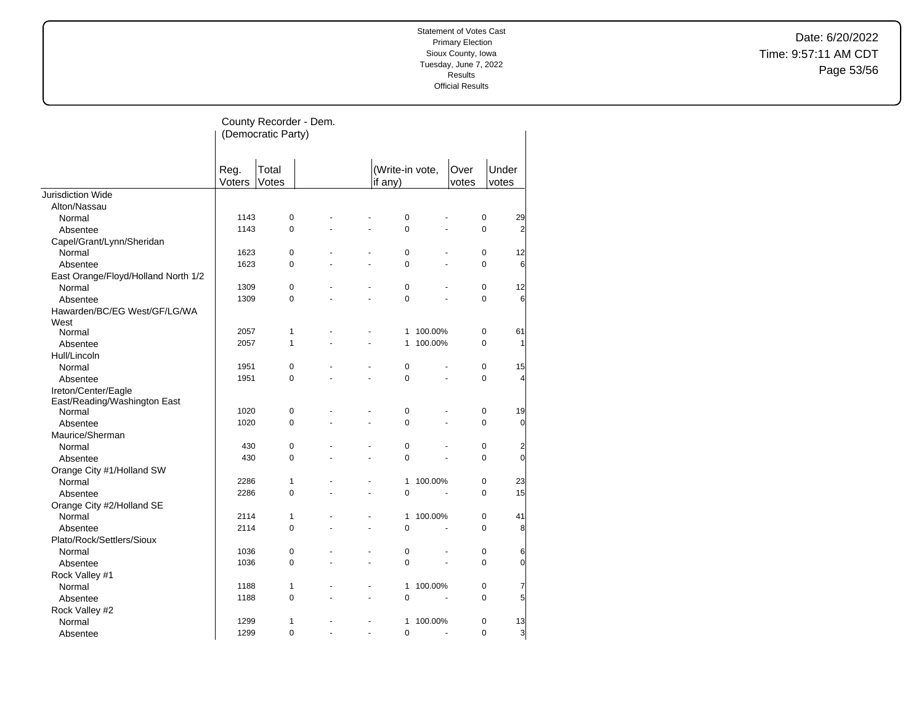Date: 6/20/2022 Time: 9:57:11 AM CDT Page 53/56

|                                     |                | County Recorder - Dem.<br>(Democratic Party) |                |                |                            |                           |               |                                            |
|-------------------------------------|----------------|----------------------------------------------|----------------|----------------|----------------------------|---------------------------|---------------|--------------------------------------------|
|                                     | Reg.<br>Voters | Total<br>Votes                               |                |                | (Write-in vote,<br>if any) |                           | Over<br>votes | Under<br>votes                             |
| <b>Jurisdiction Wide</b>            |                |                                              |                |                |                            |                           |               |                                            |
| Alton/Nassau                        |                |                                              |                |                |                            |                           |               |                                            |
| Normal                              | 1143           | $\mathbf 0$                                  |                |                | $\mathbf 0$                |                           |               | $\mathbf 0$<br>29                          |
| Absentee                            | 1143           | $\mathbf 0$                                  |                | ä,             | $\mathbf 0$                |                           |               | $\Omega$<br>$\overline{2}$                 |
| Capel/Grant/Lynn/Sheridan           |                |                                              |                |                |                            |                           |               |                                            |
| Normal                              | 1623           | $\mathbf 0$                                  |                |                | 0                          |                           |               | $\mathbf 0$<br>12                          |
| Absentee                            | 1623           | $\mathbf 0$                                  |                |                | $\mathbf 0$                |                           |               | 6<br>$\Omega$                              |
| East Orange/Floyd/Holland North 1/2 |                |                                              |                |                |                            |                           |               |                                            |
| Normal                              | 1309           | $\mathbf 0$                                  |                | L,             | 0                          |                           |               | $\mathbf 0$<br>12                          |
| Absentee                            | 1309           | $\mathbf 0$                                  |                |                | $\mathbf 0$                |                           |               | 0<br>6                                     |
| Hawarden/BC/EG West/GF/LG/WA        |                |                                              |                |                |                            |                           |               |                                            |
| West                                |                |                                              |                |                |                            |                           |               |                                            |
| Normal                              | 2057           | $\mathbf{1}$                                 |                |                |                            | 1 100.00%                 |               | $\mathbf 0$<br>61                          |
| Absentee                            | 2057           | $\mathbf{1}$                                 |                | ä,             | 1                          | 100.00%                   |               | $\mathbf 0$<br>$\mathbf{1}$                |
| Hull/Lincoln                        |                |                                              |                |                |                            |                           |               |                                            |
| Normal                              | 1951           | $\mathbf 0$                                  |                |                | 0                          |                           |               | $\Omega$<br>15                             |
| Absentee                            | 1951           | $\mathbf 0$                                  |                | ÷.             | $\mathbf 0$                | L.                        |               | 0<br>$\overline{4}$                        |
| Ireton/Center/Eagle                 |                |                                              |                |                |                            |                           |               |                                            |
| East/Reading/Washington East        |                |                                              |                |                |                            |                           |               |                                            |
| Normal                              | 1020           | $\pmb{0}$<br>$\mathbf 0$                     |                | ÷.             | 0<br>0                     | ÷.                        |               | $\mathbf 0$<br>19<br>0                     |
| Absentee                            | 1020           |                                              |                |                |                            |                           |               | $\overline{0}$                             |
| Maurice/Sherman                     | 430            |                                              |                |                | $\mathbf 0$                |                           |               | $\mathbf 0$                                |
| Normal                              |                | $\mathbf 0$                                  |                |                |                            |                           |               | $\overline{2}$<br>$\mathbf{0}$<br>$\Omega$ |
| Absentee                            | 430            | 0                                            |                |                | 0                          |                           |               |                                            |
| Orange City #1/Holland SW           |                |                                              |                | $\overline{a}$ |                            |                           |               |                                            |
| Normal                              | 2286<br>2286   | $\mathbf{1}$<br>$\mathbf 0$                  |                | ÷,             | 1<br>$\mathbf 0$           | 100.00%                   |               | $\mathbf 0$<br>23<br>15<br>$\Omega$        |
| Absentee                            |                |                                              |                |                |                            |                           |               |                                            |
| Orange City #2/Holland SE           | 2114           | $\mathbf{1}$                                 |                | ÷.             |                            |                           |               | $\mathbf 0$                                |
| Normal                              | 2114           | $\mathbf 0$                                  |                | ÷,             | 1<br>$\mathbf 0$           | 100.00%<br>$\overline{a}$ |               | 41<br>$\mathbf 0$<br>8                     |
| Absentee                            |                |                                              |                |                |                            |                           |               |                                            |
| Plato/Rock/Settlers/Sioux           | 1036           | $\mathbf 0$                                  |                | ÷.             | 0                          |                           |               | $\pmb{0}$                                  |
| Normal                              | 1036           | 0                                            | $\overline{a}$ | ÷.             | 0                          | $\overline{a}$            |               | 6<br>$\Omega$<br>$\overline{0}$            |
| Absentee                            |                |                                              |                |                |                            |                           |               |                                            |
| Rock Valley #1<br>Normal            | 1188           | $\mathbf{1}$                                 |                | $\blacksquare$ | 1                          | 100.00%                   |               | $\mathbf 0$<br>7                           |
|                                     | 1188           | 0                                            |                | ÷.             | $\overline{0}$             |                           |               | $5\overline{5}$<br>$\Omega$                |
| Absentee                            |                |                                              |                |                |                            |                           |               |                                            |
| Rock Valley #2<br>Normal            | 1299           | 1                                            |                |                | 1                          | 100.00%                   |               | $\mathbf 0$<br>13                          |
| Absentee                            | 1299           | $\Omega$                                     |                | L.             | $\overline{0}$             | ä,                        |               | $\Omega$<br>3                              |
|                                     |                |                                              |                |                |                            |                           |               |                                            |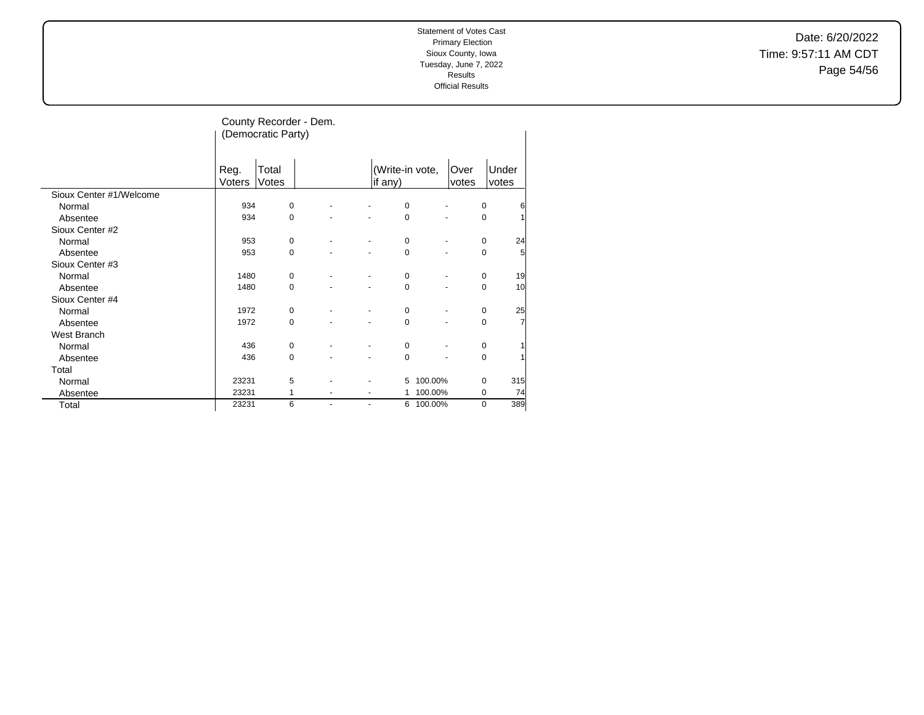Date: 6/20/2022 Time: 9:57:11 AM CDT Page 54/56

|                         |                | (Democratic Party) | County Recorder - Dem. |   |                            |                              |               |                             |
|-------------------------|----------------|--------------------|------------------------|---|----------------------------|------------------------------|---------------|-----------------------------|
|                         | Reg.<br>Voters | Total<br>Votes     |                        |   | (Write-in vote,<br>if any) |                              | Over<br>votes | Under<br>votes              |
| Sioux Center #1/Welcome |                |                    |                        |   |                            |                              |               |                             |
| Normal                  | 934            | $\mathbf 0$        |                        |   | 0                          | $\qquad \qquad \blacksquare$ |               | $\mathbf 0$<br>6            |
| Absentee                | 934            | 0                  |                        |   | $\mathbf 0$                |                              |               | $\mathbf 0$<br>1            |
| Sioux Center #2         |                |                    |                        |   |                            |                              |               |                             |
| Normal                  | 953            | $\mathbf 0$        |                        |   | $\mathbf 0$                |                              |               | $\mathbf 0$<br>24           |
| Absentee                | 953            | 0                  |                        |   | 0                          |                              |               | $\mathbf 0$<br>5            |
| Sioux Center #3         |                |                    |                        |   |                            |                              |               |                             |
| Normal                  | 1480           | 0                  |                        |   | $\mathbf 0$                | ٠                            |               | 19<br>$\mathbf 0$           |
| Absentee                | 1480           | 0                  |                        |   | 0                          | $\overline{a}$               |               | 10<br>$\mathbf 0$           |
| Sioux Center #4         |                |                    |                        |   |                            |                              |               |                             |
| Normal                  | 1972           | 0                  |                        |   | $\mathbf 0$                | ٠                            |               | 25<br>$\mathbf 0$           |
| Absentee                | 1972           | $\mathbf 0$        |                        |   | $\mathbf 0$                | ٠                            |               | $\mathbf 0$<br>7            |
| West Branch             |                |                    |                        |   |                            |                              |               |                             |
| Normal                  | 436            | 0                  |                        |   | $\mathbf 0$                |                              |               | $\mathbf 0$                 |
| Absentee                | 436            | 0                  |                        |   | $\mathbf 0$                |                              |               | $\mathbf 0$<br>$\mathbf{1}$ |
| Total                   |                |                    |                        |   |                            |                              |               |                             |
| Normal                  | 23231          | 5                  |                        |   | 5                          | 100.00%                      |               | $\mathbf 0$<br>315          |
| Absentee                | 23231          | 1                  |                        |   | 1                          | 100.00%                      |               | 0<br>74                     |
| Total                   | 23231          | 6                  | $\blacksquare$         | ٠ | 6                          | 100.00%                      |               | 389<br>$\mathbf 0$          |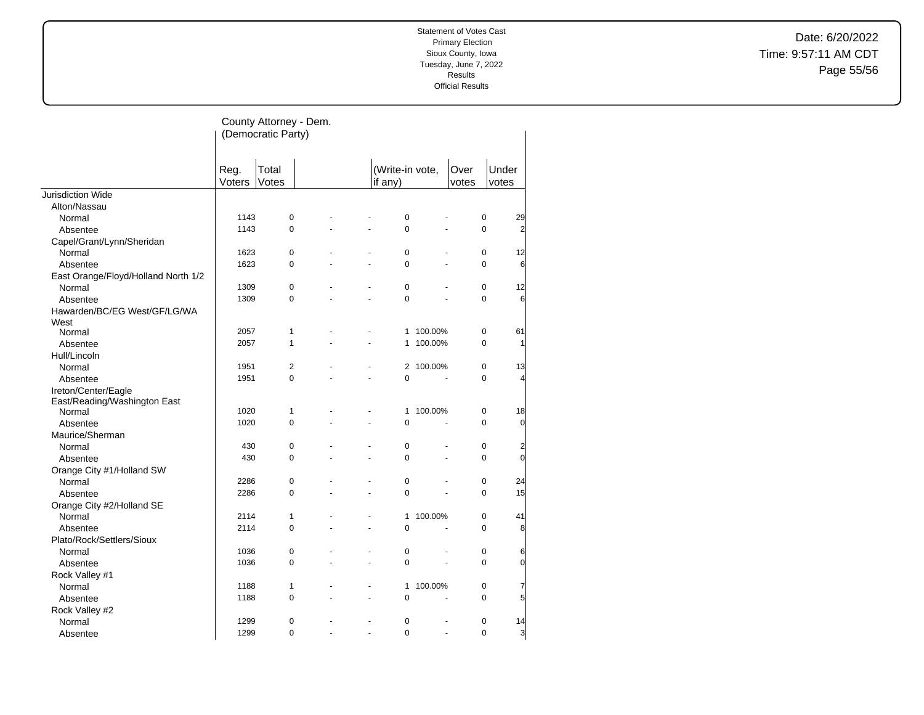Date: 6/20/2022 Time: 9:57:11 AM CDT Page 55/56

|                                     |        | County Attorney - Dem.<br>(Democratic Party) |    |                |                 |         |       |                             |
|-------------------------------------|--------|----------------------------------------------|----|----------------|-----------------|---------|-------|-----------------------------|
|                                     | Reg.   | Total                                        |    |                | (Write-in vote, |         | Over  | Under                       |
|                                     | Voters | Votes                                        |    |                | if any)         |         | votes | votes                       |
| Jurisdiction Wide                   |        |                                              |    |                |                 |         |       |                             |
| Alton/Nassau<br>Normal              | 1143   | $\pmb{0}$                                    |    |                | $\mathbf 0$     |         |       | 0<br>29                     |
| Absentee                            | 1143   | $\Omega$                                     |    |                | $\Omega$        |         |       | $\Omega$<br>$\overline{2}$  |
| Capel/Grant/Lynn/Sheridan           |        |                                              |    |                |                 |         |       |                             |
| Normal                              | 1623   | $\pmb{0}$                                    |    |                | 0               |         |       | 0<br>12                     |
| Absentee                            | 1623   | $\mathbf 0$                                  |    |                | $\mathbf 0$     |         |       | 6<br>0                      |
| East Orange/Floyd/Holland North 1/2 |        |                                              |    |                |                 |         |       |                             |
| Normal                              | 1309   | $\pmb{0}$                                    |    | L.             | $\mathbf 0$     |         |       | $\Omega$<br>12              |
| Absentee                            | 1309   | $\mathbf 0$                                  |    |                | $\Omega$        |         |       | $\Omega$<br>$6 \mid$        |
| Hawarden/BC/EG West/GF/LG/WA        |        |                                              |    |                |                 |         |       |                             |
| West                                |        |                                              |    |                |                 |         |       |                             |
| Normal                              | 2057   | $\mathbf{1}$                                 |    |                | 1               | 100.00% |       | 0<br>61                     |
| Absentee                            | 2057   | $\mathbf{1}$                                 |    | $\overline{a}$ | $\mathbf{1}$    | 100.00% |       | 0<br>$\mathbf{1}$           |
| Hull/Lincoln                        |        |                                              |    |                |                 |         |       |                             |
| Normal                              | 1951   | $\overline{2}$                               |    |                | $\overline{2}$  | 100.00% |       | 0<br>13                     |
| Absentee                            | 1951   | $\pmb{0}$                                    |    | $\overline{a}$ | $\mathbf 0$     |         |       | 0<br>$\overline{4}$         |
| Ireton/Center/Eagle                 |        |                                              |    |                |                 |         |       |                             |
| East/Reading/Washington East        |        |                                              |    |                |                 |         |       |                             |
| Normal                              | 1020   | 1                                            |    |                | 1               | 100.00% |       | 0<br>18                     |
| Absentee                            | 1020   | $\mathbf 0$                                  |    | $\overline{a}$ | $\overline{0}$  |         |       | $\overline{0}$<br>0         |
| Maurice/Sherman                     |        |                                              |    |                |                 |         |       |                             |
| Normal                              | 430    | $\pmb{0}$                                    |    |                | 0               |         |       | $\pmb{0}$<br>$\overline{a}$ |
| Absentee                            | 430    | $\mathbf 0$                                  |    | ä,             | $\mathbf 0$     |         |       | $\mathsf{o}$<br>0           |
| Orange City #1/Holland SW           |        |                                              |    |                |                 |         |       |                             |
| Normal                              | 2286   | $\mathbf 0$                                  |    |                | $\mathbf 0$     |         |       | $\mathbf 0$<br>24           |
| Absentee                            | 2286   | $\mathbf 0$                                  |    | $\overline{a}$ | $\mathbf 0$     |         |       | $\Omega$<br>15              |
| Orange City #2/Holland SE           |        |                                              |    |                |                 |         |       |                             |
| Normal                              | 2114   | $\mathbf{1}$                                 |    | ä,             | 1               | 100.00% |       | $\mathbf 0$<br>41           |
| Absentee                            | 2114   | $\mathbf 0$                                  |    | $\overline{a}$ | $\mathbf 0$     |         |       | 8<br>0                      |
| Plato/Rock/Settlers/Sioux           |        |                                              |    |                |                 |         |       |                             |
| Normal                              | 1036   | $\mathbf 0$                                  |    | ä,             | $\mathbf 0$     |         |       | $\mathbf 0$<br>6            |
| Absentee                            | 1036   | $\mathbf 0$                                  |    | $\overline{a}$ | $\mathbf 0$     |         |       | o<br>$\Omega$               |
| Rock Valley #1                      |        |                                              |    |                |                 |         |       |                             |
| Normal                              | 1188   | 1                                            |    | $\blacksquare$ | 1               | 100.00% |       | 0<br>7                      |
| Absentee                            | 1188   | $\mathbf 0$                                  |    | ä,             | $\mathbf 0$     |         |       | 5<br>0                      |
| Rock Valley #2                      |        |                                              |    |                |                 |         |       |                             |
| Normal                              | 1299   | 0                                            |    |                | 0               |         |       | 0<br>14                     |
| Absentee                            | 1299   | $\Omega$                                     | L. | $\blacksquare$ | $\Omega$        | ÷,      |       | $\Omega$<br>3               |